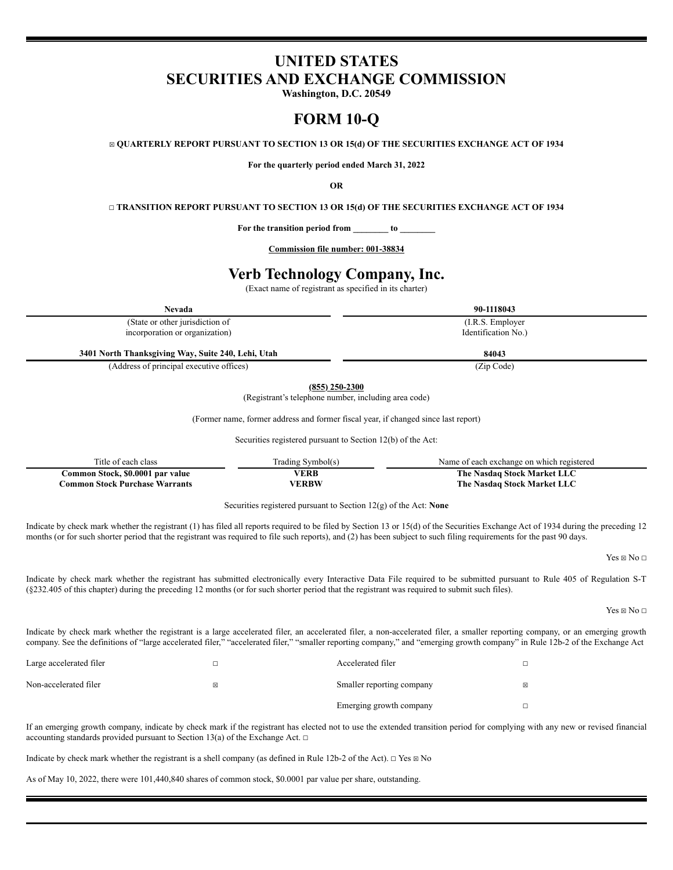# **UNITED STATES SECURITIES AND EXCHANGE COMMISSION**

**Washington, D.C. 20549**

# **FORM 10-Q**

☒ **QUARTERLY REPORT PURSUANT TO SECTION 13 OR 15(d) OF THE SECURITIES EXCHANGE ACT OF 1934**

**For the quarterly period ended March 31, 2022**

**OR**

☐ **TRANSITION REPORT PURSUANT TO SECTION 13 OR 15(d) OF THE SECURITIES EXCHANGE ACT OF 1934**

**For the transition period from \_\_\_\_\_\_\_\_ to \_\_\_\_\_\_\_\_**

**Commission file number: 001-38834**

# **Verb Technology Company, Inc.**

(Exact name of registrant as specified in its charter)

| <b>Nevada</b>                                                                                                                                                         |                                                                                    | 90-1118043                                                                                                                                                                         |  |  |  |  |
|-----------------------------------------------------------------------------------------------------------------------------------------------------------------------|------------------------------------------------------------------------------------|------------------------------------------------------------------------------------------------------------------------------------------------------------------------------------|--|--|--|--|
| (State or other jurisdiction of                                                                                                                                       |                                                                                    | (I.R.S. Employer                                                                                                                                                                   |  |  |  |  |
| incorporation or organization)                                                                                                                                        |                                                                                    | Identification No.)                                                                                                                                                                |  |  |  |  |
| 3401 North Thanksgiving Way, Suite 240, Lehi, Utah                                                                                                                    |                                                                                    | 84043                                                                                                                                                                              |  |  |  |  |
| (Address of principal executive offices)                                                                                                                              |                                                                                    | (Zip Code)                                                                                                                                                                         |  |  |  |  |
|                                                                                                                                                                       | $(855)$ 250-2300                                                                   |                                                                                                                                                                                    |  |  |  |  |
|                                                                                                                                                                       | (Registrant's telephone number, including area code)                               |                                                                                                                                                                                    |  |  |  |  |
|                                                                                                                                                                       | (Former name, former address and former fiscal year, if changed since last report) |                                                                                                                                                                                    |  |  |  |  |
|                                                                                                                                                                       | Securities registered pursuant to Section 12(b) of the Act:                        |                                                                                                                                                                                    |  |  |  |  |
| Title of each class                                                                                                                                                   | Trading Symbol(s)                                                                  | Name of each exchange on which registered                                                                                                                                          |  |  |  |  |
| Common Stock, \$0.0001 par value                                                                                                                                      | <b>VERB</b>                                                                        | The Nasdaq Stock Market LLC                                                                                                                                                        |  |  |  |  |
| <b>Common Stock Purchase Warrants</b>                                                                                                                                 | <b>VERBW</b>                                                                       | The Nasdaq Stock Market LLC                                                                                                                                                        |  |  |  |  |
|                                                                                                                                                                       | Securities registered pursuant to Section $12(g)$ of the Act: None                 |                                                                                                                                                                                    |  |  |  |  |
| months (or for such shorter period that the registrant was required to file such reports), and (2) has been subject to such filing requirements for the past 90 days. |                                                                                    | Indicate by check mark whether the registrant (1) has filed all reports required to be filed by Section 13 or 15(d) of the Securities Exchange Act of 1934 during the preceding 12 |  |  |  |  |
|                                                                                                                                                                       |                                                                                    | Yes $\boxtimes$ No $\Box$                                                                                                                                                          |  |  |  |  |
| (§232.405 of this chapter) during the preceding 12 months (or for such shorter period that the registrant was required to submit such files).                         |                                                                                    | Indicate by check mark whether the registrant has submitted electronically every Interactive Data File required to be submitted pursuant to Rule 405 of Regulation S-T             |  |  |  |  |

Yes  $\boxtimes$  No  $\Box$ 

Indicate by check mark whether the registrant is a large accelerated filer, an accelerated filer, a non-accelerated filer, a smaller reporting company, or an emerging growth company. See the definitions of "large accelerated filer," "accelerated filer," "smaller reporting company," and "emerging growth company" in Rule 12b-2 of the Exchange Act

| Large accelerated filer |   | Accelerated filer         |   |
|-------------------------|---|---------------------------|---|
| Non-accelerated filer   | X | Smaller reporting company | 図 |
|                         |   | Emerging growth company   |   |

If an emerging growth company, indicate by check mark if the registrant has elected not to use the extended transition period for complying with any new or revised financial accounting standards provided pursuant to Section 13(a) of the Exchange Act.  $□$ 

Indicate by check mark whether the registrant is a shell company (as defined in Rule 12b-2 of the Act).  $\Box$  Yes  $\boxtimes$  No

As of May 10, 2022, there were 101,440,840 shares of common stock, \$0.0001 par value per share, outstanding.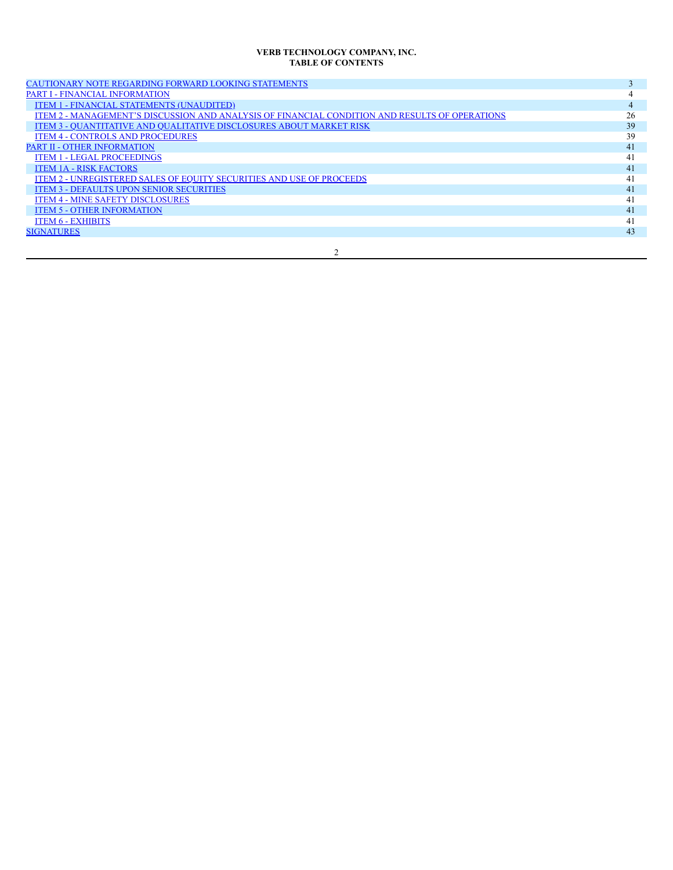# **VERB TECHNOLOGY COMPANY, INC. TABLE OF CONTENTS**

| <b>CAUTIONARY NOTE REGARDING FORWARD LOOKING STATEMENTS</b>                                    |    |
|------------------------------------------------------------------------------------------------|----|
| PART I - FINANCIAL INFORMATION                                                                 |    |
| <b>ITEM 1 - FINANCIAL STATEMENTS (UNAUDITED)</b>                                               |    |
| ITEM 2 - MANAGEMENT'S DISCUSSION AND ANALYSIS OF FINANCIAL CONDITION AND RESULTS OF OPERATIONS | 26 |
| ITEM 3 - QUANTITATIVE AND QUALITATIVE DISCLOSURES ABOUT MARKET RISK                            | 39 |
| <b>ITEM 4 - CONTROLS AND PROCEDURES</b>                                                        | 39 |
| PART II - OTHER INFORMATION                                                                    | 41 |
| <b>ITEM 1 - LEGAL PROCEEDINGS</b>                                                              | 41 |
| <b>ITEM 1A - RISK FACTORS</b>                                                                  | 41 |
| <b>ITEM 2 - UNREGISTERED SALES OF EQUITY SECURITIES AND USE OF PROCEEDS</b>                    | 41 |
| <b>ITEM 3 - DEFAULTS UPON SENIOR SECURITIES</b>                                                | 41 |
| <b>ITEM 4 - MINE SAFETY DISCLOSURES</b>                                                        | 41 |
| <b>ITEM 5 - OTHER INFORMATION</b>                                                              | 41 |
| <b>ITEM 6 - EXHIBITS</b>                                                                       | 41 |
| <b>SIGNATURES</b>                                                                              | 43 |
|                                                                                                |    |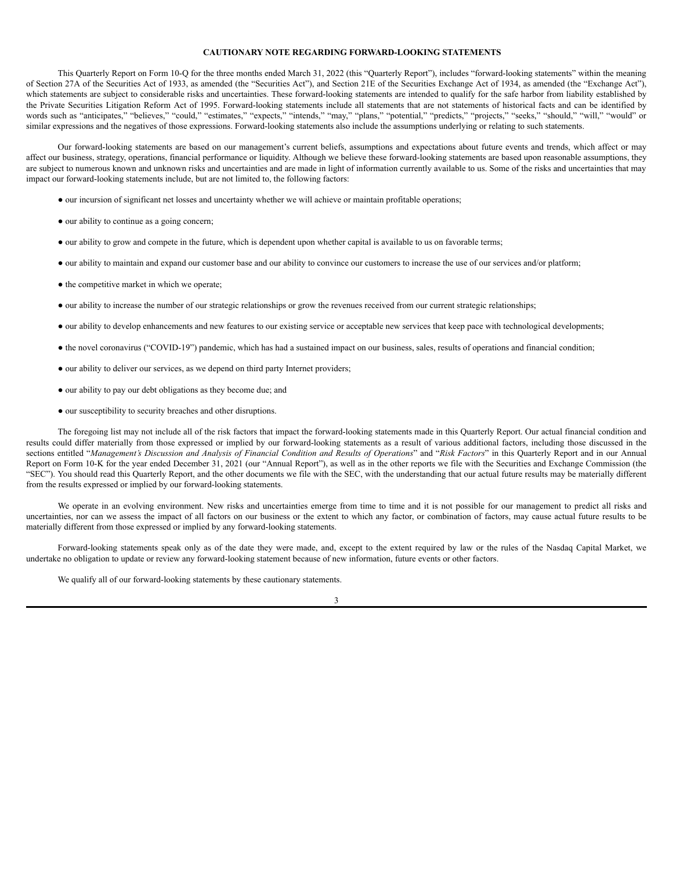# **CAUTIONARY NOTE REGARDING FORWARD-LOOKING STATEMENTS**

<span id="page-2-0"></span>This Quarterly Report on Form 10-Q for the three months ended March 31, 2022 (this "Quarterly Report"), includes "forward-looking statements" within the meaning of Section 27A of the Securities Act of 1933, as amended (the "Securities Act"), and Section 21E of the Securities Exchange Act of 1934, as amended (the "Exchange Act"), which statements are subject to considerable risks and uncertainties. These forward-looking statements are intended to qualify for the safe harbor from liability established by the Private Securities Litigation Reform Act of 1995. Forward-looking statements include all statements that are not statements of historical facts and can be identified by words such as "anticipates," "believes," "could," "estimates," "expects," "intends," "may," "plans," "potential," "projects," "projects," "seeks," "should," "will," "would" or similar expressions and the negatives of those expressions. Forward-looking statements also include the assumptions underlying or relating to such statements.

Our forward-looking statements are based on our management's current beliefs, assumptions and expectations about future events and trends, which affect or may affect our business, strategy, operations, financial performance or liquidity. Although we believe these forward-looking statements are based upon reasonable assumptions, they are subject to numerous known and unknown risks and uncertainties and are made in light of information currently available to us. Some of the risks and uncertainties that may impact our forward-looking statements include, but are not limited to, the following factors:

- our incursion of significant net losses and uncertainty whether we will achieve or maintain profitable operations;
- our ability to continue as a going concern;
- our ability to grow and compete in the future, which is dependent upon whether capital is available to us on favorable terms;
- our ability to maintain and expand our customer base and our ability to convince our customers to increase the use of our services and/or platform;
- the competitive market in which we operate;
- our ability to increase the number of our strategic relationships or grow the revenues received from our current strategic relationships;
- our ability to develop enhancements and new features to our existing service or acceptable new services that keep pace with technological developments;
- the novel coronavirus ("COVID-19") pandemic, which has had a sustained impact on our business, sales, results of operations and financial condition;
- our ability to deliver our services, as we depend on third party Internet providers;
- our ability to pay our debt obligations as they become due; and
- our susceptibility to security breaches and other disruptions.

The foregoing list may not include all of the risk factors that impact the forward-looking statements made in this Quarterly Report. Our actual financial condition and results could differ materially from those expressed or implied by our forward-looking statements as a result of various additional factors, including those discussed in the sections entitled "Management's Discussion and Analysis of Financial Condition and Results of Operations" and "Risk Factors" in this Quarterly Report and in our Annual Report on Form 10-K for the year ended December 31, 2021 (our "Annual Report"), as well as in the other reports we file with the Securities and Exchange Commission (the "SEC"). You should read this Quarterly Report, and the other documents we file with the SEC, with the understanding that our actual future results may be materially different from the results expressed or implied by our forward-looking statements.

We operate in an evolving environment. New risks and uncertainties emerge from time to time and it is not possible for our management to predict all risks and uncertainties, nor can we assess the impact of all factors on our business or the extent to which any factor, or combination of factors, may cause actual future results to be materially different from those expressed or implied by any forward-looking statements.

Forward-looking statements speak only as of the date they were made, and, except to the extent required by law or the rules of the Nasdaq Capital Market, we undertake no obligation to update or review any forward-looking statement because of new information, future events or other factors.

We qualify all of our forward-looking statements by these cautionary statements.

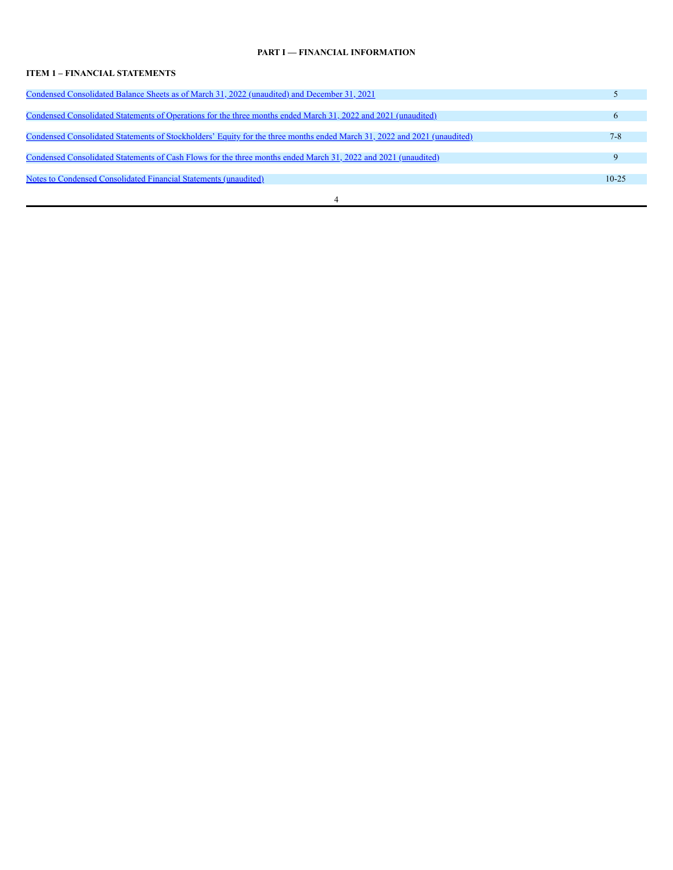# **PART I — FINANCIAL INFORMATION**

# <span id="page-3-1"></span><span id="page-3-0"></span>**ITEM 1 – FINANCIAL STATEMENTS**

| Condensed Consolidated Balance Sheets as of March 31, 2022 (unaudited) and December 31, 2021                             |         |
|--------------------------------------------------------------------------------------------------------------------------|---------|
|                                                                                                                          |         |
| Condensed Consolidated Statements of Operations for the three months ended March 31, 2022 and 2021 (unaudited)           |         |
|                                                                                                                          |         |
| Condensed Consolidated Statements of Stockholders' Equity for the three months ended March 31, 2022 and 2021 (unaudited) | 7-8     |
|                                                                                                                          |         |
| Condensed Consolidated Statements of Cash Flows for the three months ended March 31, 2022 and 2021 (unaudited)           |         |
|                                                                                                                          |         |
| Notes to Condensed Consolidated Financial Statements (unaudited)                                                         | $10-25$ |
|                                                                                                                          |         |
|                                                                                                                          |         |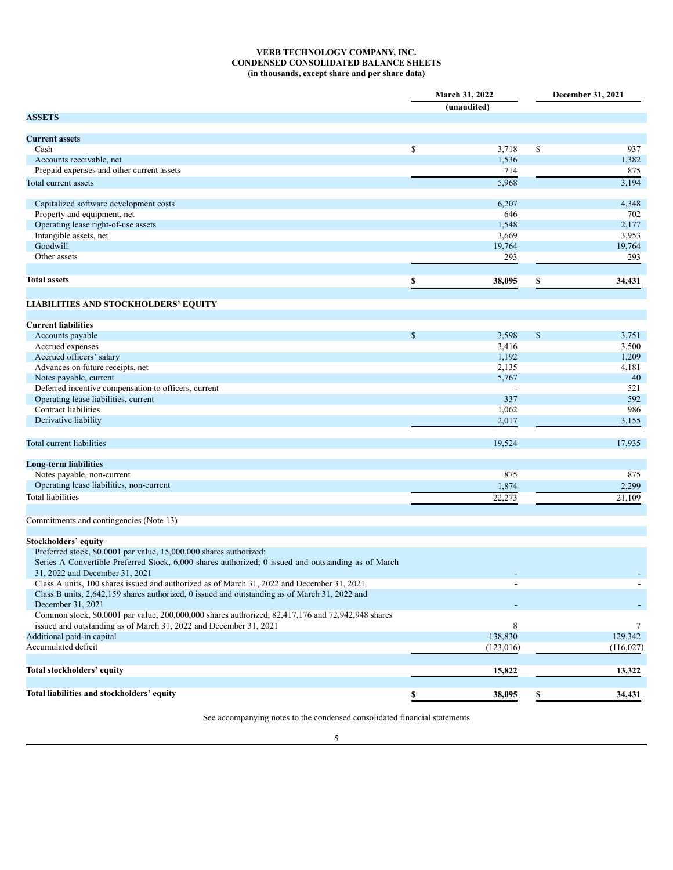# **VERB TECHNOLOGY COMPANY, INC. CONDENSED CONSOLIDATED BALANCE SHEETS (in thousands, except share and per share data)**

<span id="page-4-0"></span>

|                                                                                                                    | March 31, 2022           |              | December 31, 2021 |
|--------------------------------------------------------------------------------------------------------------------|--------------------------|--------------|-------------------|
|                                                                                                                    | (unaudited)              |              |                   |
| <b>ASSETS</b>                                                                                                      |                          |              |                   |
|                                                                                                                    |                          |              |                   |
| <b>Current assets</b>                                                                                              |                          |              |                   |
| Cash                                                                                                               | \$<br>3,718<br>1,536     | \$           | 937<br>1,382      |
| Accounts receivable, net<br>Prepaid expenses and other current assets                                              |                          |              |                   |
|                                                                                                                    | 714                      |              | 875               |
| Total current assets                                                                                               | 5,968                    |              | 3,194             |
| Capitalized software development costs                                                                             | 6,207                    |              | 4,348             |
| Property and equipment, net                                                                                        | 646                      |              | 702               |
| Operating lease right-of-use assets                                                                                | 1,548                    |              | 2,177             |
| Intangible assets, net                                                                                             | 3,669                    |              | 3,953             |
| Goodwill                                                                                                           | 19,764                   |              | 19,764            |
| Other assets                                                                                                       | 293                      |              | 293               |
| <b>Total assets</b>                                                                                                | 38,095                   | \$           | 34,431            |
|                                                                                                                    |                          |              |                   |
| LIABILITIES AND STOCKHOLDERS' EQUITY                                                                               |                          |              |                   |
| <b>Current liabilities</b>                                                                                         |                          |              |                   |
| Accounts payable                                                                                                   | \$<br>3,598              | $\mathbb{S}$ | 3,751             |
| Accrued expenses                                                                                                   | 3,416                    |              | 3,500             |
| Accrued officers' salary                                                                                           | 1,192                    |              | 1,209             |
| Advances on future receipts, net                                                                                   | 2,135                    |              | 4,181             |
| Notes payable, current                                                                                             | 5,767                    |              | 40                |
| Deferred incentive compensation to officers, current                                                               | $\overline{\phantom{a}}$ |              | 521               |
| Operating lease liabilities, current                                                                               | 337                      |              | 592               |
| Contract liabilities                                                                                               | 1,062                    |              | 986               |
| Derivative liability                                                                                               | 2,017                    |              | 3,155             |
| Total current liabilities                                                                                          | 19,524                   |              | 17,935            |
| <b>Long-term liabilities</b>                                                                                       |                          |              |                   |
| Notes payable, non-current                                                                                         | 875                      |              | 875               |
| Operating lease liabilities, non-current                                                                           | 1,874                    |              | 2,299             |
| <b>Total liabilities</b>                                                                                           | 22,273                   |              | 21,109            |
| Commitments and contingencies (Note 13)                                                                            |                          |              |                   |
|                                                                                                                    |                          |              |                   |
| Stockholders' equity                                                                                               |                          |              |                   |
| Preferred stock, \$0.0001 par value, 15,000,000 shares authorized:                                                 |                          |              |                   |
| Series A Convertible Preferred Stock, 6,000 shares authorized; 0 issued and outstanding as of March                |                          |              |                   |
| 31, 2022 and December 31, 2021                                                                                     |                          |              |                   |
| Class A units, 100 shares issued and authorized as of March 31, 2022 and December 31, 2021                         |                          |              |                   |
| Class B units, 2,642,159 shares authorized, 0 issued and outstanding as of March 31, 2022 and<br>December 31, 2021 |                          |              |                   |
| Common stock, \$0.0001 par value, 200,000,000 shares authorized, 82,417,176 and 72,942,948 shares                  |                          |              |                   |
| issued and outstanding as of March 31, 2022 and December 31, 2021                                                  | 8                        |              | 7                 |
| Additional paid-in capital                                                                                         | 138,830                  |              | 129,342           |
| Accumulated deficit                                                                                                | (123,016)                |              | (116, 027)        |
| Total stockholders' equity                                                                                         | 15,822                   |              | 13,322            |
|                                                                                                                    |                          |              |                   |
| Total liabilities and stockholders' equity                                                                         | 38,095                   | S            | 34,431            |

See accompanying notes to the condensed consolidated financial statements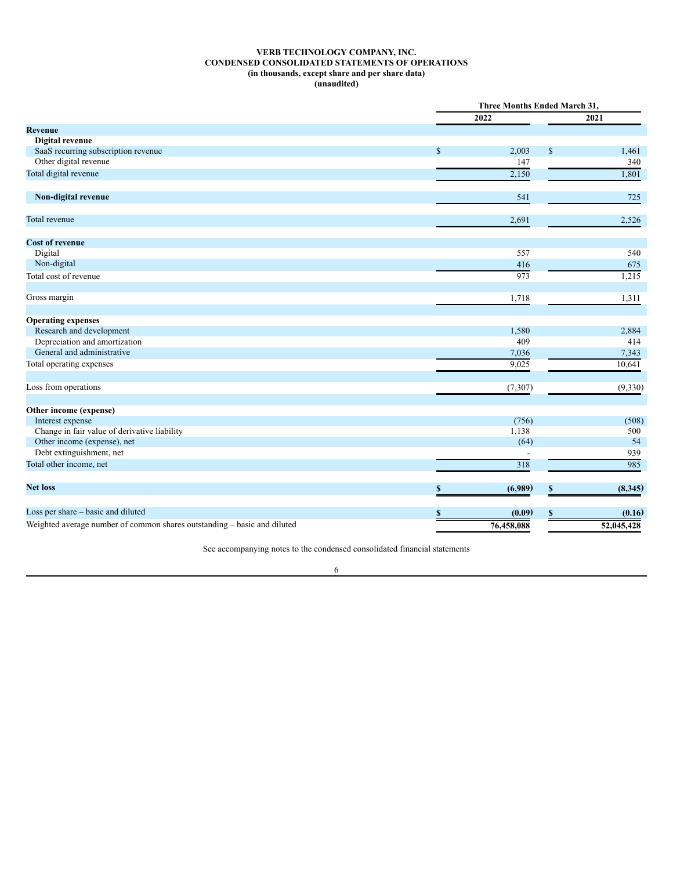# **VERB TECHNOLOGY COMPANY, INC. CONDENSED CONSOLIDATED STATEMENTS OF OPERATIONS (in thousands, except share and per share data) (unaudited)**

<span id="page-5-0"></span>

|                                                                          |                    | <b>Three Months Ended March 31,</b> |                           |            |  |
|--------------------------------------------------------------------------|--------------------|-------------------------------------|---------------------------|------------|--|
|                                                                          |                    | 2022                                |                           | 2021       |  |
| <b>Revenue</b>                                                           |                    |                                     |                           |            |  |
| Digital revenue                                                          |                    |                                     |                           |            |  |
| SaaS recurring subscription revenue                                      | $\mathbb{S}$       | 2,003                               | $\mathbb{S}$              | 1,461      |  |
| Other digital revenue                                                    |                    | 147                                 |                           | 340        |  |
| Total digital revenue                                                    |                    | 2,150                               |                           | 1,801      |  |
| Non-digital revenue                                                      |                    | 541                                 |                           | 725        |  |
| Total revenue                                                            |                    | 2,691                               |                           | 2,526      |  |
| <b>Cost of revenue</b>                                                   |                    |                                     |                           |            |  |
| Digital                                                                  |                    | 557                                 |                           | 540        |  |
| Non-digital                                                              |                    | 416                                 |                           | 675        |  |
| Total cost of revenue                                                    |                    | 973                                 |                           | 1,215      |  |
| Gross margin                                                             |                    | 1,718                               |                           | 1,311      |  |
| <b>Operating expenses</b>                                                |                    |                                     |                           |            |  |
| Research and development                                                 |                    | 1,580                               |                           | 2,884      |  |
| Depreciation and amortization                                            |                    | 409                                 |                           | 414        |  |
| General and administrative                                               |                    | 7,036                               |                           | 7,343      |  |
| Total operating expenses                                                 |                    | 9,025                               |                           | 10,641     |  |
| Loss from operations                                                     |                    | (7,307)                             |                           | (9, 330)   |  |
| Other income (expense)                                                   |                    |                                     |                           |            |  |
| Interest expense                                                         |                    | (756)                               |                           | (508)      |  |
| Change in fair value of derivative liability                             |                    | 1,138                               |                           | 500        |  |
| Other income (expense), net                                              |                    | (64)                                |                           | 54         |  |
| Debt extinguishment, net                                                 |                    |                                     |                           | 939        |  |
| Total other income, net                                                  |                    | 318                                 |                           | 985        |  |
| <b>Net loss</b>                                                          | \$                 | (6,989)                             | $\boldsymbol{\mathsf{s}}$ | (8,345)    |  |
| Loss per share - basic and diluted                                       | $\pmb{\mathbb{S}}$ | (0.09)                              | $\boldsymbol{\mathsf{s}}$ | (0.16)     |  |
| Weighted average number of common shares outstanding - basic and diluted |                    | 76,458,088                          |                           | 52,045,428 |  |

See accompanying notes to the condensed consolidated financial statements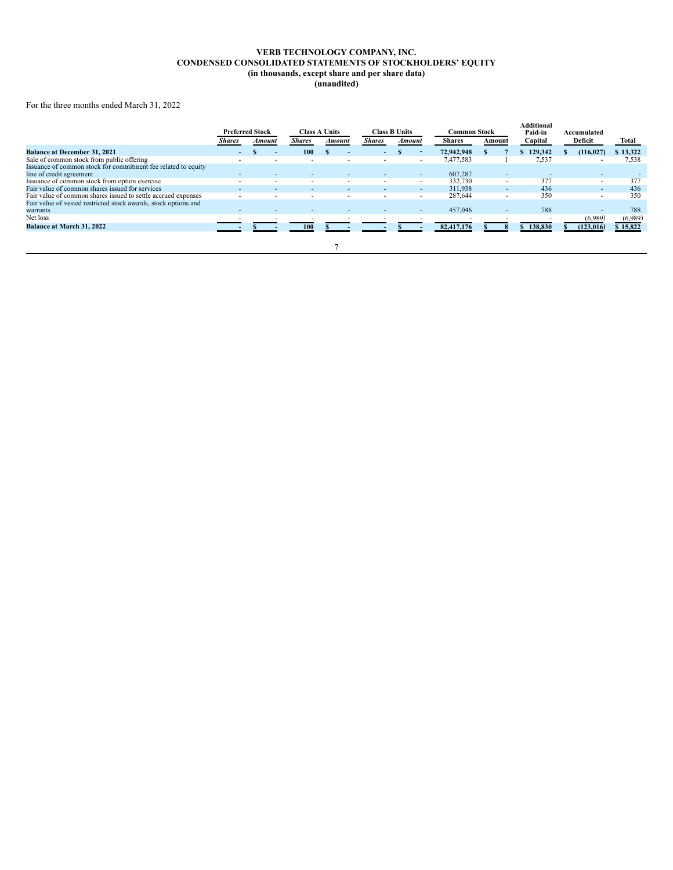# **VERB TECHNOLOGY COMPANY, INC. CONDENSED CONSOLIDATED STATEMENTS OF STOCKHOLDERS' EQUITY (in thousands, except share and per share data) (unaudited)**

<span id="page-6-0"></span>For the three months ended March 31, 2022

|                                                                                           |               | <b>Preferred Stock</b> |               | <b>Class A Units</b> |               | <b>Class B Units</b> | <b>Common Stock</b> |        | <b>Additional</b><br>Paid-in | Accumulated |          |
|-------------------------------------------------------------------------------------------|---------------|------------------------|---------------|----------------------|---------------|----------------------|---------------------|--------|------------------------------|-------------|----------|
|                                                                                           | <b>Shares</b> | <b>Amount</b>          | <b>Shares</b> | <b>Amount</b>        | <b>Shares</b> | <b>Amount</b>        | <b>Shares</b>       | Amount | Capital                      | Deficit     | Total    |
| <b>Balance at December 31, 2021</b>                                                       |               |                        | 100           |                      | ۰.            |                      | 72,942,948          |        | 129.342                      | (116, 027)  | \$13,322 |
| Sale of common stock from public offering                                                 |               | ۰                      |               | ۰                    | ۰.            | ۰                    | 7,477,583           |        | 7,537                        |             | 7,538    |
| Issuance of common stock for commitment fee related to equity<br>line of credit agreement |               |                        |               |                      |               |                      | 607,287             |        | $\overline{\phantom{a}}$     | $\sim$      |          |
| Issuance of common stock from option exercise                                             |               | ۰.                     |               | ۰.                   | $\sim$        | . .                  | 332,730             |        | 377                          | $\sim$      | 377      |
| Fair value of common shares issued for services                                           |               |                        |               | ۰.                   | ۰             | $\sim$               | 311,938             |        | 436<br>۰.                    |             | 436      |
| Fair value of common shares issued to settle accrued expenses                             |               |                        |               |                      | ۰             | ۰                    | 287,644             |        | 350                          | ۰           | 350      |
| Fair value of vested restricted stock awards, stock options and                           |               |                        |               |                      |               |                      |                     |        |                              |             |          |
| warrants                                                                                  |               |                        |               |                      |               |                      | 457,046             |        | 788                          |             | 788      |
| Net loss                                                                                  |               |                        |               |                      |               |                      |                     |        |                              | (6,989)     | (6,989)  |
| <b>Balance at March 31, 2022</b>                                                          |               |                        | 100           |                      |               |                      | 82,417,176          |        | 138,830                      | (123, 016)  | \$15,822 |
|                                                                                           |               |                        |               |                      |               |                      |                     |        |                              |             |          |
|                                                                                           |               |                        |               |                      |               |                      |                     |        |                              |             |          |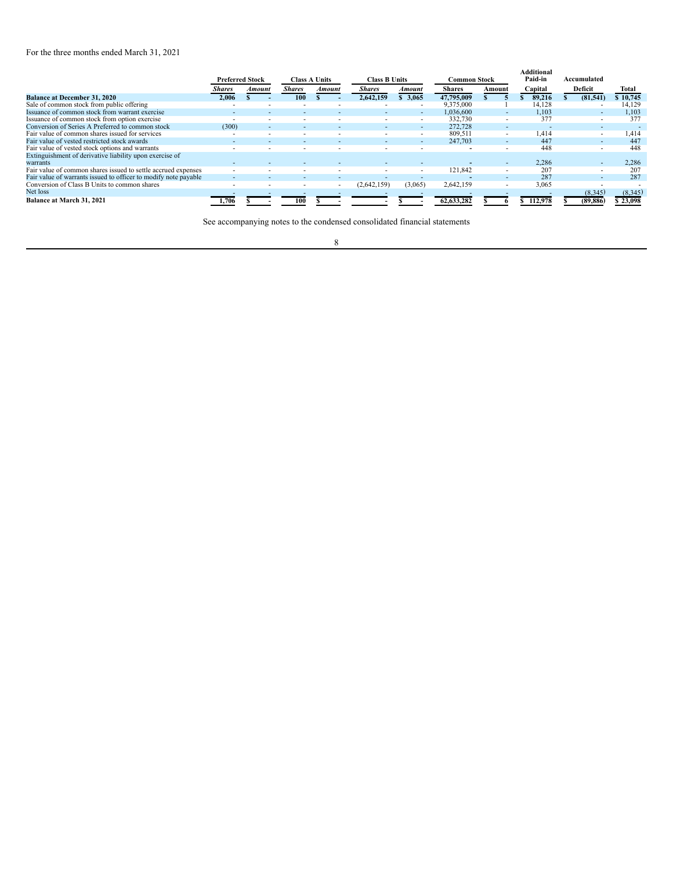# For the three months ended March 31, 2021

|                                                                 | <b>Preferred Stock</b> |        | <b>Class A Units</b> |        | <b>Class B Units</b>     |         | Common Stock  |        | <b>Additional</b><br>Paid-in | Accumulated              |         |
|-----------------------------------------------------------------|------------------------|--------|----------------------|--------|--------------------------|---------|---------------|--------|------------------------------|--------------------------|---------|
|                                                                 | <b>Shares</b>          | Amount | <b>Shares</b>        | Amount | <b>Shares</b>            | Amount  | <b>Shares</b> | Amount | Capital                      | <b>Deficit</b>           | Total   |
| <b>Balance at December 31, 2020</b>                             | 2.006                  |        | 100                  |        | 2.642.159                | \$3.065 | 47,795,009    |        | 89.216                       | (81.541)                 | 10,745  |
| Sale of common stock from public offering                       |                        |        |                      |        |                          |         | 9,375,000     |        | 14,128                       |                          | 14,129  |
| Issuance of common stock from warrant exercise                  |                        |        |                      |        |                          |         | 1.036.600     | ٠      | 1.103                        | $\overline{\phantom{a}}$ | 1.103   |
| Issuance of common stock from option exercise                   |                        | ۰.     |                      |        |                          |         | 332.730       | ۰      | 377                          |                          | 377     |
| Conversion of Series A Preferred to common stock                | (300)                  |        |                      |        |                          |         | 272,728       |        |                              | $\overline{\phantom{a}}$ |         |
| Fair value of common shares issued for services                 |                        |        |                      |        | $\sim$                   |         | 809.511       | ۰      | 1,414                        | $\overline{\phantom{a}}$ | 1,414   |
| Fair value of vested restricted stock awards                    |                        |        |                      |        | $\overline{\phantom{a}}$ |         | 247.703       | ۰      | 447                          | . .                      | 447     |
| Fair value of vested stock options and warrants                 |                        |        |                      |        |                          |         |               | ۰      | 448                          |                          | 448     |
| Extinguishment of derivative liability upon exercise of         |                        |        |                      |        |                          |         |               |        |                              |                          |         |
| warrants                                                        |                        |        |                      |        |                          |         |               |        | 2,286                        |                          | 2,286   |
| Fair value of common shares issued to settle accrued expenses   |                        |        |                      |        |                          |         | 121,842       |        | 207                          |                          | 207     |
| Fair value of warrants issued to officer to modify note payable |                        |        |                      |        |                          |         |               | ۰.     | 287                          |                          | 287     |
| Conversion of Class B Units to common shares                    |                        |        |                      |        | (2,642,159)              | (3,065) | 2,642,159     | ۰      | 3,065                        |                          |         |
| Net loss                                                        |                        |        |                      |        |                          |         |               |        |                              | (8,345)                  | (8,345) |
| Balance at March 31, 2021                                       | 1.706                  |        | 100                  |        |                          |         | 62,633,282    |        | 112,978                      | (89.886)                 | 23,098  |

See accompanying notes to the condensed consolidated financial statements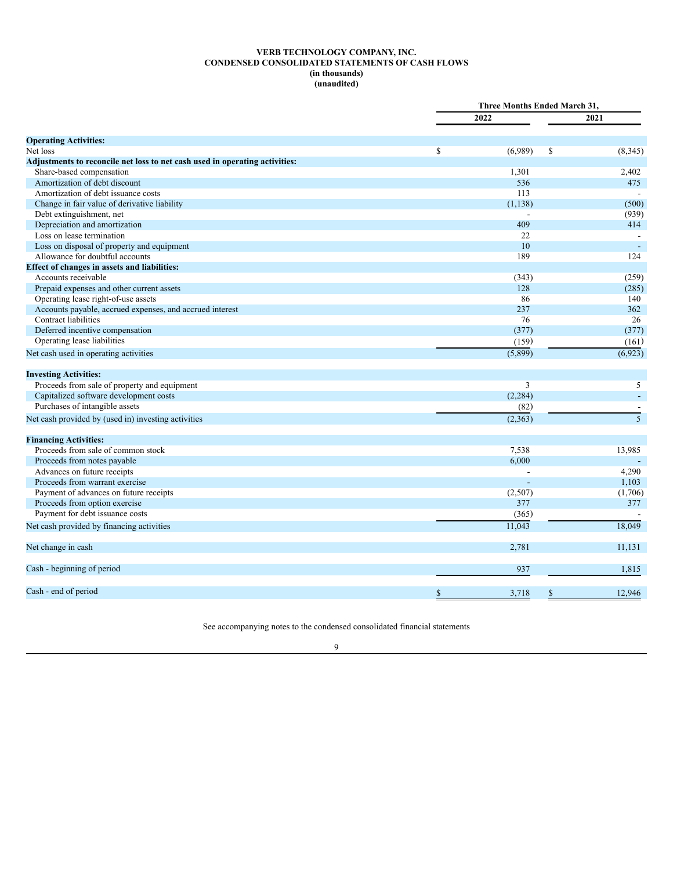## **VERB TECHNOLOGY COMPANY, INC. CONDENSED CONSOLIDATED STATEMENTS OF CASH FLOWS (in thousands) (unaudited)**

<span id="page-8-0"></span>

|                                                                             |             | <b>Three Months Ended March 31,</b> |                      |  |  |
|-----------------------------------------------------------------------------|-------------|-------------------------------------|----------------------|--|--|
|                                                                             |             | 2022                                | 2021                 |  |  |
| <b>Operating Activities:</b>                                                |             |                                     |                      |  |  |
| Net loss                                                                    | $\mathbf S$ | (6,989)<br>$\mathbf S$              | (8, 345)             |  |  |
| Adjustments to reconcile net loss to net cash used in operating activities: |             |                                     |                      |  |  |
| Share-based compensation                                                    |             | 1,301                               | 2,402                |  |  |
| Amortization of debt discount                                               |             | 536                                 | 475                  |  |  |
| Amortization of debt issuance costs                                         |             | 113                                 |                      |  |  |
| Change in fair value of derivative liability                                |             | (1,138)                             | (500)                |  |  |
| Debt extinguishment, net                                                    |             | $\overline{\phantom{a}}$            | (939)                |  |  |
| Depreciation and amortization                                               |             | 409                                 | 414                  |  |  |
| Loss on lease termination                                                   |             | 22                                  |                      |  |  |
| Loss on disposal of property and equipment                                  |             | 10                                  |                      |  |  |
| Allowance for doubtful accounts                                             |             | 189                                 | 124                  |  |  |
| Effect of changes in assets and liabilities:                                |             |                                     |                      |  |  |
| Accounts receivable                                                         |             | (343)                               | (259)                |  |  |
| Prepaid expenses and other current assets                                   |             | 128                                 | (285)                |  |  |
| Operating lease right-of-use assets                                         |             | 86                                  | 140                  |  |  |
| Accounts payable, accrued expenses, and accrued interest                    |             | 237                                 | 362                  |  |  |
| Contract liabilities                                                        |             | 76                                  | 26                   |  |  |
| Deferred incentive compensation                                             |             | (377)                               | (377)                |  |  |
| Operating lease liabilities                                                 |             | (159)                               | (161)                |  |  |
| Net cash used in operating activities                                       |             | (5,899)                             | $\overline{(6,923)}$ |  |  |
| <b>Investing Activities:</b>                                                |             |                                     |                      |  |  |
| Proceeds from sale of property and equipment                                |             | 3                                   | 5                    |  |  |
| Capitalized software development costs                                      |             | (2, 284)                            |                      |  |  |
| Purchases of intangible assets                                              |             | (82)                                |                      |  |  |
| Net cash provided by (used in) investing activities                         |             | (2,363)                             | $\overline{5}$       |  |  |
| <b>Financing Activities:</b>                                                |             |                                     |                      |  |  |
| Proceeds from sale of common stock                                          |             | 7,538                               | 13,985               |  |  |
| Proceeds from notes payable                                                 |             | 6.000                               |                      |  |  |
| Advances on future receipts                                                 |             |                                     | 4,290                |  |  |
| Proceeds from warrant exercise                                              |             | $\omega$                            | 1,103                |  |  |
| Payment of advances on future receipts                                      |             | (2,507)                             | (1,706)              |  |  |
| Proceeds from option exercise                                               |             | 377                                 | 377                  |  |  |
| Payment for debt issuance costs                                             |             | (365)                               |                      |  |  |
| Net cash provided by financing activities                                   |             | 11,043                              | 18,049               |  |  |
| Net change in cash                                                          |             | 2,781                               | 11,131               |  |  |
| Cash - beginning of period                                                  |             | 937                                 | 1,815                |  |  |
| Cash - end of period                                                        | \$          | 3,718<br>\$                         | 12,946               |  |  |
|                                                                             |             |                                     |                      |  |  |

See accompanying notes to the condensed consolidated financial statements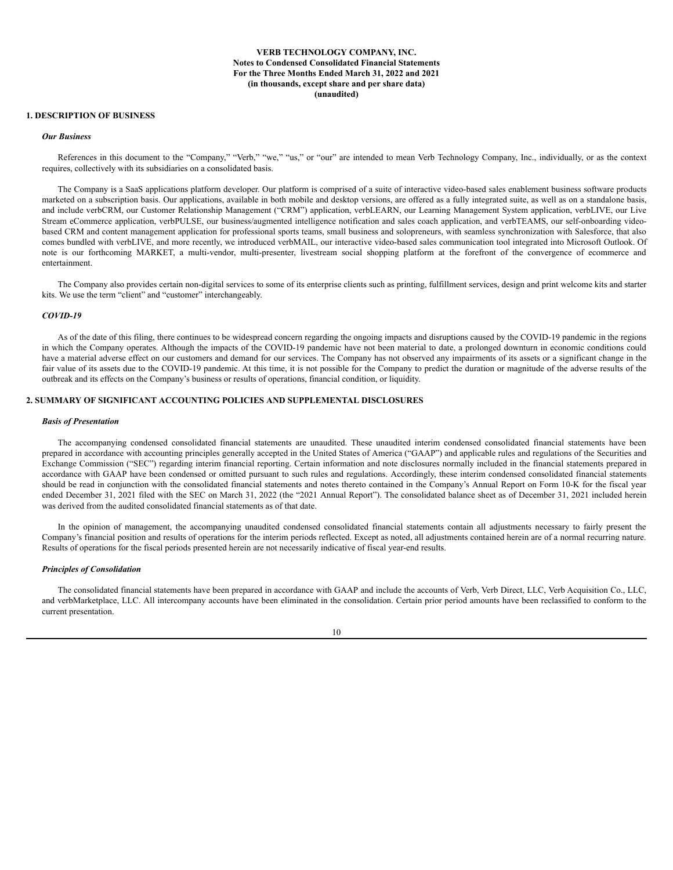# **VERB TECHNOLOGY COMPANY, INC. Notes to Condensed Consolidated Financial Statements For the Three Months Ended March 31, 2022 and 2021 (in thousands, except share and per share data) (unaudited)**

# <span id="page-9-0"></span>**1. DESCRIPTION OF BUSINESS**

#### *Our Business*

References in this document to the "Company," "Verb," "we," "us," or "our" are intended to mean Verb Technology Company, Inc., individually, or as the context requires, collectively with its subsidiaries on a consolidated basis.

The Company is a SaaS applications platform developer. Our platform is comprised of a suite of interactive video-based sales enablement business software products marketed on a subscription basis. Our applications, available in both mobile and desktop versions, are offered as a fully integrated suite, as well as on a standalone basis, and include verbCRM, our Customer Relationship Management ("CRM") application, verbLEARN, our Learning Management System application, verbLIVE, our Live Stream eCommerce application, verbPULSE, our business/augmented intelligence notification and sales coach application, and verbTEAMS, our self-onboarding videobased CRM and content management application for professional sports teams, small business and solopreneurs, with seamless synchronization with Salesforce, that also comes bundled with verbLIVE, and more recently, we introduced verbMAIL, our interactive video-based sales communication tool integrated into Microsoft Outlook. Of note is our forthcoming MARKET, a multi-vendor, multi-presenter, livestream social shopping platform at the forefront of the convergence of ecommerce and entertainment.

The Company also provides certain non-digital services to some of its enterprise clients such as printing, fulfillment services, design and print welcome kits and starter kits. We use the term "client" and "customer" interchangeably.

# *COVID-19*

As of the date of this filing, there continues to be widespread concern regarding the ongoing impacts and disruptions caused by the COVID-19 pandemic in the regions in which the Company operates. Although the impacts of the COVID-19 pandemic have not been material to date, a prolonged downturn in economic conditions could have a material adverse effect on our customers and demand for our services. The Company has not observed any impairments of its assets or a significant change in the fair value of its assets due to the COVID-19 pandemic. At this time, it is not possible for the Company to predict the duration or magnitude of the adverse results of the outbreak and its effects on the Company's business or results of operations, financial condition, or liquidity.

# **2. SUMMARY OF SIGNIFICANT ACCOUNTING POLICIES AND SUPPLEMENTAL DISCLOSURES**

### *Basis of Presentation*

The accompanying condensed consolidated financial statements are unaudited. These unaudited interim condensed consolidated financial statements have been prepared in accordance with accounting principles generally accepted in the United States of America ("GAAP") and applicable rules and regulations of the Securities and Exchange Commission ("SEC") regarding interim financial reporting. Certain information and note disclosures normally included in the financial statements prepared in accordance with GAAP have been condensed or omitted pursuant to such rules and regulations. Accordingly, these interim condensed consolidated financial statements should be read in conjunction with the consolidated financial statements and notes thereto contained in the Company's Annual Report on Form 10-K for the fiscal year ended December 31, 2021 filed with the SEC on March 31, 2022 (the "2021 Annual Report"). The consolidated balance sheet as of December 31, 2021 included herein was derived from the audited consolidated financial statements as of that date.

In the opinion of management, the accompanying unaudited condensed consolidated financial statements contain all adjustments necessary to fairly present the Company's financial position and results of operations for the interim periods reflected. Except as noted, all adjustments contained herein are of a normal recurring nature. Results of operations for the fiscal periods presented herein are not necessarily indicative of fiscal year-end results.

# *Principles of Consolidation*

The consolidated financial statements have been prepared in accordance with GAAP and include the accounts of Verb, Verb Direct, LLC, Verb Acquisition Co., LLC, and verbMarketplace, LLC. All intercompany accounts have been eliminated in the consolidation. Certain prior period amounts have been reclassified to conform to the current presentation.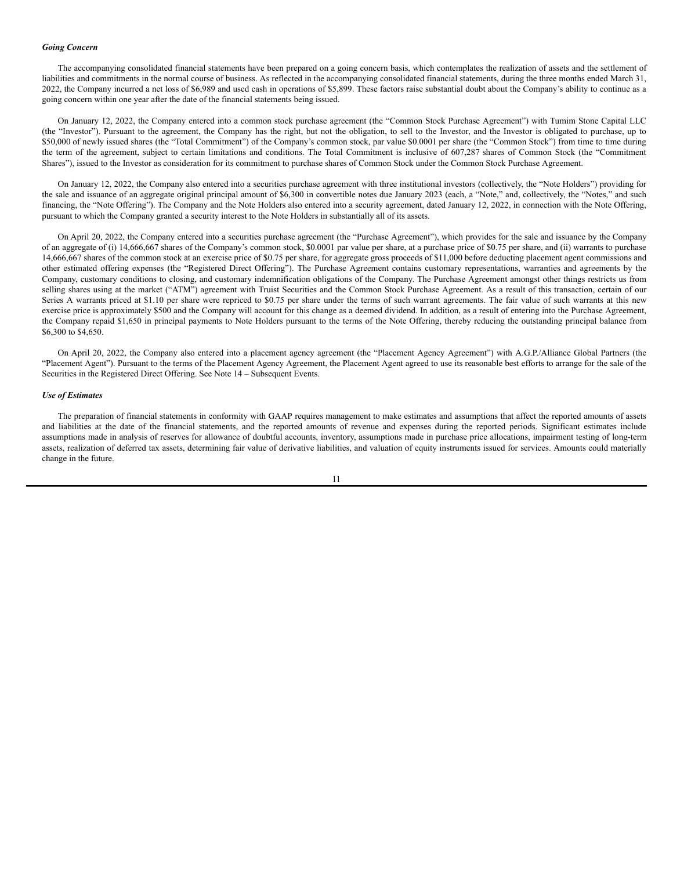#### *Going Concern*

The accompanying consolidated financial statements have been prepared on a going concern basis, which contemplates the realization of assets and the settlement of liabilities and commitments in the normal course of business. As reflected in the accompanying consolidated financial statements, during the three months ended March 31, 2022, the Company incurred a net loss of \$6,989 and used cash in operations of \$5,899. These factors raise substantial doubt about the Company's ability to continue as a going concern within one year after the date of the financial statements being issued.

On January 12, 2022, the Company entered into a common stock purchase agreement (the "Common Stock Purchase Agreement") with Tumim Stone Capital LLC (the "Investor"). Pursuant to the agreement, the Company has the right, but not the obligation, to sell to the Investor, and the Investor is obligated to purchase, up to \$50,000 of newly issued shares (the "Total Commitment") of the Company's common stock, par value \$0.0001 per share (the "Common Stock") from time to time during the term of the agreement, subject to certain limitations and conditions. The Total Commitment is inclusive of 607,287 shares of Common Stock (the "Commitment Shares"), issued to the Investor as consideration for its commitment to purchase shares of Common Stock under the Common Stock Purchase Agreement.

On January 12, 2022, the Company also entered into a securities purchase agreement with three institutional investors (collectively, the "Note Holders") providing for the sale and issuance of an aggregate original principal amount of \$6,300 in convertible notes due January 2023 (each, a "Note," and, collectively, the "Notes," and such financing, the "Note Offering"). The Company and the Note Holders also entered into a security agreement, dated January 12, 2022, in connection with the Note Offering, pursuant to which the Company granted a security interest to the Note Holders in substantially all of its assets.

On April 20, 2022, the Company entered into a securities purchase agreement (the "Purchase Agreement"), which provides for the sale and issuance by the Company of an aggregate of (i) 14,666,667 shares of the Company's common stock, \$0.0001 par value per share, at a purchase price of \$0.75 per share, and (ii) warrants to purchase 14,666,667 shares of the common stock at an exercise price of \$0.75 per share, for aggregate gross proceeds of \$11,000 before deducting placement agent commissions and other estimated offering expenses (the "Registered Direct Offering"). The Purchase Agreement contains customary representations, warranties and agreements by the Company, customary conditions to closing, and customary indemnification obligations of the Company. The Purchase Agreement amongst other things restricts us from selling shares using at the market ("ATM") agreement with Truist Securities and the Common Stock Purchase Agreement. As a result of this transaction, certain of our Series A warrants priced at \$1.10 per share were repriced to \$0.75 per share under the terms of such warrant agreements. The fair value of such warrants at this new exercise price is approximately \$500 and the Company will account for this change as a deemed dividend. In addition, as a result of entering into the Purchase Agreement, the Company repaid \$1,650 in principal payments to Note Holders pursuant to the terms of the Note Offering, thereby reducing the outstanding principal balance from \$6,300 to \$4,650.

On April 20, 2022, the Company also entered into a placement agency agreement (the "Placement Agency Agreement") with A.G.P./Alliance Global Partners (the "Placement Agent"). Pursuant to the terms of the Placement Agency Agreement, the Placement Agent agreed to use its reasonable best efforts to arrange for the sale of the Securities in the Registered Direct Offering. See Note 14 – Subsequent Events.

#### *Use of Estimates*

The preparation of financial statements in conformity with GAAP requires management to make estimates and assumptions that affect the reported amounts of assets and liabilities at the date of the financial statements, and the reported amounts of revenue and expenses during the reported periods. Significant estimates include assumptions made in analysis of reserves for allowance of doubtful accounts, inventory, assumptions made in purchase price allocations, impairment testing of long-term assets, realization of deferred tax assets, determining fair value of derivative liabilities, and valuation of equity instruments issued for services. Amounts could materially change in the future.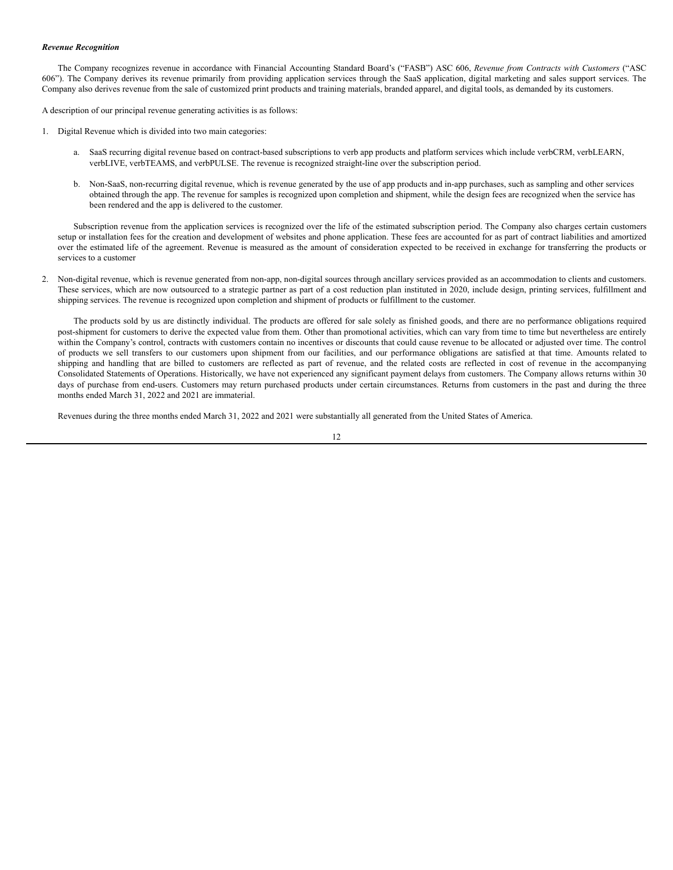# *Revenue Recognition*

The Company recognizes revenue in accordance with Financial Accounting Standard Board's ("FASB") ASC 606, *Revenue from Contracts with Customers* ("ASC 606"). The Company derives its revenue primarily from providing application services through the SaaS application, digital marketing and sales support services. The Company also derives revenue from the sale of customized print products and training materials, branded apparel, and digital tools, as demanded by its customers.

A description of our principal revenue generating activities is as follows:

- 1. Digital Revenue which is divided into two main categories:
	- a. SaaS recurring digital revenue based on contract-based subscriptions to verb app products and platform services which include verbCRM, verbLEARN, verbLIVE, verbTEAMS, and verbPULSE. The revenue is recognized straight-line over the subscription period.
	- b. Non-SaaS, non-recurring digital revenue, which is revenue generated by the use of app products and in-app purchases, such as sampling and other services obtained through the app. The revenue for samples is recognized upon completion and shipment, while the design fees are recognized when the service has been rendered and the app is delivered to the customer.

Subscription revenue from the application services is recognized over the life of the estimated subscription period. The Company also charges certain customers setup or installation fees for the creation and development of websites and phone application. These fees are accounted for as part of contract liabilities and amortized over the estimated life of the agreement. Revenue is measured as the amount of consideration expected to be received in exchange for transferring the products or services to a customer

2. Non-digital revenue, which is revenue generated from non-app, non-digital sources through ancillary services provided as an accommodation to clients and customers. These services, which are now outsourced to a strategic partner as part of a cost reduction plan instituted in 2020, include design, printing services, fulfillment and shipping services. The revenue is recognized upon completion and shipment of products or fulfillment to the customer.

The products sold by us are distinctly individual. The products are offered for sale solely as finished goods, and there are no performance obligations required post-shipment for customers to derive the expected value from them. Other than promotional activities, which can vary from time to time but nevertheless are entirely within the Company's control, contracts with customers contain no incentives or discounts that could cause revenue to be allocated or adjusted over time. The control of products we sell transfers to our customers upon shipment from our facilities, and our performance obligations are satisfied at that time. Amounts related to shipping and handling that are billed to customers are reflected as part of revenue, and the related costs are reflected in cost of revenue in the accompanying Consolidated Statements of Operations. Historically, we have not experienced any significant payment delays from customers. The Company allows returns within 30 days of purchase from end-users. Customers may return purchased products under certain circumstances. Returns from customers in the past and during the three months ended March 31, 2022 and 2021 are immaterial.

Revenues during the three months ended March 31, 2022 and 2021 were substantially all generated from the United States of America.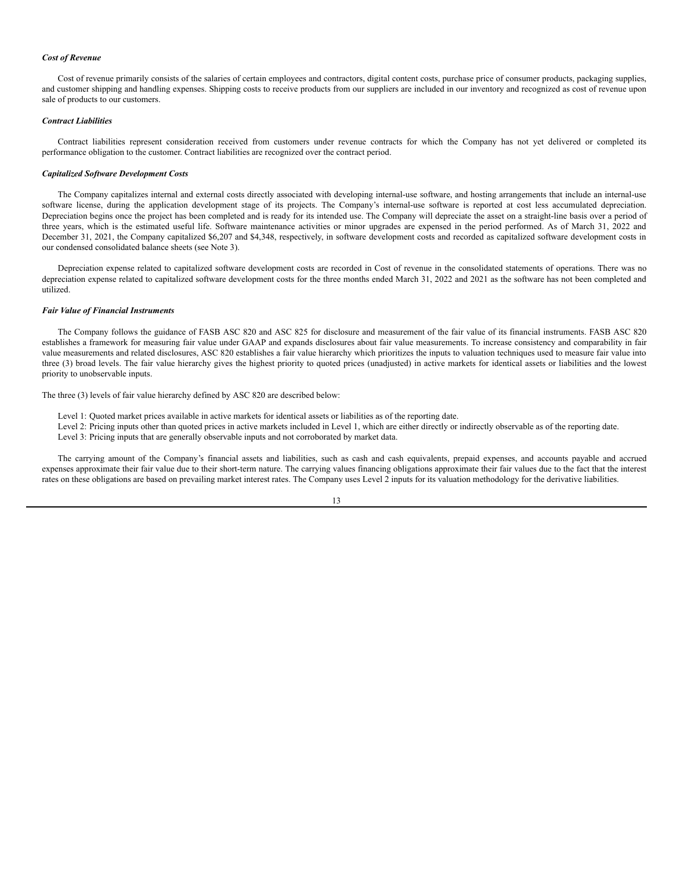#### *Cost of Revenue*

Cost of revenue primarily consists of the salaries of certain employees and contractors, digital content costs, purchase price of consumer products, packaging supplies, and customer shipping and handling expenses. Shipping costs to receive products from our suppliers are included in our inventory and recognized as cost of revenue upon sale of products to our customers.

#### *Contract Liabilities*

Contract liabilities represent consideration received from customers under revenue contracts for which the Company has not yet delivered or completed its performance obligation to the customer. Contract liabilities are recognized over the contract period.

# *Capitalized Software Development Costs*

The Company capitalizes internal and external costs directly associated with developing internal-use software, and hosting arrangements that include an internal-use software license, during the application development stage of its projects. The Company's internal-use software is reported at cost less accumulated depreciation. Depreciation begins once the project has been completed and is ready for its intended use. The Company will depreciate the asset on a straight-line basis over a period of three years, which is the estimated useful life. Software maintenance activities or minor upgrades are expensed in the period performed. As of March 31, 2022 and December 31, 2021, the Company capitalized \$6,207 and \$4,348, respectively, in software development costs and recorded as capitalized software development costs in our condensed consolidated balance sheets (see Note 3).

Depreciation expense related to capitalized software development costs are recorded in Cost of revenue in the consolidated statements of operations. There was no depreciation expense related to capitalized software development costs for the three months ended March 31, 2022 and 2021 as the software has not been completed and utilized.

# *Fair Value of Financial Instruments*

The Company follows the guidance of FASB ASC 820 and ASC 825 for disclosure and measurement of the fair value of its financial instruments. FASB ASC 820 establishes a framework for measuring fair value under GAAP and expands disclosures about fair value measurements. To increase consistency and comparability in fair value measurements and related disclosures, ASC 820 establishes a fair value hierarchy which prioritizes the inputs to valuation techniques used to measure fair value into three (3) broad levels. The fair value hierarchy gives the highest priority to quoted prices (unadjusted) in active markets for identical assets or liabilities and the lowest priority to unobservable inputs.

The three (3) levels of fair value hierarchy defined by ASC 820 are described below:

Level 1: Quoted market prices available in active markets for identical assets or liabilities as of the reporting date.

- Level 2: Pricing inputs other than quoted prices in active markets included in Level 1, which are either directly or indirectly observable as of the reporting date.
- Level 3: Pricing inputs that are generally observable inputs and not corroborated by market data.

The carrying amount of the Company's financial assets and liabilities, such as cash and cash equivalents, prepaid expenses, and accounts payable and accrued expenses approximate their fair value due to their short-term nature. The carrying values financing obligations approximate their fair values due to the fact that the interest rates on these obligations are based on prevailing market interest rates. The Company uses Level 2 inputs for its valuation methodology for the derivative liabilities.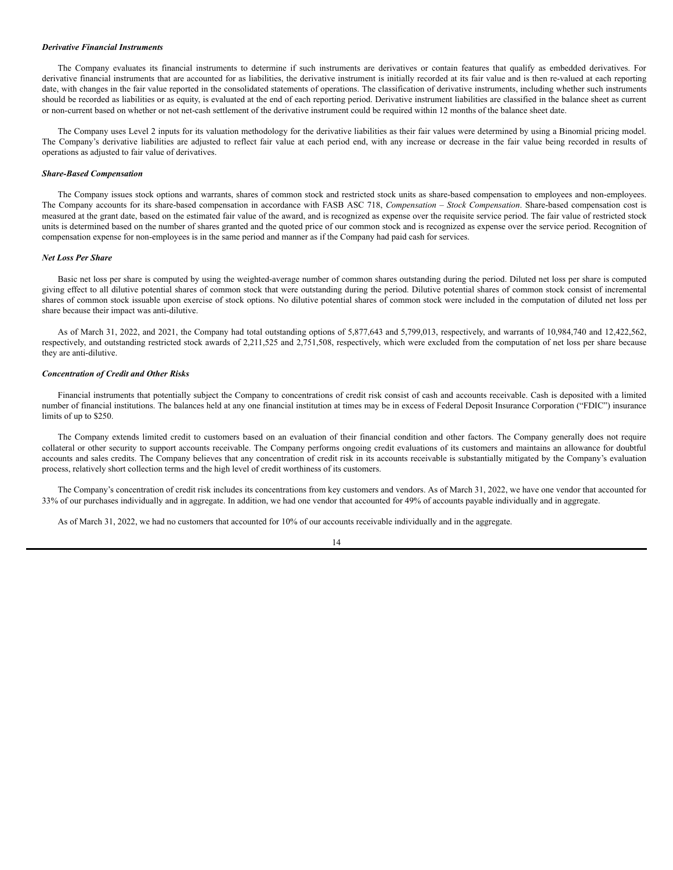# *Derivative Financial Instruments*

The Company evaluates its financial instruments to determine if such instruments are derivatives or contain features that qualify as embedded derivatives. For derivative financial instruments that are accounted for as liabilities, the derivative instrument is initially recorded at its fair value and is then re-valued at each reporting date, with changes in the fair value reported in the consolidated statements of operations. The classification of derivative instruments, including whether such instruments should be recorded as liabilities or as equity, is evaluated at the end of each reporting period. Derivative instrument liabilities are classified in the balance sheet as current or non-current based on whether or not net-cash settlement of the derivative instrument could be required within 12 months of the balance sheet date.

The Company uses Level 2 inputs for its valuation methodology for the derivative liabilities as their fair values were determined by using a Binomial pricing model. The Company's derivative liabilities are adjusted to reflect fair value at each period end, with any increase or decrease in the fair value being recorded in results of operations as adjusted to fair value of derivatives.

# *Share-Based Compensation*

The Company issues stock options and warrants, shares of common stock and restricted stock units as share-based compensation to employees and non-employees. The Company accounts for its share-based compensation in accordance with FASB ASC 718, *Compensation – Stock Compensation*. Share-based compensation cost is measured at the grant date, based on the estimated fair value of the award, and is recognized as expense over the requisite service period. The fair value of restricted stock units is determined based on the number of shares granted and the quoted price of our common stock and is recognized as expense over the service period. Recognition of compensation expense for non-employees is in the same period and manner as if the Company had paid cash for services.

# *Net Loss Per Share*

Basic net loss per share is computed by using the weighted-average number of common shares outstanding during the period. Diluted net loss per share is computed giving effect to all dilutive potential shares of common stock that were outstanding during the period. Dilutive potential shares of common stock consist of incremental shares of common stock issuable upon exercise of stock options. No dilutive potential shares of common stock were included in the computation of diluted net loss per share because their impact was anti-dilutive.

As of March 31, 2022, and 2021, the Company had total outstanding options of 5,877,643 and 5,799,013, respectively, and warrants of 10,984,740 and 12,422,562, respectively, and outstanding restricted stock awards of 2,211,525 and 2,751,508, respectively, which were excluded from the computation of net loss per share because they are anti-dilutive.

# *Concentration of Credit and Other Risks*

Financial instruments that potentially subject the Company to concentrations of credit risk consist of cash and accounts receivable. Cash is deposited with a limited number of financial institutions. The balances held at any one financial institution at times may be in excess of Federal Deposit Insurance Corporation ("FDIC") insurance limits of up to \$250.

The Company extends limited credit to customers based on an evaluation of their financial condition and other factors. The Company generally does not require collateral or other security to support accounts receivable. The Company performs ongoing credit evaluations of its customers and maintains an allowance for doubtful accounts and sales credits. The Company believes that any concentration of credit risk in its accounts receivable is substantially mitigated by the Company's evaluation process, relatively short collection terms and the high level of credit worthiness of its customers.

The Company's concentration of credit risk includes its concentrations from key customers and vendors. As of March 31, 2022, we have one vendor that accounted for 33% of our purchases individually and in aggregate. In addition, we had one vendor that accounted for 49% of accounts payable individually and in aggregate.

As of March 31, 2022, we had no customers that accounted for 10% of our accounts receivable individually and in the aggregate.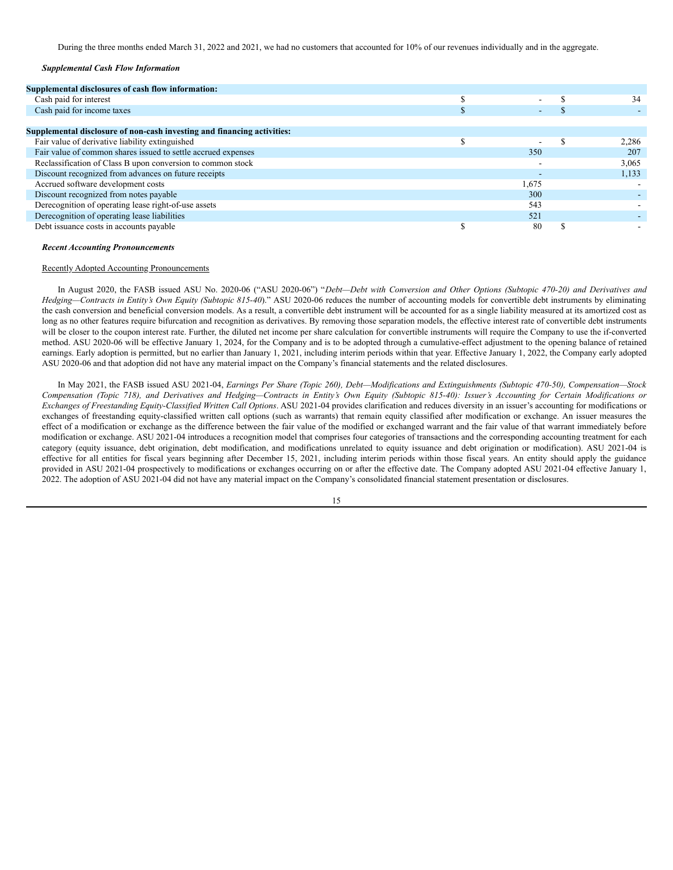During the three months ended March 31, 2022 and 2021, we had no customers that accounted for 10% of our revenues individually and in the aggregate.

#### *Supplemental Cash Flow Information*

| Supplemental disclosures of cash flow information:                      |                |       |
|-------------------------------------------------------------------------|----------------|-------|
| Cash paid for interest                                                  | $\blacksquare$ | 34    |
| Cash paid for income taxes                                              |                |       |
|                                                                         |                |       |
| Supplemental disclosure of non-cash investing and financing activities: |                |       |
| Fair value of derivative liability extinguished                         |                | 2,286 |
| Fair value of common shares issued to settle accrued expenses           | 350            | 207   |
| Reclassification of Class B upon conversion to common stock             |                | 3,065 |
| Discount recognized from advances on future receipts                    |                | 1,133 |
| Accrued software development costs                                      | 1,675          |       |
| Discount recognized from notes payable                                  | 300            |       |
| Derecognition of operating lease right-of-use assets                    | 543            |       |
| Derecognition of operating lease liabilities                            | 521            |       |
| Debt issuance costs in accounts payable                                 | 80             |       |
|                                                                         |                |       |

#### *Recent Accounting Pronouncements*

#### Recently Adopted Accounting Pronouncements

In August 2020, the FASB issued ASU No. 2020-06 ("ASU 2020-06") "*Debt—Debt with Conversion and Other Options (Subtopic 470-20) and Derivatives and Hedging—Contracts in Entity's Own Equity (Subtopic 815-40*)." ASU 2020-06 reduces the number of accounting models for convertible debt instruments by eliminating the cash conversion and beneficial conversion models. As a result, a convertible debt instrument will be accounted for as a single liability measured at its amortized cost as long as no other features require bifurcation and recognition as derivatives. By removing those separation models, the effective interest rate of convertible debt instruments will be closer to the coupon interest rate. Further, the diluted net income per share calculation for convertible instruments will require the Company to use the if-converted method. ASU 2020-06 will be effective January 1, 2024, for the Company and is to be adopted through a cumulative-effect adjustment to the opening balance of retained earnings. Early adoption is permitted, but no earlier than January 1, 2021, including interim periods within that year. Effective January 1, 2022, the Company early adopted ASU 2020-06 and that adoption did not have any material impact on the Company's financial statements and the related disclosures.

In May 2021, the FASB issued ASU 2021-04, Earnings Per Share (Topic 260), Debt-Modifications and Extinguishments (Subtopic 470-50), Compensation-Stock Compensation (Topic 718), and Derivatives and Hedging-Contracts in Entity's Own Equity (Subtopic 815-40): Issuer's Accounting for Certain Modifications or *Exchanges of Freestanding Equity-Classified Written Call Options*. ASU 2021-04 provides clarification and reduces diversity in an issuer's accounting for modifications or exchanges of freestanding equity-classified written call options (such as warrants) that remain equity classified after modification or exchange. An issuer measures the effect of a modification or exchange as the difference between the fair value of the modified or exchanged warrant and the fair value of that warrant immediately before modification or exchange. ASU 2021-04 introduces a recognition model that comprises four categories of transactions and the corresponding accounting treatment for each category (equity issuance, debt origination, debt modification, and modifications unrelated to equity issuance and debt origination or modification). ASU 2021-04 is effective for all entities for fiscal years beginning after December 15, 2021, including interim periods within those fiscal years. An entity should apply the guidance provided in ASU 2021-04 prospectively to modifications or exchanges occurring on or after the effective date. The Company adopted ASU 2021-04 effective January 1, 2022. The adoption of ASU 2021-04 did not have any material impact on the Company's consolidated financial statement presentation or disclosures.

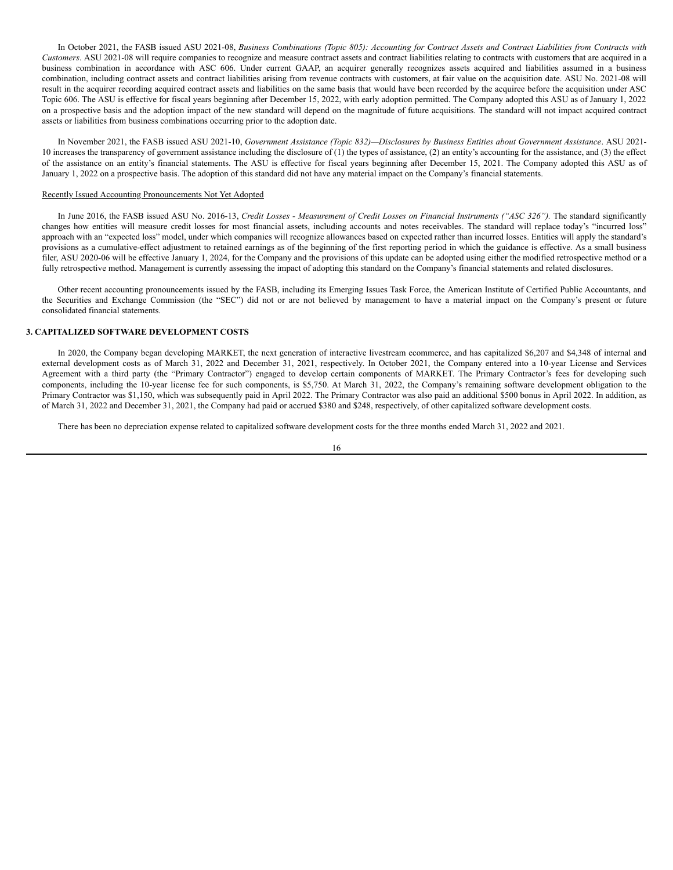In October 2021, the FASB issued ASU 2021-08, Business Combinations (Topic 805): Accounting for Contract Assets and Contract Liabilities from Contracts with *Customers*. ASU 2021-08 will require companies to recognize and measure contract assets and contract liabilities relating to contracts with customers that are acquired in a business combination in accordance with ASC 606. Under current GAAP, an acquirer generally recognizes assets acquired and liabilities assumed in a business combination, including contract assets and contract liabilities arising from revenue contracts with customers, at fair value on the acquisition date. ASU No. 2021-08 will result in the acquirer recording acquired contract assets and liabilities on the same basis that would have been recorded by the acquiree before the acquisition under ASC Topic 606. The ASU is effective for fiscal years beginning after December 15, 2022, with early adoption permitted. The Company adopted this ASU as of January 1, 2022 on a prospective basis and the adoption impact of the new standard will depend on the magnitude of future acquisitions. The standard will not impact acquired contract assets or liabilities from business combinations occurring prior to the adoption date.

In November 2021, the FASB issued ASU 2021-10, *Government Assistance (Topic 832)—Disclosures by Business Entities about Government Assistance*. ASU 2021- 10 increases the transparency of government assistance including the disclosure of (1) the types of assistance, (2) an entity's accounting for the assistance, and (3) the effect of the assistance on an entity's financial statements. The ASU is effective for fiscal years beginning after December 15, 2021. The Company adopted this ASU as of January 1, 2022 on a prospective basis. The adoption of this standard did not have any material impact on the Company's financial statements.

### Recently Issued Accounting Pronouncements Not Yet Adopted

In June 2016, the FASB issued ASU No. 2016-13, Credit Losses - Measurement of Credit Losses on Financial Instruments ("ASC 326"). The standard significantly changes how entities will measure credit losses for most financial assets, including accounts and notes receivables. The standard will replace today's "incurred loss" approach with an "expected loss" model, under which companies will recognize allowances based on expected rather than incurred losses. Entities will apply the standard's provisions as a cumulative-effect adjustment to retained earnings as of the beginning of the first reporting period in which the guidance is effective. As a small business filer, ASU 2020-06 will be effective January 1, 2024, for the Company and the provisions of this update can be adopted using either the modified retrospective method or a fully retrospective method. Management is currently assessing the impact of adopting this standard on the Company's financial statements and related disclosures.

Other recent accounting pronouncements issued by the FASB, including its Emerging Issues Task Force, the American Institute of Certified Public Accountants, and the Securities and Exchange Commission (the "SEC") did not or are not believed by management to have a material impact on the Company's present or future consolidated financial statements.

# **3. CAPITALIZED SOFTWARE DEVELOPMENT COSTS**

In 2020, the Company began developing MARKET, the next generation of interactive livestream ecommerce, and has capitalized \$6,207 and \$4,348 of internal and external development costs as of March 31, 2022 and December 31, 2021, respectively. In October 2021, the Company entered into a 10-year License and Services Agreement with a third party (the "Primary Contractor") engaged to develop certain components of MARKET. The Primary Contractor's fees for developing such components, including the 10-year license fee for such components, is \$5,750. At March 31, 2022, the Company's remaining software development obligation to the Primary Contractor was \$1,150, which was subsequently paid in April 2022. The Primary Contractor was also paid an additional \$500 bonus in April 2022. In addition, as of March 31, 2022 and December 31, 2021, the Company had paid or accrued \$380 and \$248, respectively, of other capitalized software development costs.

There has been no depreciation expense related to capitalized software development costs for the three months ended March 31, 2022 and 2021.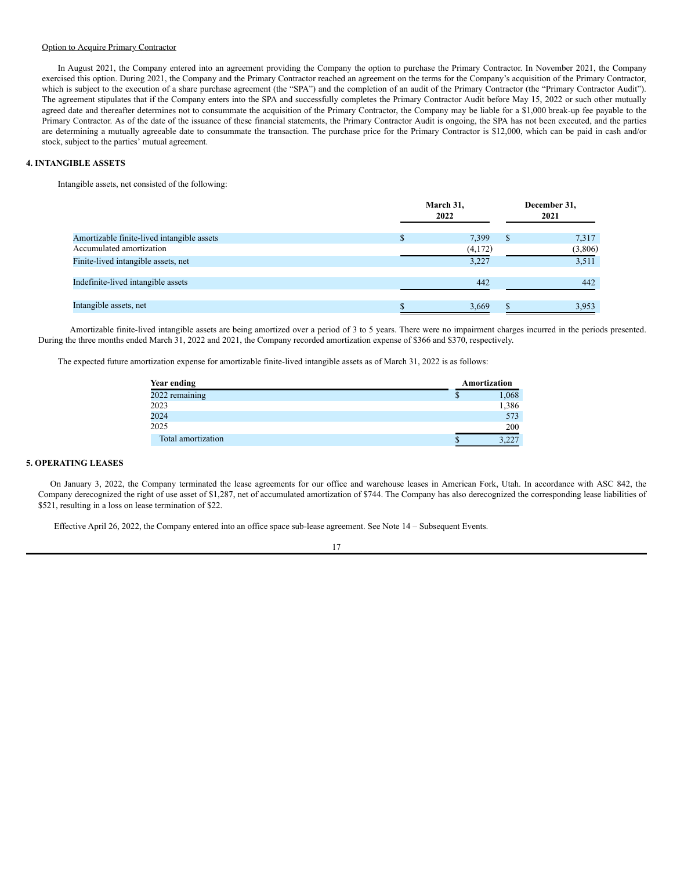# Option to Acquire Primary Contractor

In August 2021, the Company entered into an agreement providing the Company the option to purchase the Primary Contractor. In November 2021, the Company exercised this option. During 2021, the Company and the Primary Contractor reached an agreement on the terms for the Company's acquisition of the Primary Contractor, which is subject to the execution of a share purchase agreement (the "SPA") and the completion of an audit of the Primary Contractor (the "Primary Contractor Audit"). The agreement stipulates that if the Company enters into the SPA and successfully completes the Primary Contractor Audit before May 15, 2022 or such other mutually agreed date and thereafter determines not to consummate the acquisition of the Primary Contractor, the Company may be liable for a \$1,000 break-up fee payable to the Primary Contractor. As of the date of the issuance of these financial statements, the Primary Contractor Audit is ongoing, the SPA has not been executed, and the parties are determining a mutually agreeable date to consummate the transaction. The purchase price for the Primary Contractor is \$12,000, which can be paid in cash and/or stock, subject to the parties' mutual agreement.

# **4. INTANGIBLE ASSETS**

Intangible assets, net consisted of the following:

|                                            | March 31,<br>2022 |   | December 31,<br>2021 |
|--------------------------------------------|-------------------|---|----------------------|
| Amortizable finite-lived intangible assets | 7,399             | S | 7,317                |
| Accumulated amortization                   | (4,172)           |   | (3,806)              |
| Finite-lived intangible assets, net        | 3,227             |   | 3,511                |
| Indefinite-lived intangible assets         | 442               |   | 442                  |
| Intangible assets, net                     | 3,669             |   | 3,953                |

Amortizable finite-lived intangible assets are being amortized over a period of 3 to 5 years. There were no impairment charges incurred in the periods presented. During the three months ended March 31, 2022 and 2021, the Company recorded amortization expense of \$366 and \$370, respectively.

The expected future amortization expense for amortizable finite-lived intangible assets as of March 31, 2022 is as follows:

| Year ending        | Amortization |
|--------------------|--------------|
| 2022 remaining     | 1,068        |
| 2023               | 1,386        |
| 2024               | 573          |
| 2025               | 200          |
| Total amortization | 3,227<br>S   |

# **5. OPERATING LEASES**

On January 3, 2022, the Company terminated the lease agreements for our office and warehouse leases in American Fork, Utah. In accordance with ASC 842, the Company derecognized the right of use asset of \$1,287, net of accumulated amortization of \$744. The Company has also derecognized the corresponding lease liabilities of \$521, resulting in a loss on lease termination of \$22.

Effective April 26, 2022, the Company entered into an office space sub-lease agreement. See Note 14 – Subsequent Events.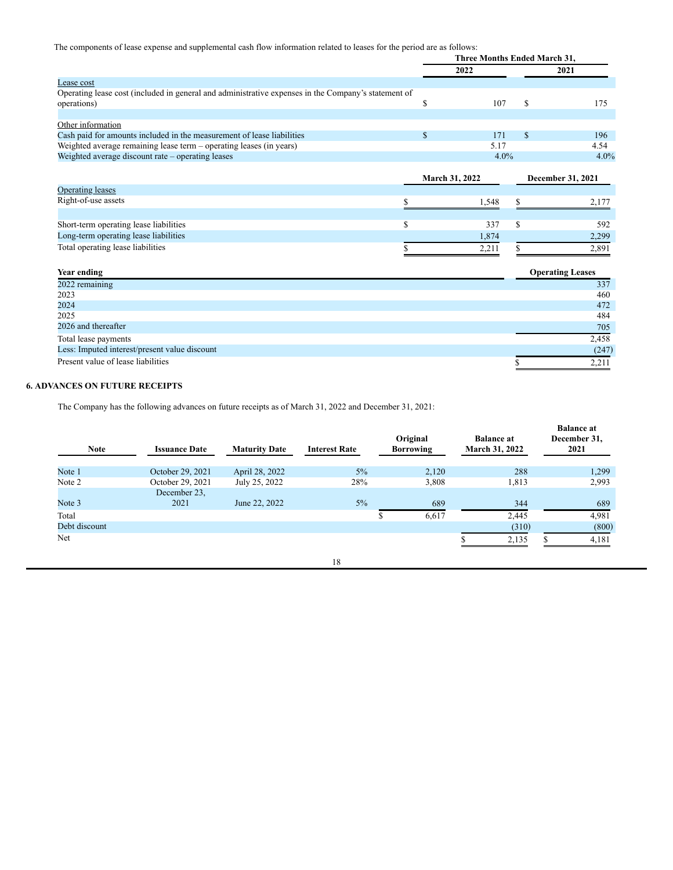The components of lease expense and supplemental cash flow information related to leases for the period are as follows:

|                                                                                                     | Three Months Ended March 31, |         |     |      |         |
|-----------------------------------------------------------------------------------------------------|------------------------------|---------|-----|------|---------|
|                                                                                                     | 2022                         |         |     | 2021 |         |
| Lease cost                                                                                          |                              |         |     |      |         |
| Operating lease cost (included in general and administrative expenses in the Company's statement of |                              |         |     |      |         |
| operations)                                                                                         |                              | 107     |     |      | 175     |
|                                                                                                     |                              |         |     |      |         |
| Other information                                                                                   |                              |         |     |      |         |
| Cash paid for amounts included in the measurement of lease liabilities                              |                              | 171     | \$. |      | 196     |
| Weighted average remaining lease term – operating leases (in years)                                 |                              | 5.17    |     |      | 4.54    |
| Weighted average discount rate – operating leases                                                   |                              | $4.0\%$ |     |      | $4.0\%$ |
|                                                                                                     |                              |         |     |      |         |

|                                        |  | <b>March 31, 2022</b> | <b>December 31, 2021</b> |  |  |
|----------------------------------------|--|-----------------------|--------------------------|--|--|
| <b>Operating leases</b>                |  |                       |                          |  |  |
| Right-of-use assets                    |  | l.548                 | 2.177                    |  |  |
|                                        |  |                       |                          |  |  |
| Short-term operating lease liabilities |  | 337                   | 592                      |  |  |
| Long-term operating lease liabilities  |  | 1,874                 | 2.299                    |  |  |
| Total operating lease liabilities      |  | 2,211                 | 2,891                    |  |  |

| Year ending                                   | <b>Operating Leases</b> |
|-----------------------------------------------|-------------------------|
| 2022 remaining                                | 337                     |
| 2023                                          | 460                     |
| 2024                                          | 472                     |
| 2025                                          | 484                     |
| 2026 and thereafter                           | 705                     |
| Total lease payments                          | 2,458                   |
| Less: Imputed interest/present value discount | (247)                   |
| Present value of lease liabilities            | 2.211                   |

# **6. ADVANCES ON FUTURE RECEIPTS**

The Company has the following advances on future receipts as of March 31, 2022 and December 31, 2021:

| <b>Note</b>   | <b>Issuance Date</b> | <b>Maturity Date</b> | <b>Interest Rate</b> | Original<br><b>Borrowing</b> | <b>Balance at</b><br><b>March 31, 2022</b> | <b>Balance</b> at<br>December 31,<br>2021 |
|---------------|----------------------|----------------------|----------------------|------------------------------|--------------------------------------------|-------------------------------------------|
| Note 1        | October 29, 2021     | April 28, 2022       | $5\%$                | 2,120                        | 288                                        | 1,299                                     |
| Note 2        | October 29, 2021     | July 25, 2022        | 28%                  | 3,808                        | 1,813                                      | 2,993                                     |
|               | December 23.         |                      |                      |                              |                                            |                                           |
| Note 3        | 2021                 | June 22, 2022        | $5\%$                | 689                          | 344                                        | 689                                       |
| Total         |                      |                      |                      | 6,617                        | 2,445                                      | 4,981                                     |
| Debt discount |                      |                      |                      |                              | (310)                                      | (800)                                     |
| Net           |                      |                      |                      |                              | 2,135                                      | 4,181                                     |
|               |                      |                      |                      |                              |                                            |                                           |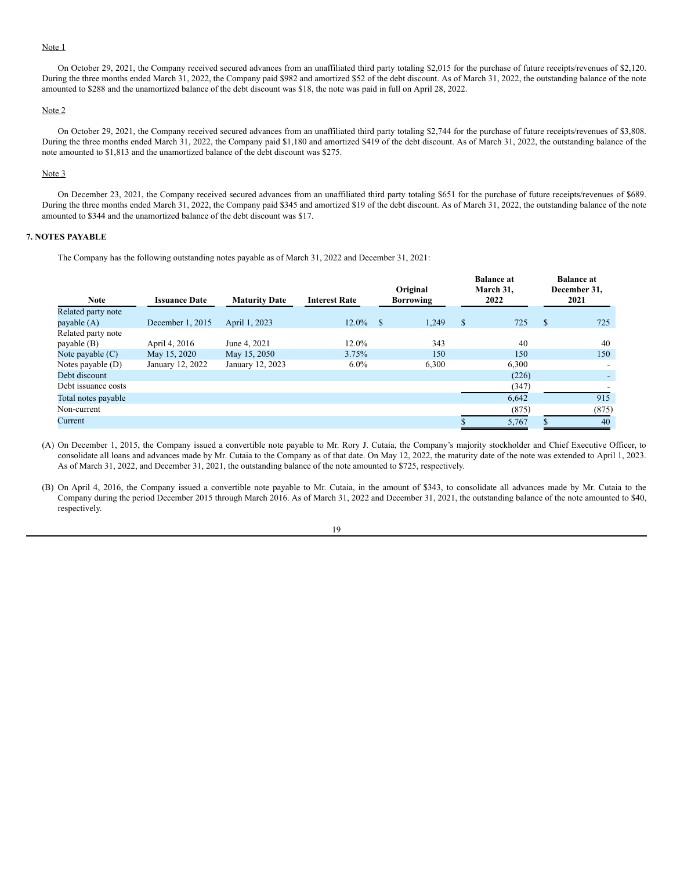### Note 1

On October 29, 2021, the Company received secured advances from an unaffiliated third party totaling \$2,015 for the purchase of future receipts/revenues of \$2,120. During the three months ended March 31, 2022, the Company paid \$982 and amortized \$52 of the debt discount. As of March 31, 2022, the outstanding balance of the note amounted to \$288 and the unamortized balance of the debt discount was \$18, the note was paid in full on April 28, 2022.

#### Note 2

On October 29, 2021, the Company received secured advances from an unaffiliated third party totaling \$2,744 for the purchase of future receipts/revenues of \$3,808. During the three months ended March 31, 2022, the Company paid \$1,180 and amortized \$419 of the debt discount. As of March 31, 2022, the outstanding balance of the note amounted to \$1,813 and the unamortized balance of the debt discount was \$275.

# Note 3

On December 23, 2021, the Company received secured advances from an unaffiliated third party totaling \$651 for the purchase of future receipts/revenues of \$689. During the three months ended March 31, 2022, the Company paid \$345 and amortized \$19 of the debt discount. As of March 31, 2022, the outstanding balance of the note amounted to \$344 and the unamortized balance of the debt discount was \$17.

# **7. NOTES PAYABLE**

The Company has the following outstanding notes payable as of March 31, 2022 and December 31, 2021:

| <b>Note</b>         | <b>Issuance Date</b> | <b>Maturity Date</b> | <b>Interest Rate</b> | Original<br><b>Borrowing</b> |       | <b>Balance at</b><br>March 31,<br>2022 |       | <b>Balance at</b><br>December 31,<br>2021 |       |
|---------------------|----------------------|----------------------|----------------------|------------------------------|-------|----------------------------------------|-------|-------------------------------------------|-------|
| Related party note  |                      |                      |                      |                              |       |                                        |       |                                           |       |
| payable $(A)$       | December 1, 2015     | April 1, 2023        | $12.0\%$             | <sup>\$</sup>                | 1,249 | $\mathcal{S}$                          | 725   | <sup>\$</sup>                             | 725   |
| Related party note  |                      |                      |                      |                              |       |                                        |       |                                           |       |
| payable(B)          | April 4, 2016        | June 4, 2021         | 12.0%                |                              | 343   |                                        | 40    |                                           | 40    |
| Note payable $(C)$  | May 15, 2020         | May 15, 2050         | 3.75%                |                              | 150   |                                        | 150   |                                           | 150   |
| Notes payable $(D)$ | January 12, 2022     | January 12, 2023     | $6.0\%$              |                              | 6,300 |                                        | 6,300 |                                           |       |
| Debt discount       |                      |                      |                      |                              |       |                                        | (226) |                                           |       |
| Debt issuance costs |                      |                      |                      |                              |       |                                        | (347) |                                           |       |
| Total notes payable |                      |                      |                      |                              |       |                                        | 6,642 |                                           | 915   |
| Non-current         |                      |                      |                      |                              |       |                                        | (875) |                                           | (875) |
| Current             |                      |                      |                      |                              |       |                                        | 5,767 |                                           | 40    |

(A) On December 1, 2015, the Company issued a convertible note payable to Mr. Rory J. Cutaia, the Company's majority stockholder and Chief Executive Officer, to consolidate all loans and advances made by Mr. Cutaia to the Company as of that date. On May 12, 2022, the maturity date of the note was extended to April 1, 2023. As of March 31, 2022, and December 31, 2021, the outstanding balance of the note amounted to \$725, respectively.

(B) On April 4, 2016, the Company issued a convertible note payable to Mr. Cutaia, in the amount of \$343, to consolidate all advances made by Mr. Cutaia to the Company during the period December 2015 through March 2016. As of March 31, 2022 and December 31, 2021, the outstanding balance of the note amounted to \$40, respectively.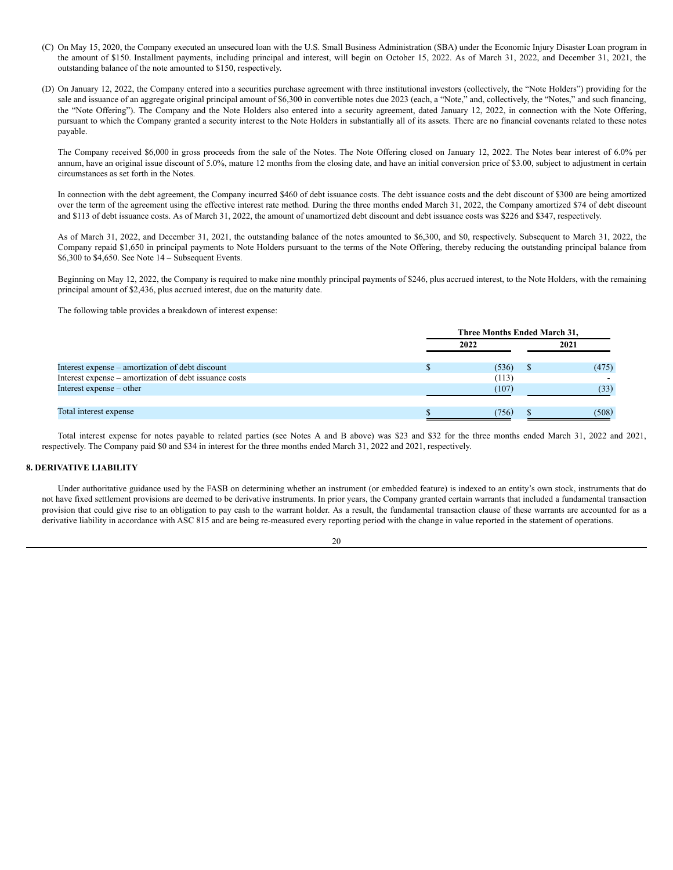- (C) On May 15, 2020, the Company executed an unsecured loan with the U.S. Small Business Administration (SBA) under the Economic Injury Disaster Loan program in the amount of \$150. Installment payments, including principal and interest, will begin on October 15, 2022. As of March 31, 2022, and December 31, 2021, the outstanding balance of the note amounted to \$150, respectively.
- (D) On January 12, 2022, the Company entered into a securities purchase agreement with three institutional investors (collectively, the "Note Holders") providing for the sale and issuance of an aggregate original principal amount of \$6,300 in convertible notes due 2023 (each, a "Note," and, collectively, the "Notes," and such financing, the "Note Offering"). The Company and the Note Holders also entered into a security agreement, dated January 12, 2022, in connection with the Note Offering, pursuant to which the Company granted a security interest to the Note Holders in substantially all of its assets. There are no financial covenants related to these notes payable.

The Company received \$6,000 in gross proceeds from the sale of the Notes. The Note Offering closed on January 12, 2022. The Notes bear interest of 6.0% per annum, have an original issue discount of 5.0%, mature 12 months from the closing date, and have an initial conversion price of \$3.00, subject to adjustment in certain circumstances as set forth in the Notes.

In connection with the debt agreement, the Company incurred \$460 of debt issuance costs. The debt issuance costs and the debt discount of \$300 are being amortized over the term of the agreement using the effective interest rate method. During the three months ended March 31, 2022, the Company amortized \$74 of debt discount and \$113 of debt issuance costs. As of March 31, 2022, the amount of unamortized debt discount and debt issuance costs was \$226 and \$347, respectively.

As of March 31, 2022, and December 31, 2021, the outstanding balance of the notes amounted to \$6,300, and \$0, respectively. Subsequent to March 31, 2022, the Company repaid \$1,650 in principal payments to Note Holders pursuant to the terms of the Note Offering, thereby reducing the outstanding principal balance from \$6,300 to \$4,650. See Note 14 – Subsequent Events.

Beginning on May 12, 2022, the Company is required to make nine monthly principal payments of \$246, plus accrued interest, to the Note Holders, with the remaining principal amount of \$2,436, plus accrued interest, due on the maturity date.

The following table provides a breakdown of interest expense:

|                                                        | <b>Three Months Ended March 31.</b> |  |       |  |  |
|--------------------------------------------------------|-------------------------------------|--|-------|--|--|
|                                                        | 2022                                |  | 2021  |  |  |
| Interest expense – amortization of debt discount       | (536)                               |  | (475) |  |  |
| Interest expense – amortization of debt issuance costs | (113)                               |  |       |  |  |
| Interest expense – other                               | (107)                               |  | (33)  |  |  |
| Total interest expense                                 | (756)                               |  | (508) |  |  |

Total interest expense for notes payable to related parties (see Notes A and B above) was \$23 and \$32 for the three months ended March 31, 2022 and 2021, respectively. The Company paid \$0 and \$34 in interest for the three months ended March 31, 2022 and 2021, respectively.

# **8. DERIVATIVE LIABILITY**

Under authoritative guidance used by the FASB on determining whether an instrument (or embedded feature) is indexed to an entity's own stock, instruments that do not have fixed settlement provisions are deemed to be derivative instruments. In prior years, the Company granted certain warrants that included a fundamental transaction provision that could give rise to an obligation to pay cash to the warrant holder. As a result, the fundamental transaction clause of these warrants are accounted for as a derivative liability in accordance with ASC 815 and are being re-measured every reporting period with the change in value reported in the statement of operations.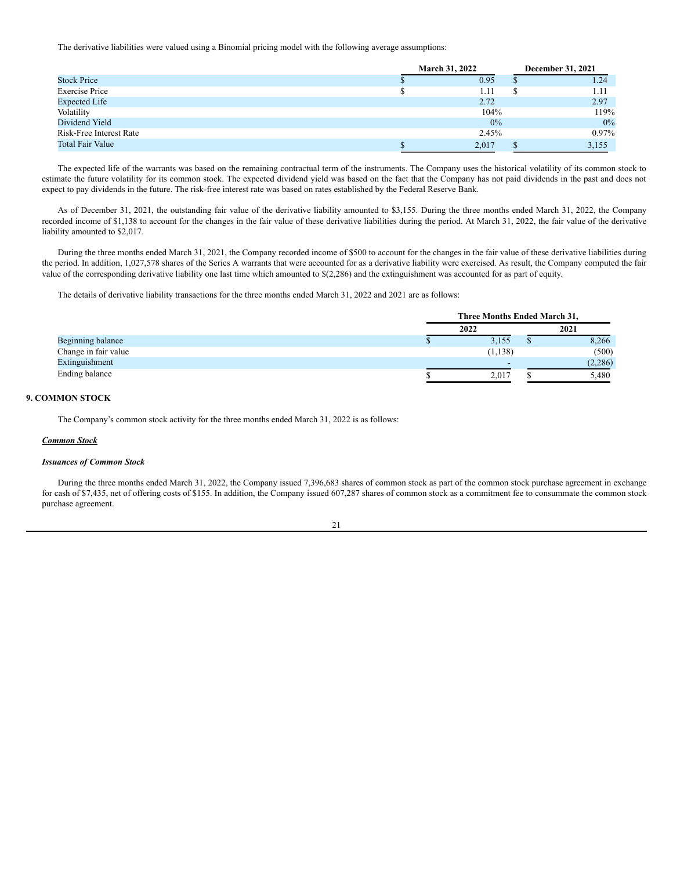The derivative liabilities were valued using a Binomial pricing model with the following average assumptions:

|                         | March 31, 2022 |       | <b>December 31, 2021</b> |
|-------------------------|----------------|-------|--------------------------|
| <b>Stock Price</b>      |                | 0.95  | 1.24                     |
| <b>Exercise Price</b>   |                | 1.11  | 1.11                     |
| <b>Expected Life</b>    |                | 2.72  | 2.97                     |
| Volatility              |                | 104%  | 119%                     |
| Dividend Yield          |                | $0\%$ | $0\%$                    |
| Risk-Free Interest Rate |                | 2.45% | $0.97\%$                 |
| Total Fair Value        |                | 2.017 | 3,155                    |

The expected life of the warrants was based on the remaining contractual term of the instruments. The Company uses the historical volatility of its common stock to estimate the future volatility for its common stock. The expected dividend yield was based on the fact that the Company has not paid dividends in the past and does not expect to pay dividends in the future. The risk-free interest rate was based on rates established by the Federal Reserve Bank.

As of December 31, 2021, the outstanding fair value of the derivative liability amounted to \$3,155. During the three months ended March 31, 2022, the Company recorded income of \$1,138 to account for the changes in the fair value of these derivative liabilities during the period. At March 31, 2022, the fair value of the derivative liability amounted to \$2,017.

During the three months ended March 31, 2021, the Company recorded income of \$500 to account for the changes in the fair value of these derivative liabilities during the period. In addition, 1,027,578 shares of the Series A warrants that were accounted for as a derivative liability were exercised. As result, the Company computed the fair value of the corresponding derivative liability one last time which amounted to \$(2,286) and the extinguishment was accounted for as part of equity.

The details of derivative liability transactions for the three months ended March 31, 2022 and 2021 are as follows:

|                      | Three Months Ended March 31, |  |          |  |
|----------------------|------------------------------|--|----------|--|
|                      | 2022                         |  | 2021     |  |
| Beginning balance    | 3,155                        |  | 8,266    |  |
| Change in fair value | (1, 138)                     |  | (500)    |  |
| Extinguishment       |                              |  | (2, 286) |  |
| Ending balance       | 2,017                        |  | 5,480    |  |

# **9. COMMON STOCK**

The Company's common stock activity for the three months ended March 31, 2022 is as follows:

# *Common Stock*

### *Issuances of Common Stock*

During the three months ended March 31, 2022, the Company issued 7,396,683 shares of common stock as part of the common stock purchase agreement in exchange for cash of \$7.435, net of offering costs of \$155. In addition, the Company issued 607,287 shares of common stock as a commitment fee to consummate the common stock purchase agreement.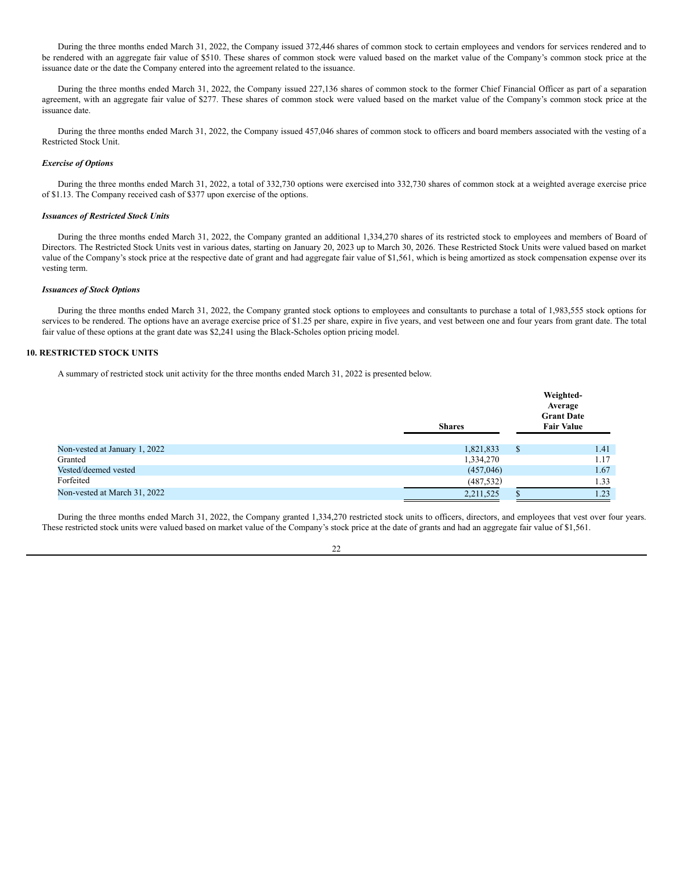During the three months ended March 31, 2022, the Company issued 372,446 shares of common stock to certain employees and vendors for services rendered and to be rendered with an aggregate fair value of \$510. These shares of common stock were valued based on the market value of the Company's common stock price at the issuance date or the date the Company entered into the agreement related to the issuance.

During the three months ended March 31, 2022, the Company issued 227,136 shares of common stock to the former Chief Financial Officer as part of a separation agreement, with an aggregate fair value of \$277. These shares of common stock were valued based on the market value of the Company's common stock price at the issuance date.

During the three months ended March 31, 2022, the Company issued 457,046 shares of common stock to officers and board members associated with the vesting of a Restricted Stock Unit.

# *Exercise of Options*

During the three months ended March 31, 2022, a total of 332,730 options were exercised into 332,730 shares of common stock at a weighted average exercise price of \$1.13. The Company received cash of \$377 upon exercise of the options.

# *Issuances of Restricted Stock Units*

During the three months ended March 31, 2022, the Company granted an additional 1,334,270 shares of its restricted stock to employees and members of Board of Directors. The Restricted Stock Units vest in various dates, starting on January 20, 2023 up to March 30, 2026. These Restricted Stock Units were valued based on market value of the Company's stock price at the respective date of grant and had aggregate fair value of \$1,561, which is being amortized as stock compensation expense over its vesting term.

### *Issuances of Stock Options*

During the three months ended March 31, 2022, the Company granted stock options to employees and consultants to purchase a total of 1,983,555 stock options for services to be rendered. The options have an average exercise price of \$1.25 per share, expire in five years, and vest between one and four years from grant date. The total fair value of these options at the grant date was \$2,241 using the Black-Scholes option pricing model.

# **10. RESTRICTED STOCK UNITS**

A summary of restricted stock unit activity for the three months ended March 31, 2022 is presented below.

|                               | <b>Shares</b> | Weighted-<br>Average<br><b>Grant Date</b><br><b>Fair Value</b> |
|-------------------------------|---------------|----------------------------------------------------------------|
| Non-vested at January 1, 2022 | 1,821,833     | \$<br>1.41                                                     |
| Granted                       | 1,334,270     | 1.17                                                           |
| Vested/deemed vested          | (457,046)     | 1.67                                                           |
| Forfeited                     | (487, 532)    | 1.33                                                           |
| Non-vested at March 31, 2022  | 2,211,525     | 1.23                                                           |

During the three months ended March 31, 2022, the Company granted 1,334,270 restricted stock units to officers, directors, and employees that vest over four years. These restricted stock units were valued based on market value of the Company's stock price at the date of grants and had an aggregate fair value of \$1,561.

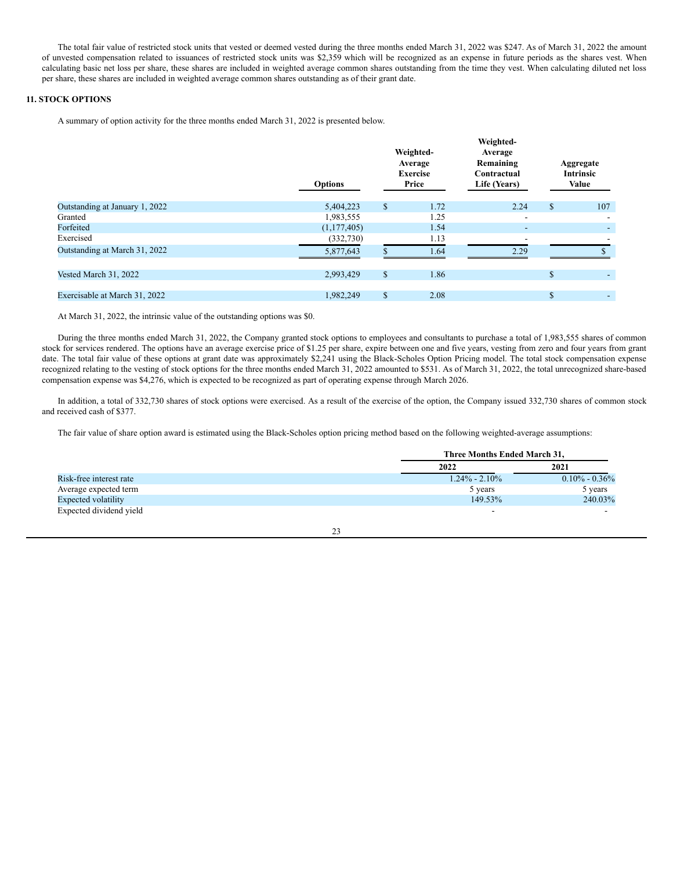The total fair value of restricted stock units that vested or deemed vested during the three months ended March 31, 2022 was \$247. As of March 31, 2022 the amount of unvested compensation related to issuances of restricted stock units was \$2,359 which will be recognized as an expense in future periods as the shares vest. When calculating basic net loss per share, these shares are included in weighted average common shares outstanding from the time they vest. When calculating diluted net loss per share, these shares are included in weighted average common shares outstanding as of their grant date.

# **11. STOCK OPTIONS**

A summary of option activity for the three months ended March 31, 2022 is presented below.

|                                | <b>Options</b> |    | Weighted-<br>Average<br><b>Exercise</b><br>Price | Weighted-<br>Average<br>Remaining<br>Contractual<br>Life (Years) | Aggregate<br><b>Intrinsic</b><br>Value |                          |
|--------------------------------|----------------|----|--------------------------------------------------|------------------------------------------------------------------|----------------------------------------|--------------------------|
| Outstanding at January 1, 2022 | 5,404,223      | \$ | 1.72                                             | 2.24                                                             | $\mathcal{S}$                          | 107                      |
| Granted                        | 1,983,555      |    | 1.25                                             | $\overline{\phantom{a}}$                                         |                                        |                          |
| Forfeited                      | (1, 177, 405)  |    | 1.54                                             | ٠                                                                |                                        |                          |
| Exercised                      | (332, 730)     |    | 1.13                                             |                                                                  |                                        |                          |
| Outstanding at March 31, 2022  | 5,877,643      |    | 1.64                                             | 2.29                                                             |                                        |                          |
| Vested March 31, 2022          | 2,993,429      | \$ | 1.86                                             |                                                                  | \$                                     | $\sim$                   |
| Exercisable at March 31, 2022  | 1,982,249      | \$ | 2.08                                             |                                                                  | $\mathcal{S}$                          | $\overline{\phantom{a}}$ |

At March 31, 2022, the intrinsic value of the outstanding options was \$0.

During the three months ended March 31, 2022, the Company granted stock options to employees and consultants to purchase a total of 1,983,555 shares of common stock for services rendered. The options have an average exercise price of \$1.25 per share, expire between one and five years, vesting from zero and four years from grant date. The total fair value of these options at grant date was approximately \$2,241 using the Black-Scholes Option Pricing model. The total stock compensation expense recognized relating to the vesting of stock options for the three months ended March 31, 2022 amounted to \$531. As of March 31, 2022, the total unrecognized share-based compensation expense was \$4,276, which is expected to be recognized as part of operating expense through March 2026.

In addition, a total of 332,730 shares of stock options were exercised. As a result of the exercise of the option, the Company issued 332,730 shares of common stock and received cash of \$377.

The fair value of share option award is estimated using the Black-Scholes option pricing method based on the following weighted-average assumptions:

|                         | Three Months Ended March 31, |                   |
|-------------------------|------------------------------|-------------------|
|                         | 2022                         | 2021              |
| Risk-free interest rate | $1.24\% - 2.10\%$            | $0.10\% - 0.36\%$ |
| Average expected term   | 5 years                      | 5 years           |
| Expected volatility     | 149.53%                      | 240.03%           |
| Expected dividend yield |                              | -                 |

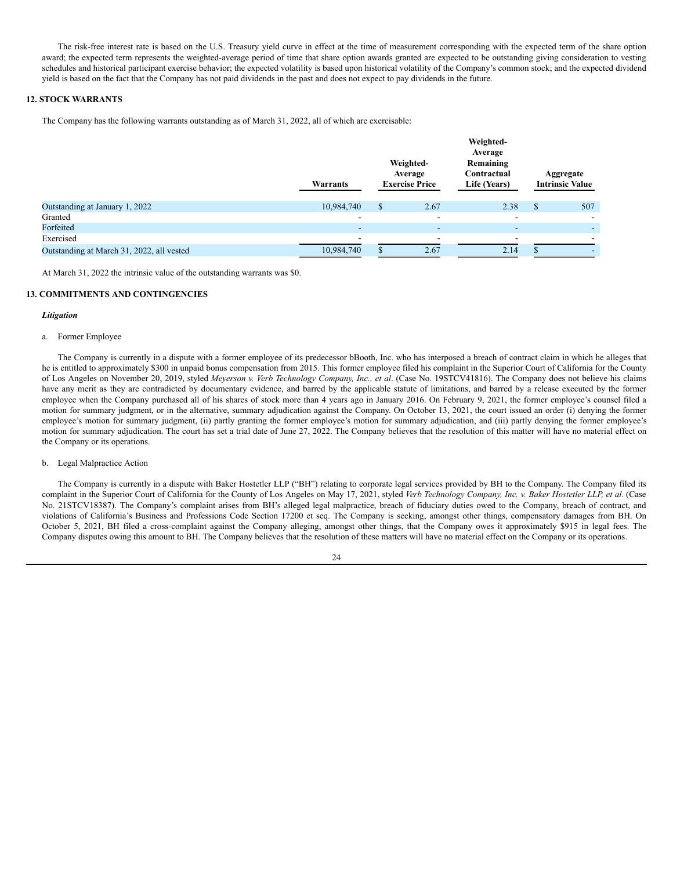The risk-free interest rate is based on the U.S. Treasury yield curve in effect at the time of measurement corresponding with the expected term of the share option award; the expected term represents the weighted-average period of time that share option awards granted are expected to be outstanding giving consideration to vesting schedules and historical participant exercise behavior; the expected volatility is based upon historical volatility of the Company's common stock; and the expected dividend yield is based on the fact that the Company has not paid dividends in the past and does not expect to pay dividends in the future.

# **12. STOCK WARRANTS**

The Company has the following warrants outstanding as of March 31, 2022, all of which are exercisable:

|                                           | Warrants   |   | Weighted-<br>Average<br><b>Exercise Price</b> | Weighted-<br>Average<br>Remaining<br>Contractual<br>Life (Years) |   | Aggregate<br><b>Intrinsic Value</b> |
|-------------------------------------------|------------|---|-----------------------------------------------|------------------------------------------------------------------|---|-------------------------------------|
| Outstanding at January 1, 2022            | 10,984,740 | S | 2.67                                          | 2.38                                                             | S | 507                                 |
| Granted                                   |            |   |                                               |                                                                  |   |                                     |
| Forfeited                                 |            |   | -                                             |                                                                  |   |                                     |
| Exercised                                 |            |   | -                                             |                                                                  |   |                                     |
| Outstanding at March 31, 2022, all vested | 10,984,740 |   | 2.67                                          | 2.14                                                             |   |                                     |

At March 31, 2022 the intrinsic value of the outstanding warrants was \$0.

# **13. COMMITMENTS AND CONTINGENCIES**

#### *Litigation*

# a. Former Employee

The Company is currently in a dispute with a former employee of its predecessor bBooth, Inc. who has interposed a breach of contract claim in which he alleges that he is entitled to approximately \$300 in unpaid bonus compensation from 2015. This former employee filed his complaint in the Superior Court of California for the County of Los Angeles on November 20, 2019, styled *Meyerson v. Verb Technology Company, Inc., et al*. (Case No. 19STCV41816). The Company does not believe his claims have any merit as they are contradicted by documentary evidence, and barred by the applicable statute of limitations, and barred by a release executed by the former employee when the Company purchased all of his shares of stock more than 4 years ago in January 2016. On February 9, 2021, the former employee's counsel filed a motion for summary judgment, or in the alternative, summary adjudication against the Company. On October 13, 2021, the court issued an order (i) denying the former employee's motion for summary judgment, (ii) partly granting the former employee's motion for summary adjudication, and (iii) partly denying the former employee's motion for summary adjudication. The court has set a trial date of June 27, 2022. The Company believes that the resolution of this matter will have no material effect on the Company or its operations.

# b. Legal Malpractice Action

The Company is currently in a dispute with Baker Hostetler LLP ("BH") relating to corporate legal services provided by BH to the Company. The Company filed its complaint in the Superior Court of California for the County of Los Angeles on May 17, 2021, styled Verb Technology Company, Inc. v. Baker Hostetler LLP, et al. (Case No. 21STCV18387). The Company's complaint arises from BH's alleged legal malpractice, breach of fiduciary duties owed to the Company, breach of contract, and violations of California's Business and Professions Code Section 17200 et seq. The Company is seeking, amongst other things, compensatory damages from BH. On October 5, 2021, BH filed a cross-complaint against the Company alleging, amongst other things, that the Company owes it approximately \$915 in legal fees. The Company disputes owing this amount to BH. The Company believes that the resolution of these matters will have no material effect on the Company or its operations.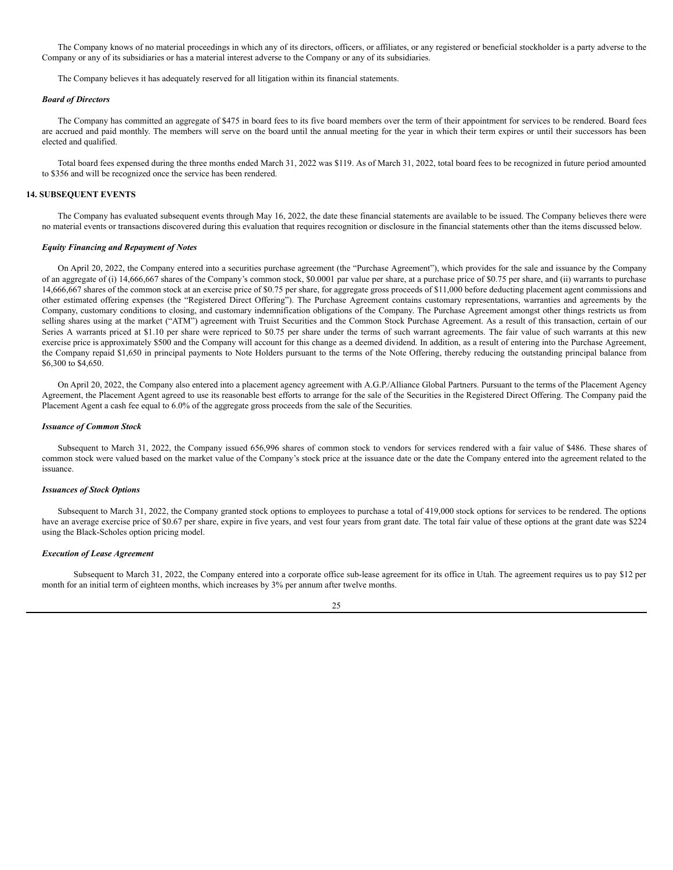The Company knows of no material proceedings in which any of its directors, officers, or affiliates, or any registered or beneficial stockholder is a party adverse to the Company or any of its subsidiaries or has a material interest adverse to the Company or any of its subsidiaries.

The Company believes it has adequately reserved for all litigation within its financial statements.

#### *Board of Directors*

The Company has committed an aggregate of \$475 in board fees to its five board members over the term of their appointment for services to be rendered. Board fees are accrued and paid monthly. The members will serve on the board until the annual meeting for the year in which their term expires or until their successors has been elected and qualified.

Total board fees expensed during the three months ended March 31, 2022 was \$119. As of March 31, 2022, total board fees to be recognized in future period amounted to \$356 and will be recognized once the service has been rendered.

# **14. SUBSEQUENT EVENTS**

The Company has evaluated subsequent events through May 16, 2022, the date these financial statements are available to be issued. The Company believes there were no material events or transactions discovered during this evaluation that requires recognition or disclosure in the financial statements other than the items discussed below.

## *Equity Financing and Repayment of Notes*

On April 20, 2022, the Company entered into a securities purchase agreement (the "Purchase Agreement"), which provides for the sale and issuance by the Company of an aggregate of (i) 14,666,667 shares of the Company's common stock, \$0.0001 par value per share, at a purchase price of \$0.75 per share, and (ii) warrants to purchase 14,666,667 shares of the common stock at an exercise price of \$0.75 per share, for aggregate gross proceeds of \$11,000 before deducting placement agent commissions and other estimated offering expenses (the "Registered Direct Offering"). The Purchase Agreement contains customary representations, warranties and agreements by the Company, customary conditions to closing, and customary indemnification obligations of the Company. The Purchase Agreement amongst other things restricts us from selling shares using at the market ("ATM") agreement with Truist Securities and the Common Stock Purchase Agreement. As a result of this transaction, certain of our Series A warrants priced at \$1.10 per share were repriced to \$0.75 per share under the terms of such warrant agreements. The fair value of such warrants at this new exercise price is approximately \$500 and the Company will account for this change as a deemed dividend. In addition, as a result of entering into the Purchase Agreement, the Company repaid \$1,650 in principal payments to Note Holders pursuant to the terms of the Note Offering, thereby reducing the outstanding principal balance from \$6,300 to \$4,650.

On April 20, 2022, the Company also entered into a placement agency agreement with A.G.P./Alliance Global Partners. Pursuant to the terms of the Placement Agency Agreement, the Placement Agent agreed to use its reasonable best efforts to arrange for the sale of the Securities in the Registered Direct Offering. The Company paid the Placement Agent a cash fee equal to 6.0% of the aggregate gross proceeds from the sale of the Securities.

### *Issuance of Common Stock*

Subsequent to March 31, 2022, the Company issued 656,996 shares of common stock to vendors for services rendered with a fair value of \$486. These shares of common stock were valued based on the market value of the Company's stock price at the issuance date or the date the Company entered into the agreement related to the issuance.

### *Issuances of Stock Options*

Subsequent to March 31, 2022, the Company granted stock options to employees to purchase a total of 419,000 stock options for services to be rendered. The options have an average exercise price of \$0.67 per share, expire in five years, and vest four years from grant date. The total fair value of these options at the grant date was \$224 using the Black-Scholes option pricing model.

#### *Execution of Lease Agreement*

Subsequent to March 31, 2022, the Company entered into a corporate office sub-lease agreement for its office in Utah. The agreement requires us to pay \$12 per month for an initial term of eighteen months, which increases by 3% per annum after twelve months.

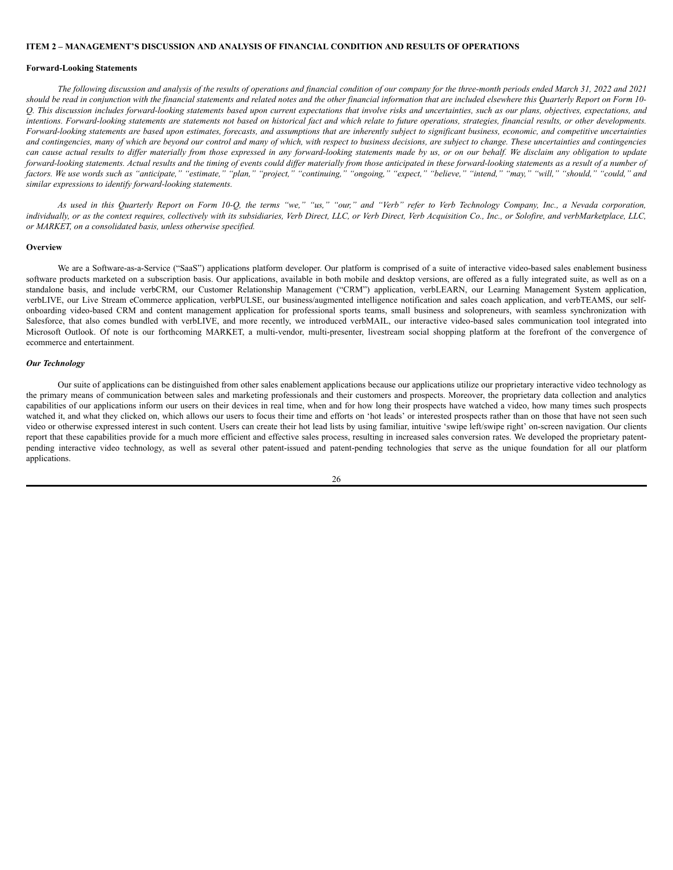# <span id="page-25-0"></span>**ITEM 2 – MANAGEMENT'S DISCUSSION AND ANALYSIS OF FINANCIAL CONDITION AND RESULTS OF OPERATIONS**

#### **Forward-Looking Statements**

The following discussion and analysis of the results of operations and financial condition of our company for the three-month periods ended March 31, 2022 and 2021 should be read in conjunction with the financial statements and related notes and the other financial information that are included elsewhere this Quarterly Report on Form 10-Q. This discussion includes forward-looking statements based upon current expectations that involve risks and uncertainties, such as our plans, objectives, expectations, and intentions. Forward-looking statements are statements not based on historical fact and which relate to future operations, strategies, financial results, or other developments. Forward-looking statements are based upon estimates, forecasts, and assumptions that are inherently subject to significant business, economic, and competitive uncertainties and contingencies, many of which are beyond our control and many of which, with respect to business decisions, are subject to change. These uncertainties and contingencies can cause actual results to differ materially from those expressed in any forward-looking statements made by us, or on our behalf. We disclaim any obligation to update forward-looking statements. Actual results and the timing of events could differ materially from those anticipated in these forward-looking statements as a result of a number of factors. We use words such as "anticipate," "estimate," "plan," "project," "continuing," "ongoing," "expect," "believe," "intend," "may," "will," "should," "could," and *similar expressions to identify forward-looking statements.*

As used in this Quarterly Report on Form 10-Q, the terms "we," "us," "our," and "Verb" refer to Verb Technology Company, Inc., a Nevada corporation, individually, or as the context requires, collectively with its subsidiaries, Verb Direct, LLC, or Verb Direct, Verb Acquisition Co., Inc., or Solofire, and verbMarketplace, LLC, *or MARKET, on a consolidated basis, unless otherwise specified.*

#### **Overview**

We are a Software-as-a-Service ("SaaS") applications platform developer. Our platform is comprised of a suite of interactive video-based sales enablement business software products marketed on a subscription basis. Our applications, available in both mobile and desktop versions, are offered as a fully integrated suite, as well as on a standalone basis, and include verbCRM, our Customer Relationship Management ("CRM") application, verbLEARN, our Learning Management System application, verbLIVE, our Live Stream eCommerce application, verbPULSE, our business/augmented intelligence notification and sales coach application, and verbTEAMS, our selfonboarding video-based CRM and content management application for professional sports teams, small business and solopreneurs, with seamless synchronization with Salesforce, that also comes bundled with verbLIVE, and more recently, we introduced verbMAIL, our interactive video-based sales communication tool integrated into Microsoft Outlook. Of note is our forthcoming MARKET, a multi-vendor, multi-presenter, livestream social shopping platform at the forefront of the convergence of ecommerce and entertainment.

# *Our Technology*

Our suite of applications can be distinguished from other sales enablement applications because our applications utilize our proprietary interactive video technology as the primary means of communication between sales and marketing professionals and their customers and prospects. Moreover, the proprietary data collection and analytics capabilities of our applications inform our users on their devices in real time, when and for how long their prospects have watched a video, how many times such prospects watched it, and what they clicked on, which allows our users to focus their time and efforts on 'hot leads' or interested prospects rather than on those that have not seen such video or otherwise expressed interest in such content. Users can create their hot lead lists by using familiar, intuitive 'swipe left/swipe right' on-screen navigation. Our clients report that these capabilities provide for a much more efficient and effective sales process, resulting in increased sales conversion rates. We developed the proprietary patentpending interactive video technology, as well as several other patent-issued and patent-pending technologies that serve as the unique foundation for all our platform applications.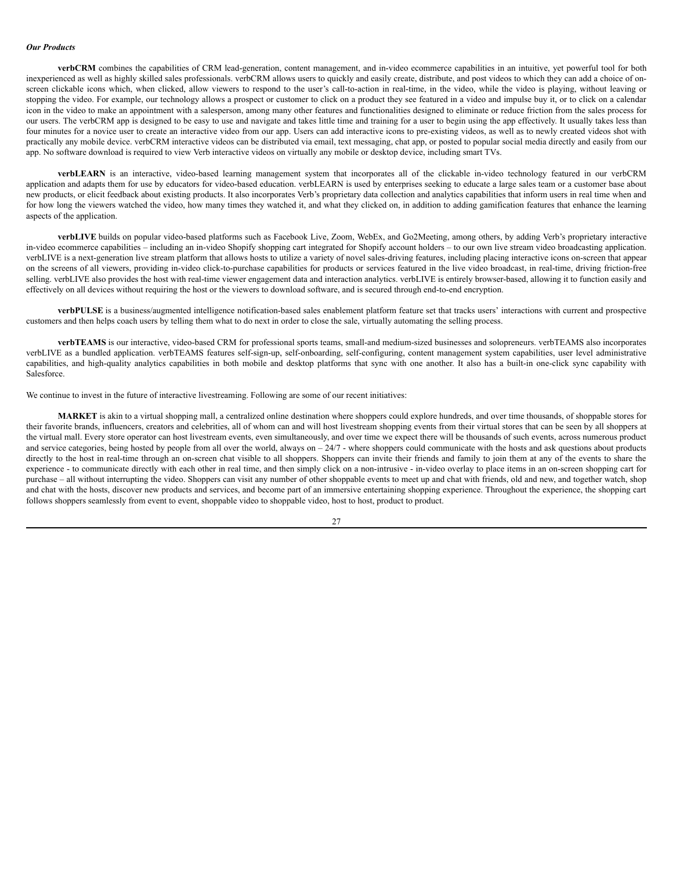# *Our Products*

verbCRM combines the capabilities of CRM lead-generation, content management, and in-video ecommerce capabilities in an intuitive, yet powerful tool for both inexperienced as well as highly skilled sales professionals. verbCRM allows users to quickly and easily create, distribute, and post videos to which they can add a choice of onscreen clickable icons which, when clicked, allow viewers to respond to the user's call-to-action in real-time, in the video, while the video is playing, without leaving or stopping the video. For example, our technology allows a prospect or customer to click on a product they see featured in a video and impulse buy it, or to click on a calendar icon in the video to make an appointment with a salesperson, among many other features and functionalities designed to eliminate or reduce friction from the sales process for our users. The verbCRM app is designed to be easy to use and navigate and takes little time and training for a user to begin using the app effectively. It usually takes less than four minutes for a novice user to create an interactive video from our app. Users can add interactive icons to pre-existing videos, as well as to newly created videos shot with practically any mobile device. verbCRM interactive videos can be distributed via email, text messaging, chat app, or posted to popular social media directly and easily from our app. No software download is required to view Verb interactive videos on virtually any mobile or desktop device, including smart TVs.

**verbLEARN** is an interactive, video-based learning management system that incorporates all of the clickable in-video technology featured in our verbCRM application and adapts them for use by educators for video-based education. verbLEARN is used by enterprises seeking to educate a large sales team or a customer base about new products, or elicit feedback about existing products. It also incorporates Verb's proprietary data collection and analytics capabilities that inform users in real time when and for how long the viewers watched the video, how many times they watched it, and what they clicked on, in addition to adding gamification features that enhance the learning aspects of the application.

**verbLIVE** builds on popular video-based platforms such as Facebook Live, Zoom, WebEx, and Go2Meeting, among others, by adding Verb's proprietary interactive in-video ecommerce capabilities – including an in-video Shopify shopping cart integrated for Shopify account holders – to our own live stream video broadcasting application. verbLIVE is a next-generation live stream platform that allows hosts to utilize a variety of novel sales-driving features, including placing interactive icons on-screen that appear on the screens of all viewers, providing in-video click-to-purchase capabilities for products or services featured in the live video broadcast, in real-time, driving friction-free selling, verbLIVE also provides the host with real-time viewer engagement data and interaction analytics, verbLIVE is entirely browser-based, allowing it to function easily and effectively on all devices without requiring the host or the viewers to download software, and is secured through end-to-end encryption.

**verbPULSE** is a business/augmented intelligence notification-based sales enablement platform feature set that tracks users' interactions with current and prospective customers and then helps coach users by telling them what to do next in order to close the sale, virtually automating the selling process.

**verbTEAMS** is our interactive, video-based CRM for professional sports teams, small-and medium-sized businesses and solopreneurs. verbTEAMS also incorporates verbLIVE as a bundled application. verbTEAMS features self-sign-up, self-onboarding, self-configuring, content management system capabilities, user level administrative capabilities, and high-quality analytics capabilities in both mobile and desktop platforms that sync with one another. It also has a built-in one-click sync capability with Salesforce.

We continue to invest in the future of interactive livestreaming. Following are some of our recent initiatives:

**MARKET** is akin to a virtual shopping mall, a centralized online destination where shoppers could explore hundreds, and over time thousands, of shoppable stores for their favorite brands, influencers, creators and celebrities, all of whom can and will host livestream shopping events from their virtual stores that can be seen by all shoppers at the virtual mall. Every store operator can host livestream events, even simultaneously, and over time we expect there will be thousands of such events, across numerous product and service categories, being hosted by people from all over the world, always on  $-24/7$  - where shoppers could communicate with the hosts and ask questions about products directly to the host in real-time through an on-screen chat visible to all shoppers. Shoppers can invite their friends and family to join them at any of the events to share the experience - to communicate directly with each other in real time, and then simply click on a non-intrusive - in-video overlay to place items in an on-screen shopping cart for purchase – all without interrupting the video. Shoppers can visit any number of other shoppable events to meet up and chat with friends, old and new, and together watch, shop and chat with the hosts, discover new products and services, and become part of an immersive entertaining shopping experience. Throughout the experience, the shopping cart follows shoppers seamlessly from event to event, shoppable video to shoppable video, host to host, product to product.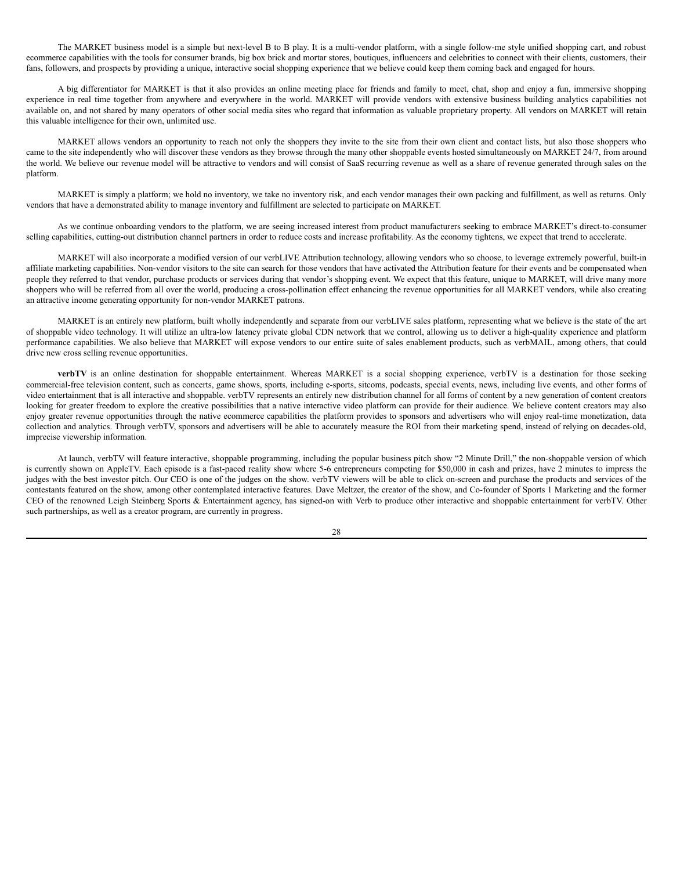The MARKET business model is a simple but next-level B to B play. It is a multi-vendor platform, with a single follow-me style unified shopping cart, and robust ecommerce capabilities with the tools for consumer brands, big box brick and mortar stores, boutiques, influencers and celebrities to connect with their clients, customers, their fans, followers, and prospects by providing a unique, interactive social shopping experience that we believe could keep them coming back and engaged for hours.

A big differentiator for MARKET is that it also provides an online meeting place for friends and family to meet, chat, shop and enjoy a fun, immersive shopping experience in real time together from anywhere and everywhere in the world. MARKET will provide vendors with extensive business building analytics capabilities not available on, and not shared by many operators of other social media sites who regard that information as valuable proprietary property. All vendors on MARKET will retain this valuable intelligence for their own, unlimited use.

MARKET allows vendors an opportunity to reach not only the shoppers they invite to the site from their own client and contact lists, but also those shoppers who came to the site independently who will discover these vendors as they browse through the many other shoppable events hosted simultaneously on MARKET 24/7, from around the world. We believe our revenue model will be attractive to vendors and will consist of SaaS recurring revenue as well as a share of revenue generated through sales on the platform.

MARKET is simply a platform; we hold no inventory, we take no inventory risk, and each vendor manages their own packing and fulfillment, as well as returns. Only vendors that have a demonstrated ability to manage inventory and fulfillment are selected to participate on MARKET.

As we continue onboarding vendors to the platform, we are seeing increased interest from product manufacturers seeking to embrace MARKET's direct-to-consumer selling capabilities, cutting-out distribution channel partners in order to reduce costs and increase profitability. As the economy tightens, we expect that trend to accelerate.

MARKET will also incorporate a modified version of our verbLIVE Attribution technology, allowing vendors who so choose, to leverage extremely powerful, built-in affiliate marketing capabilities. Non-vendor visitors to the site can search for those vendors that have activated the Attribution feature for their events and be compensated when people they referred to that vendor, purchase products or services during that vendor's shopping event. We expect that this feature, unique to MARKET, will drive many more shoppers who will be referred from all over the world, producing a cross-pollination effect enhancing the revenue opportunities for all MARKET vendors, while also creating an attractive income generating opportunity for non-vendor MARKET patrons.

MARKET is an entirely new platform, built wholly independently and separate from our verbLIVE sales platform, representing what we believe is the state of the art of shoppable video technology. It will utilize an ultra-low latency private global CDN network that we control, allowing us to deliver a high-quality experience and platform performance capabilities. We also believe that MARKET will expose vendors to our entire suite of sales enablement products, such as verbMAIL, among others, that could drive new cross selling revenue opportunities.

**verbTV** is an online destination for shoppable entertainment. Whereas MARKET is a social shopping experience, verbTV is a destination for those seeking commercial-free television content, such as concerts, game shows, sports, including e-sports, sitcoms, podcasts, special events, news, including live events, and other forms of video entertainment that is all interactive and shoppable. verbTV represents an entirely new distribution channel for all forms of content by a new generation of content creators looking for greater freedom to explore the creative possibilities that a native interactive video platform can provide for their audience. We believe content creators may also enjoy greater revenue opportunities through the native ecommerce capabilities the platform provides to sponsors and advertisers who will enjoy real-time monetization, data collection and analytics. Through verbTV, sponsors and advertisers will be able to accurately measure the ROI from their marketing spend, instead of relying on decades-old, imprecise viewership information.

At launch, verbTV will feature interactive, shoppable programming, including the popular business pitch show "2 Minute Drill," the non-shoppable version of which is currently shown on AppleTV. Each episode is a fast-paced reality show where 5-6 entrepreneurs competing for \$50,000 in cash and prizes, have 2 minutes to impress the judges with the best investor pitch. Our CEO is one of the judges on the show. verbTV viewers will be able to click on-screen and purchase the products and services of the contestants featured on the show, among other contemplated interactive features. Dave Meltzer, the creator of the show, and Co-founder of Sports 1 Marketing and the former CEO of the renowned Leigh Steinberg Sports & Entertainment agency, has signed-on with Verb to produce other interactive and shoppable entertainment for verbTV. Other such partnerships, as well as a creator program, are currently in progress.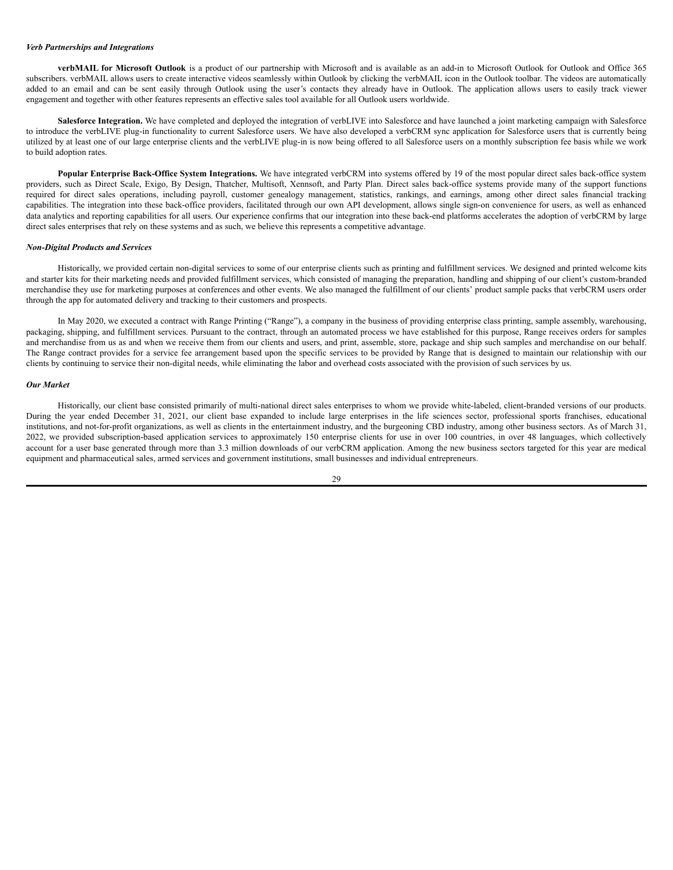# *Verb Partnerships and Integrations*

**verbMAIL for Microsoft Outlook** is a product of our partnership with Microsoft and is available as an add-in to Microsoft Outlook for Outlook and Office 365 subscribers. verbMAIL allows users to create interactive videos seamlessly within Outlook by clicking the verbMAIL icon in the Outlook toolbar. The videos are automatically added to an email and can be sent easily through Outlook using the user's contacts they already have in Outlook. The application allows users to easily track viewer engagement and together with other features represents an effective sales tool available for all Outlook users worldwide.

**Salesforce Integration.** We have completed and deployed the integration of verbLIVE into Salesforce and have launched a joint marketing campaign with Salesforce to introduce the verbLIVE plug-in functionality to current Salesforce users. We have also developed a verbCRM sync application for Salesforce users that is currently being utilized by at least one of our large enterprise clients and the verbLIVE plug-in is now being offered to all Salesforce users on a monthly subscription fee basis while we work to build adoption rates.

**Popular Enterprise Back-Office System Integrations.** We have integrated verbCRM into systems offered by 19 of the most popular direct sales back-office system providers, such as Direct Scale, Exigo, By Design, Thatcher, Multisoft, Xennsoft, and Party Plan. Direct sales back-office systems provide many of the support functions required for direct sales operations, including payroll, customer genealogy management, statistics, rankings, and earnings, among other direct sales financial tracking capabilities. The integration into these back-office providers, facilitated through our own API development, allows single sign-on convenience for users, as well as enhanced data analytics and reporting capabilities for all users. Our experience confirms that our integration into these back-end platforms accelerates the adoption of verbCRM by large direct sales enterprises that rely on these systems and as such, we believe this represents a competitive advantage.

## *Non-Digital Products and Services*

Historically, we provided certain non-digital services to some of our enterprise clients such as printing and fulfillment services. We designed and printed welcome kits and starter kits for their marketing needs and provided fulfillment services, which consisted of managing the preparation, handling and shipping of our client's custom-branded merchandise they use for marketing purposes at conferences and other events. We also managed the fulfillment of our clients' product sample packs that verbCRM users order through the app for automated delivery and tracking to their customers and prospects.

In May 2020, we executed a contract with Range Printing ("Range"), a company in the business of providing enterprise class printing, sample assembly, warehousing, packaging, shipping, and fulfillment services. Pursuant to the contract, through an automated process we have established for this purpose, Range receives orders for samples and merchandise from us as and when we receive them from our clients and users, and print, assemble, store, package and ship such samples and merchandise on our behalf. The Range contract provides for a service fee arrangement based upon the specific services to be provided by Range that is designed to maintain our relationship with our clients by continuing to service their non-digital needs, while eliminating the labor and overhead costs associated with the provision of such services by us.

# *Our Market*

Historically, our client base consisted primarily of multi-national direct sales enterprises to whom we provide white-labeled, client-branded versions of our products. During the year ended December 31, 2021, our client base expanded to include large enterprises in the life sciences sector, professional sports franchises, educational institutions, and not-for-profit organizations, as well as clients in the entertainment industry, and the burgeoning CBD industry, among other business sectors. As of March 31, 2022, we provided subscription-based application services to approximately 150 enterprise clients for use in over 100 countries, in over 48 languages, which collectively account for a user base generated through more than 3.3 million downloads of our verbCRM application. Among the new business sectors targeted for this year are medical equipment and pharmaceutical sales, armed services and government institutions, small businesses and individual entrepreneurs.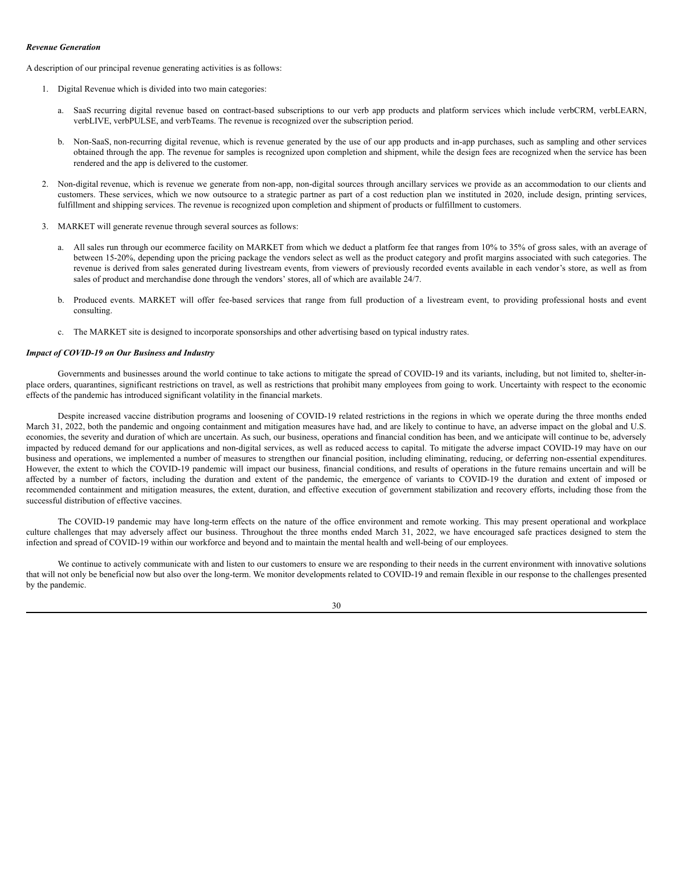# *Revenue Generation*

A description of our principal revenue generating activities is as follows:

- 1. Digital Revenue which is divided into two main categories:
	- a. SaaS recurring digital revenue based on contract-based subscriptions to our verb app products and platform services which include verbCRM, verbLEARN, verbLIVE, verbPULSE, and verbTeams. The revenue is recognized over the subscription period.
	- b. Non-SaaS, non-recurring digital revenue, which is revenue generated by the use of our app products and in-app purchases, such as sampling and other services obtained through the app. The revenue for samples is recognized upon completion and shipment, while the design fees are recognized when the service has been rendered and the app is delivered to the customer.
- 2. Non-digital revenue, which is revenue we generate from non-app, non-digital sources through ancillary services we provide as an accommodation to our clients and customers. These services, which we now outsource to a strategic partner as part of a cost reduction plan we instituted in 2020, include design, printing services, fulfillment and shipping services. The revenue is recognized upon completion and shipment of products or fulfillment to customers.
- 3. MARKET will generate revenue through several sources as follows:
	- a. All sales run through our ecommerce facility on MARKET from which we deduct a platform fee that ranges from 10% to 35% of gross sales, with an average of between 15-20%, depending upon the pricing package the vendors select as well as the product category and profit margins associated with such categories. The revenue is derived from sales generated during livestream events, from viewers of previously recorded events available in each vendor's store, as well as from sales of product and merchandise done through the vendors' stores, all of which are available 24/7.
	- b. Produced events. MARKET will offer fee-based services that range from full production of a livestream event, to providing professional hosts and event consulting.
	- c. The MARKET site is designed to incorporate sponsorships and other advertising based on typical industry rates.

### *Impact of COVID-19 on Our Business and Industry*

Governments and businesses around the world continue to take actions to mitigate the spread of COVID-19 and its variants, including, but not limited to, shelter-inplace orders, quarantines, significant restrictions on travel, as well as restrictions that prohibit many employees from going to work. Uncertainty with respect to the economic effects of the pandemic has introduced significant volatility in the financial markets.

Despite increased vaccine distribution programs and loosening of COVID-19 related restrictions in the regions in which we operate during the three months ended March 31, 2022, both the pandemic and ongoing containment and mitigation measures have had, and are likely to continue to have, an adverse impact on the global and U.S. economies, the severity and duration of which are uncertain. As such, our business, operations and financial condition has been, and we anticipate will continue to be, adversely impacted by reduced demand for our applications and non-digital services, as well as reduced access to capital. To mitigate the adverse impact COVID-19 may have on our business and operations, we implemented a number of measures to strengthen our financial position, including eliminating, reducing, or deferring non-essential expenditures. However, the extent to which the COVID-19 pandemic will impact our business, financial conditions, and results of operations in the future remains uncertain and will be affected by a number of factors, including the duration and extent of the pandemic, the emergence of variants to COVID-19 the duration and extent of imposed or recommended containment and mitigation measures, the extent, duration, and effective execution of government stabilization and recovery efforts, including those from the successful distribution of effective vaccines.

The COVID-19 pandemic may have long-term effects on the nature of the office environment and remote working. This may present operational and workplace culture challenges that may adversely affect our business. Throughout the three months ended March 31, 2022, we have encouraged safe practices designed to stem the infection and spread of COVID-19 within our workforce and beyond and to maintain the mental health and well-being of our employees.

We continue to actively communicate with and listen to our customers to ensure we are responding to their needs in the current environment with innovative solutions that will not only be beneficial now but also over the long-term. We monitor developments related to COVID-19 and remain flexible in our response to the challenges presented by the pandemic.

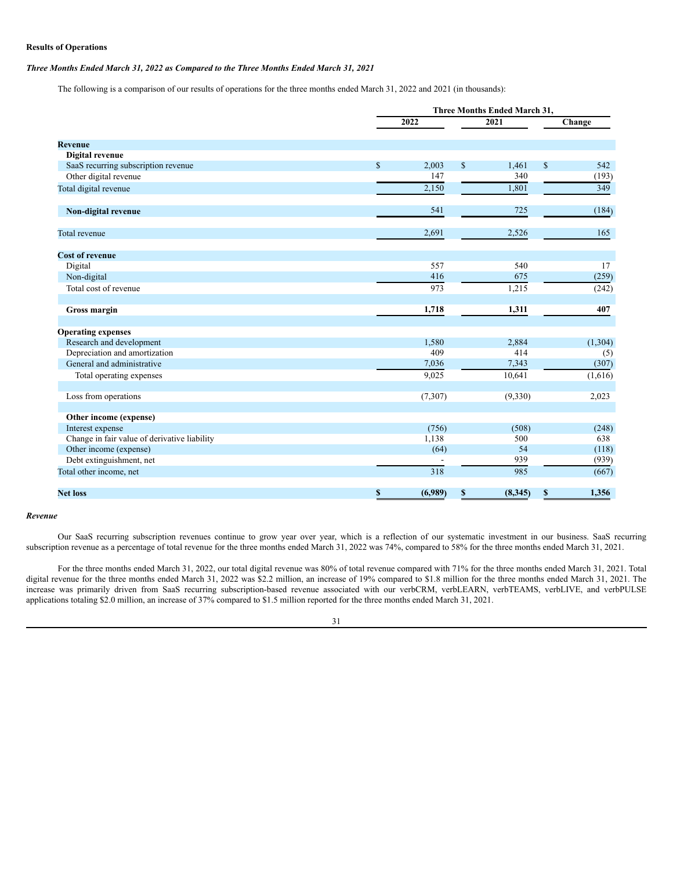# **Results of Operations**

# *Three Months Ended March 31, 2022 as Compared to the Three Months Ended March 31, 2021*

The following is a comparison of our results of operations for the three months ended March 31, 2022 and 2021 (in thousands):

|                                              |              | Three Months Ended March 31, |             |          |                           |         |  |
|----------------------------------------------|--------------|------------------------------|-------------|----------|---------------------------|---------|--|
|                                              |              | 2022                         |             | 2021     |                           | Change  |  |
| <b>Revenue</b>                               |              |                              |             |          |                           |         |  |
| Digital revenue                              |              |                              |             |          |                           |         |  |
| SaaS recurring subscription revenue          | $\mathbb{S}$ | 2,003                        | $\mathbf S$ | 1,461    | \$                        | 542     |  |
| Other digital revenue                        |              | 147                          |             | 340      |                           | (193)   |  |
| Total digital revenue                        |              | 2,150                        |             | 1,801    |                           | 349     |  |
| Non-digital revenue                          |              | 541                          |             | 725      |                           | (184)   |  |
| Total revenue                                |              | 2,691                        |             | 2,526    |                           | 165     |  |
| <b>Cost of revenue</b>                       |              |                              |             |          |                           |         |  |
| Digital                                      |              | 557                          |             | 540      |                           | 17      |  |
| Non-digital                                  |              | 416                          |             | 675      |                           | (259)   |  |
| Total cost of revenue                        |              | 973                          |             | 1,215    |                           | (242)   |  |
| Gross margin                                 |              | 1,718                        |             | 1,311    |                           | 407     |  |
| <b>Operating expenses</b>                    |              |                              |             |          |                           |         |  |
| Research and development                     |              | 1,580                        |             | 2,884    |                           | (1,304) |  |
| Depreciation and amortization                |              | 409                          |             | 414      |                           | (5)     |  |
| General and administrative                   |              | 7,036                        |             | 7,343    |                           | (307)   |  |
| Total operating expenses                     |              | 9,025                        |             | 10,641   |                           | (1,616) |  |
| Loss from operations                         |              | (7, 307)                     |             | (9, 330) |                           | 2,023   |  |
| Other income (expense)                       |              |                              |             |          |                           |         |  |
| Interest expense                             |              | (756)                        |             | (508)    |                           | (248)   |  |
| Change in fair value of derivative liability |              | 1,138                        |             | 500      |                           | 638     |  |
| Other income (expense)                       |              | (64)                         |             | 54       |                           | (118)   |  |
| Debt extinguishment, net                     |              |                              |             | 939      |                           | (939)   |  |
| Total other income, net                      |              | $\overline{318}$             |             | 985      |                           | (667)   |  |
| <b>Net loss</b>                              | \$           | (6,989)                      | \$          | (8,345)  | $\boldsymbol{\mathsf{s}}$ | 1,356   |  |

#### *Revenue*

Our SaaS recurring subscription revenues continue to grow year over year, which is a reflection of our systematic investment in our business. SaaS recurring subscription revenue as a percentage of total revenue for the three months ended March 31, 2022 was 74%, compared to 58% for the three months ended March 31, 2021.

For the three months ended March 31, 2022, our total digital revenue was 80% of total revenue compared with 71% for the three months ended March 31, 2021. Total digital revenue for the three months ended March 31, 2022 was \$2.2 million, an increase of 19% compared to \$1.8 million for the three months ended March 31, 2021. The increase was primarily driven from SaaS recurring subscription-based revenue associated with our verbCRM, verbLEARN, verbTEAMS, verbLIVE, and verbPULSE applications totaling \$2.0 million, an increase of 37% compared to \$1.5 million reported for the three months ended March 31, 2021.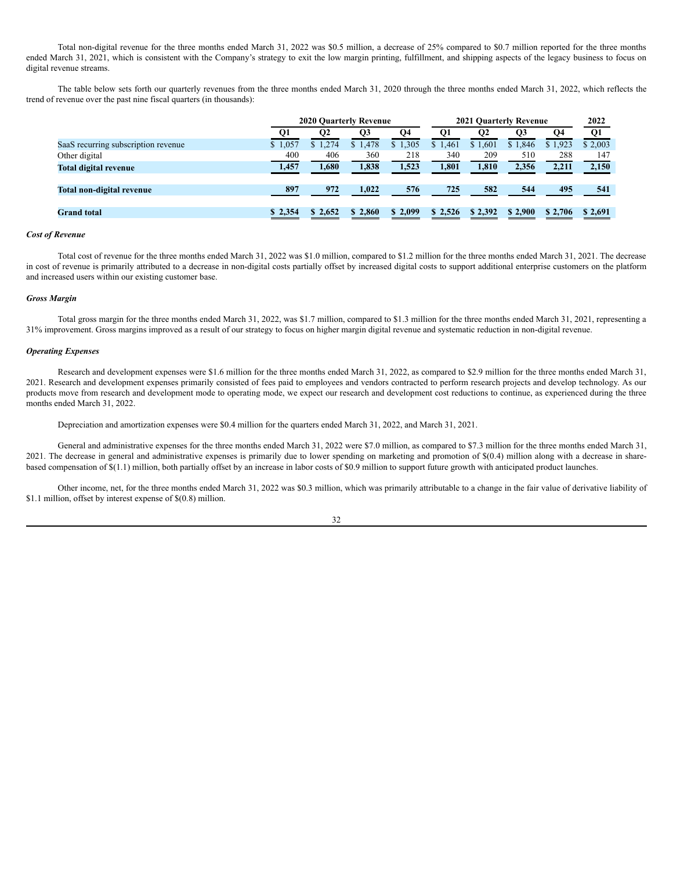Total non-digital revenue for the three months ended March 31, 2022 was \$0.5 million, a decrease of 25% compared to \$0.7 million reported for the three months ended March 31, 2021, which is consistent with the Company's strategy to exit the low margin printing, fulfillment, and shipping aspects of the legacy business to focus on digital revenue streams.

The table below sets forth our quarterly revenues from the three months ended March 31, 2020 through the three months ended March 31, 2022, which reflects the trend of revenue over the past nine fiscal quarters (in thousands):

|                                     | <b>2020 Ouarterly Revenue</b> |         |         | <b>2021 Ouarterly Revenue</b> |         |             | 2022    |         |         |
|-------------------------------------|-------------------------------|---------|---------|-------------------------------|---------|-------------|---------|---------|---------|
|                                     | Q1                            | Q2      | Q3      | Q4                            | Q1      | Q2          | Q3      | Q4      | Q1      |
| SaaS recurring subscription revenue | \$1,057                       | \$1,274 | \$1,478 | .305<br>S.                    | \$1,461 | ,601<br>\$1 | \$1,846 | \$1,923 | \$2,003 |
| Other digital                       | 400                           | 406     | 360     | 218                           | 340     | 209         | 510     | 288     | 147     |
| <b>Total digital revenue</b>        | 1,457                         | 1,680   | 1,838   | 1,523                         | 1,801   | 1,810       | 2,356   | 2,211   | 2,150   |
|                                     |                               |         |         |                               |         |             |         |         |         |
| Total non-digital revenue           | 897                           | 972     | 1.022   | 576                           | 725     | 582         | 544     | 495     | 541     |
|                                     |                               |         |         |                               |         |             |         |         |         |
| <b>Grand total</b>                  | \$2.354                       | \$2,652 | \$2,860 | \$2.099                       | \$2.526 | \$2.392     | \$2.900 | \$2.706 | \$2.691 |
|                                     |                               |         |         |                               |         |             |         |         |         |

### *Cost of Revenue*

Total cost of revenue for the three months ended March 31, 2022 was \$1.0 million, compared to \$1.2 million for the three months ended March 31, 2021. The decrease in cost of revenue is primarily attributed to a decrease in non-digital costs partially offset by increased digital costs to support additional enterprise customers on the platform and increased users within our existing customer base.

# *Gross Margin*

Total gross margin for the three months ended March 31, 2022, was \$1.7 million, compared to \$1.3 million for the three months ended March 31, 2021, representing a 31% improvement. Gross margins improved as a result of our strategy to focus on higher margin digital revenue and systematic reduction in non-digital revenue.

# *Operating Expenses*

Research and development expenses were \$1.6 million for the three months ended March 31, 2022, as compared to \$2.9 million for the three months ended March 31, 2021. Research and development expenses primarily consisted of fees paid to employees and vendors contracted to perform research projects and develop technology. As our products move from research and development mode to operating mode, we expect our research and development cost reductions to continue, as experienced during the three months ended March 31, 2022.

Depreciation and amortization expenses were \$0.4 million for the quarters ended March 31, 2022, and March 31, 2021.

General and administrative expenses for the three months ended March 31, 2022 were \$7.0 million, as compared to \$7.3 million for the three months ended March 31, 2021. The decrease in general and administrative expenses is primarily due to lower spending on marketing and promotion of \$(0.4) million along with a decrease in sharebased compensation of \$(1.1) million, both partially offset by an increase in labor costs of \$0.9 million to support future growth with anticipated product launches.

Other income, net, for the three months ended March 31, 2022 was \$0.3 million, which was primarily attributable to a change in the fair value of derivative liability of \$1.1 million, offset by interest expense of \$(0.8) million.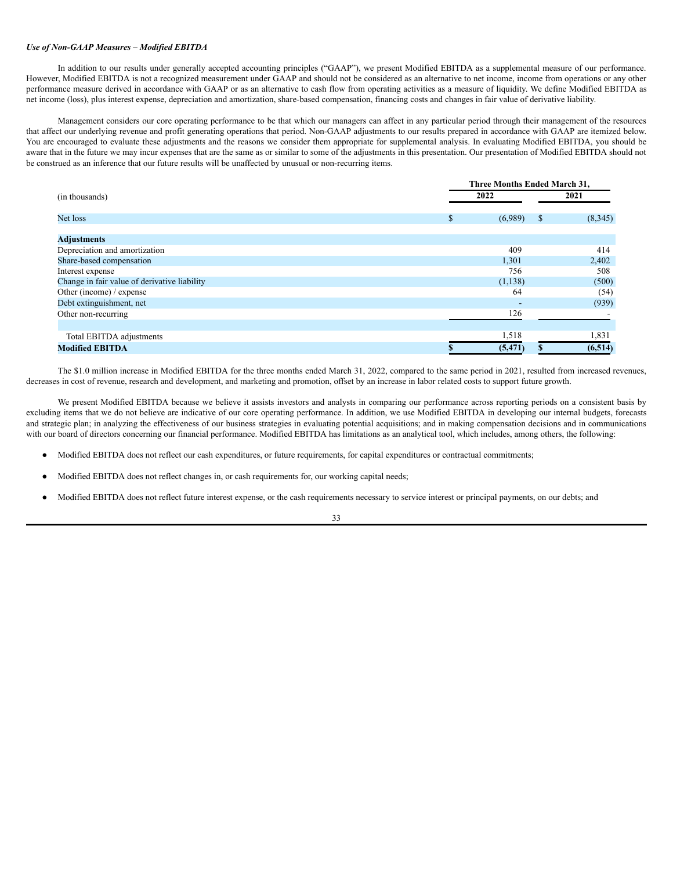# *Use of Non-GAAP Measures – Modified EBITDA*

In addition to our results under generally accepted accounting principles ("GAAP"), we present Modified EBITDA as a supplemental measure of our performance. However, Modified EBITDA is not a recognized measurement under GAAP and should not be considered as an alternative to net income, income from operations or any other performance measure derived in accordance with GAAP or as an alternative to cash flow from operating activities as a measure of liquidity. We define Modified EBITDA as net income (loss), plus interest expense, depreciation and amortization, share-based compensation, financing costs and changes in fair value of derivative liability.

Management considers our core operating performance to be that which our managers can affect in any particular period through their management of the resources that affect our underlying revenue and profit generating operations that period. Non-GAAP adjustments to our results prepared in accordance with GAAP are itemized below. You are encouraged to evaluate these adjustments and the reasons we consider them appropriate for supplemental analysis. In evaluating Modified EBITDA, you should be aware that in the future we may incur expenses that are the same as or similar to some of the adjustments in this presentation. Our presentation of Modified EBITDA should not be construed as an inference that our future results will be unaffected by unusual or non-recurring items.

|                                              |      | Three Months Ended March 31,        |  |  |  |  |  |
|----------------------------------------------|------|-------------------------------------|--|--|--|--|--|
| (in thousands)                               | 2022 | 2021                                |  |  |  |  |  |
| Net loss                                     | \$   | (6,989)<br>(8,345)<br><sup>\$</sup> |  |  |  |  |  |
| <b>Adjustments</b>                           |      |                                     |  |  |  |  |  |
| Depreciation and amortization                |      | 409<br>414                          |  |  |  |  |  |
| Share-based compensation                     |      | 2,402<br>1,301                      |  |  |  |  |  |
| Interest expense                             |      | 508<br>756                          |  |  |  |  |  |
| Change in fair value of derivative liability |      | (1,138)<br>(500)                    |  |  |  |  |  |
| Other (income) / expense                     |      | (54)<br>64                          |  |  |  |  |  |
| Debt extinguishment, net                     |      | (939)<br>-                          |  |  |  |  |  |
| Other non-recurring                          |      | 126                                 |  |  |  |  |  |
|                                              |      |                                     |  |  |  |  |  |
| Total EBITDA adjustments                     |      | 1,518<br>1,831                      |  |  |  |  |  |
| <b>Modified EBITDA</b>                       |      | (6, 514)<br>(5, 471)                |  |  |  |  |  |

The \$1.0 million increase in Modified EBITDA for the three months ended March 31, 2022, compared to the same period in 2021, resulted from increased revenues, decreases in cost of revenue, research and development, and marketing and promotion, offset by an increase in labor related costs to support future growth.

We present Modified EBITDA because we believe it assists investors and analysts in comparing our performance across reporting periods on a consistent basis by excluding items that we do not believe are indicative of our core operating performance. In addition, we use Modified EBITDA in developing our internal budgets, forecasts and strategic plan; in analyzing the effectiveness of our business strategies in evaluating potential acquisitions; and in making compensation decisions and in communications with our board of directors concerning our financial performance. Modified EBITDA has limitations as an analytical tool, which includes, among others, the following:

- Modified EBITDA does not reflect our cash expenditures, or future requirements, for capital expenditures or contractual commitments;
- Modified EBITDA does not reflect changes in, or cash requirements for, our working capital needs;
- Modified EBITDA does not reflect future interest expense, or the cash requirements necessary to service interest or principal payments, on our debts; and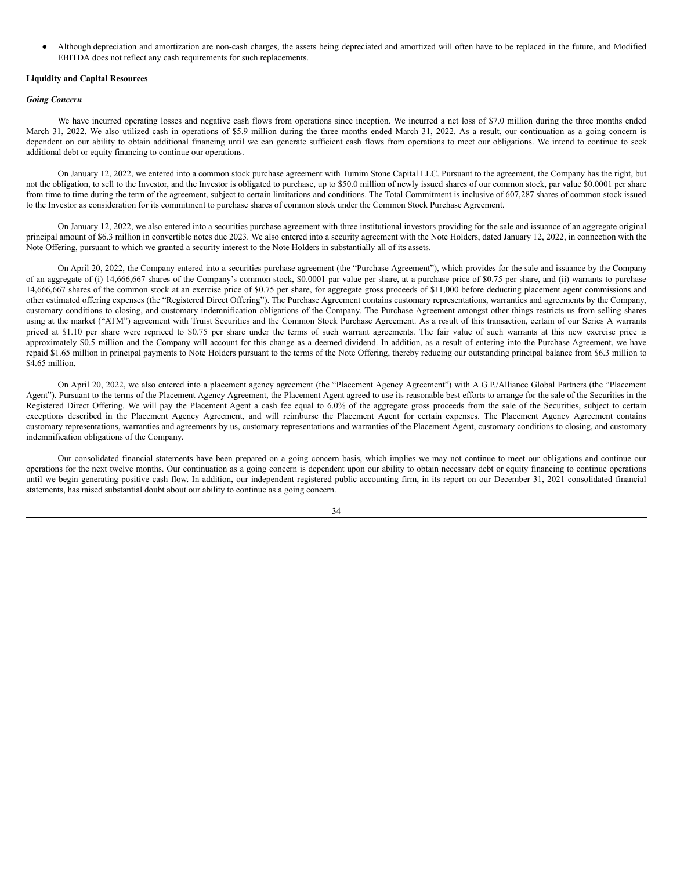Although depreciation and amortization are non-cash charges, the assets being depreciated and amortized will often have to be replaced in the future, and Modified EBITDA does not reflect any cash requirements for such replacements.

# **Liquidity and Capital Resources**

# *Going Concern*

We have incurred operating losses and negative cash flows from operations since inception. We incurred a net loss of \$7.0 million during the three months ended March 31, 2022. We also utilized cash in operations of \$5.9 million during the three months ended March 31, 2022. As a result, our continuation as a going concern is dependent on our ability to obtain additional financing until we can generate sufficient cash flows from operations to meet our obligations. We intend to continue to seek additional debt or equity financing to continue our operations.

On January 12, 2022, we entered into a common stock purchase agreement with Tumim Stone Capital LLC. Pursuant to the agreement, the Company has the right, but not the obligation, to sell to the Investor, and the Investor is obligated to purchase, up to \$50.0 million of newly issued shares of our common stock, par value \$0.0001 per share from time to time during the term of the agreement, subject to certain limitations and conditions. The Total Commitment is inclusive of 607,287 shares of common stock issued to the Investor as consideration for its commitment to purchase shares of common stock under the Common Stock Purchase Agreement.

On January 12, 2022, we also entered into a securities purchase agreement with three institutional investors providing for the sale and issuance of an aggregate original principal amount of \$6.3 million in convertible notes due 2023. We also entered into a security agreement with the Note Holders, dated January 12, 2022, in connection with the Note Offering, pursuant to which we granted a security interest to the Note Holders in substantially all of its assets.

On April 20, 2022, the Company entered into a securities purchase agreement (the "Purchase Agreement"), which provides for the sale and issuance by the Company of an aggregate of (i) 14,666,667 shares of the Company's common stock, \$0.0001 par value per share, at a purchase price of \$0.75 per share, and (ii) warrants to purchase 14,666,667 shares of the common stock at an exercise price of \$0.75 per share, for aggregate gross proceeds of \$11,000 before deducting placement agent commissions and other estimated offering expenses (the "Registered Direct Offering"). The Purchase Agreement contains customary representations, warranties and agreements by the Company, customary conditions to closing, and customary indemnification obligations of the Company. The Purchase Agreement amongst other things restricts us from selling shares using at the market ("ATM") agreement with Truist Securities and the Common Stock Purchase Agreement. As a result of this transaction, certain of our Series A warrants priced at \$1.10 per share were repriced to \$0.75 per share under the terms of such warrant agreements. The fair value of such warrants at this new exercise price is approximately \$0.5 million and the Company will account for this change as a deemed dividend. In addition, as a result of entering into the Purchase Agreement, we have repaid \$1.65 million in principal payments to Note Holders pursuant to the terms of the Note Offering, thereby reducing our outstanding principal balance from \$6.3 million to \$4.65 million.

On April 20, 2022, we also entered into a placement agency agreement (the "Placement Agency Agreement") with A.G.P./Alliance Global Partners (the "Placement Agent"). Pursuant to the terms of the Placement Agency Agreement, the Placement Agent agreed to use its reasonable best efforts to arrange for the sale of the Securities in the Registered Direct Offering. We will pay the Placement Agent a cash fee equal to 6.0% of the aggregate gross proceeds from the sale of the Securities, subject to certain exceptions described in the Placement Agency Agreement, and will reimburse the Placement Agent for certain expenses. The Placement Agency Agreement contains customary representations, warranties and agreements by us, customary representations and warranties of the Placement Agent, customary conditions to closing, and customary indemnification obligations of the Company.

Our consolidated financial statements have been prepared on a going concern basis, which implies we may not continue to meet our obligations and continue our operations for the next twelve months. Our continuation as a going concern is dependent upon our ability to obtain necessary debt or equity financing to continue operations until we begin generating positive cash flow. In addition, our independent registered public accounting firm, in its report on our December 31, 2021 consolidated financial statements, has raised substantial doubt about our ability to continue as a going concern.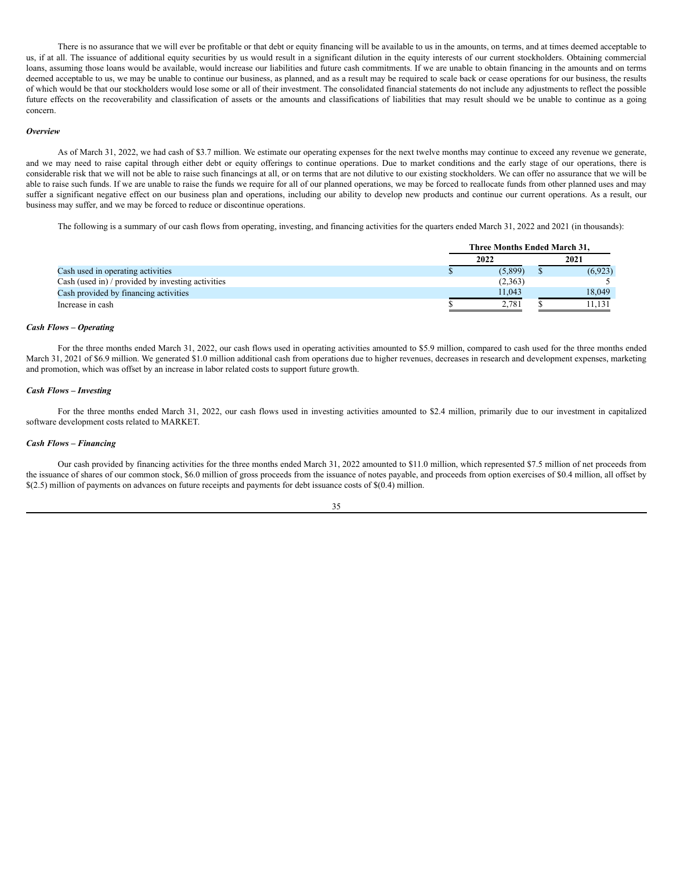There is no assurance that we will ever be profitable or that debt or equity financing will be available to us in the amounts, on terms, and at times deemed acceptable to us, if at all. The issuance of additional equity securities by us would result in a significant dilution in the equity interests of our current stockholders. Obtaining commercial loans, assuming those loans would be available, would increase our liabilities and future cash commitments. If we are unable to obtain financing in the amounts and on terms deemed acceptable to us, we may be unable to continue our business, as planned, and as a result may be required to scale back or cease operations for our business, the results of which would be that our stockholders would lose some or all of their investment. The consolidated financial statements do not include any adjustments to reflect the possible future effects on the recoverability and classification of assets or the amounts and classifications of liabilities that may result should we be unable to continue as a going concern.

### *Overview*

As of March 31, 2022, we had cash of \$3.7 million. We estimate our operating expenses for the next twelve months may continue to exceed any revenue we generate, and we may need to raise capital through either debt or equity offerings to continue operations. Due to market conditions and the early stage of our operations, there is considerable risk that we will not be able to raise such financings at all, or on terms that are not dilutive to our existing stockholders. We can offer no assurance that we will be able to raise such funds. If we are unable to raise the funds we require for all of our planned operations, we may be forced to reallocate funds from other planned uses and may suffer a significant negative effect on our business plan and operations, including our ability to develop new products and continue our current operations. As a result, our business may suffer, and we may be forced to reduce or discontinue operations.

The following is a summary of our cash flows from operating, investing, and financing activities for the quarters ended March 31, 2022 and 2021 (in thousands):

|                                                   | Three Months Ended March 31, |  |         |  |
|---------------------------------------------------|------------------------------|--|---------|--|
|                                                   | 2022                         |  | 2021    |  |
| Cash used in operating activities                 | (5,899)                      |  | (6.923) |  |
| Cash (used in) / provided by investing activities | (2,363)                      |  |         |  |
| Cash provided by financing activities             | 11.043                       |  | 18.049  |  |
| Increase in cash                                  | 2.781                        |  | 11.131  |  |

# *Cash Flows – Operating*

For the three months ended March 31, 2022, our cash flows used in operating activities amounted to \$5.9 million, compared to cash used for the three months ended March 31, 2021 of \$6.9 million. We generated \$1.0 million additional cash from operations due to higher revenues, decreases in research and development expenses, marketing and promotion, which was offset by an increase in labor related costs to support future growth.

## *Cash Flows – Investing*

For the three months ended March 31, 2022, our cash flows used in investing activities amounted to \$2.4 million, primarily due to our investment in capitalized software development costs related to MARKET.

### *Cash Flows – Financing*

Our cash provided by financing activities for the three months ended March 31, 2022 amounted to \$11.0 million, which represented \$7.5 million of net proceeds from the issuance of shares of our common stock, \$6.0 million of gross proceeds from the issuance of notes payable, and proceeds from option exercises of \$0.4 million, all offset by \$(2.5) million of payments on advances on future receipts and payments for debt issuance costs of \$(0.4) million.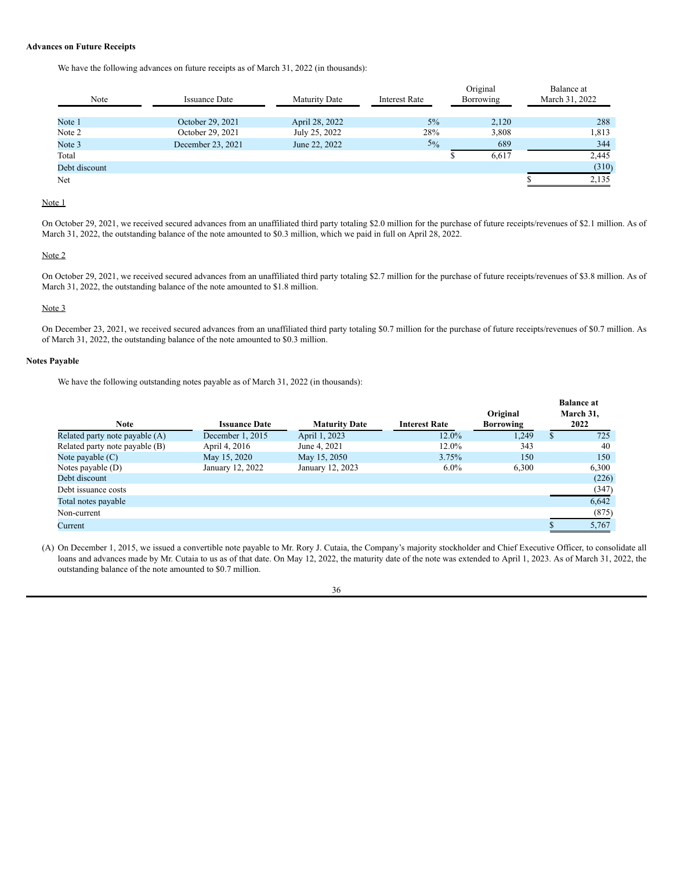# **Advances on Future Receipts**

We have the following advances on future receipts as of March 31, 2022 (in thousands):

| Note          | <b>Issuance Date</b> | <b>Maturity Date</b> | <b>Interest Rate</b> | Original<br>Borrowing | Balance at<br>March 31, 2022 |
|---------------|----------------------|----------------------|----------------------|-----------------------|------------------------------|
| Note 1        | October 29, 2021     | April 28, 2022       | 5%                   | 2,120                 | 288                          |
| Note 2        | October 29, 2021     | July 25, 2022        | 28%                  | 3,808                 | 1,813                        |
| Note 3        | December 23, 2021    | June 22, 2022        | 5%                   | 689                   | 344                          |
| Total         |                      |                      |                      | 6,617                 | 2,445                        |
| Debt discount |                      |                      |                      |                       | (310)                        |
| Net           |                      |                      |                      |                       | 2.135                        |

#### Note 1

On October 29, 2021, we received secured advances from an unaffiliated third party totaling \$2.0 million for the purchase of future receipts/revenues of \$2.1 million. As of March 31, 2022, the outstanding balance of the note amounted to \$0.3 million, which we paid in full on April 28, 2022.

#### Note 2

On October 29, 2021, we received secured advances from an unaffiliated third party totaling \$2.7 million for the purchase of future receipts/revenues of \$3.8 million. As of March 31, 2022, the outstanding balance of the note amounted to \$1.8 million.

# Note 3

On December 23, 2021, we received secured advances from an unaffiliated third party totaling \$0.7 million for the purchase of future receipts/revenues of \$0.7 million. As of March 31, 2022, the outstanding balance of the note amounted to \$0.3 million.

# **Notes Payable**

We have the following outstanding notes payable as of March 31, 2022 (in thousands):

| <b>Note</b>                    | <b>Issuance Date</b> | <b>Maturity Date</b> | <b>Interest Rate</b> | Original<br><b>Borrowing</b> |   | <b>Balance</b> at<br>March 31,<br>2022 |
|--------------------------------|----------------------|----------------------|----------------------|------------------------------|---|----------------------------------------|
| Related party note payable (A) | December 1, 2015     | April 1, 2023        | $12.0\%$             | 1.249                        | S | 725                                    |
| Related party note payable (B) | April 4, 2016        | June 4, 2021         | $12.0\%$             | 343                          |   | 40                                     |
| Note payable $(C)$             | May 15, 2020         | May 15, 2050         | 3.75%                | 150                          |   | 150                                    |
| Notes payable $(D)$            | January 12, 2022     | January 12, 2023     | $6.0\%$              | 6,300                        |   | 6,300                                  |
| Debt discount                  |                      |                      |                      |                              |   | (226)                                  |
| Debt issuance costs            |                      |                      |                      |                              |   | (347)                                  |
| Total notes payable            |                      |                      |                      |                              |   | 6,642                                  |
| Non-current                    |                      |                      |                      |                              |   | (875)                                  |
| Current                        |                      |                      |                      |                              |   | 5,767                                  |

(A) On December 1, 2015, we issued a convertible note payable to Mr. Rory J. Cutaia, the Company's majority stockholder and Chief Executive Officer, to consolidate all loans and advances made by Mr. Cutaia to us as of that date. On May 12, 2022, the maturity date of the note was extended to April 1, 2023. As of March 31, 2022, the outstanding balance of the note amounted to \$0.7 million.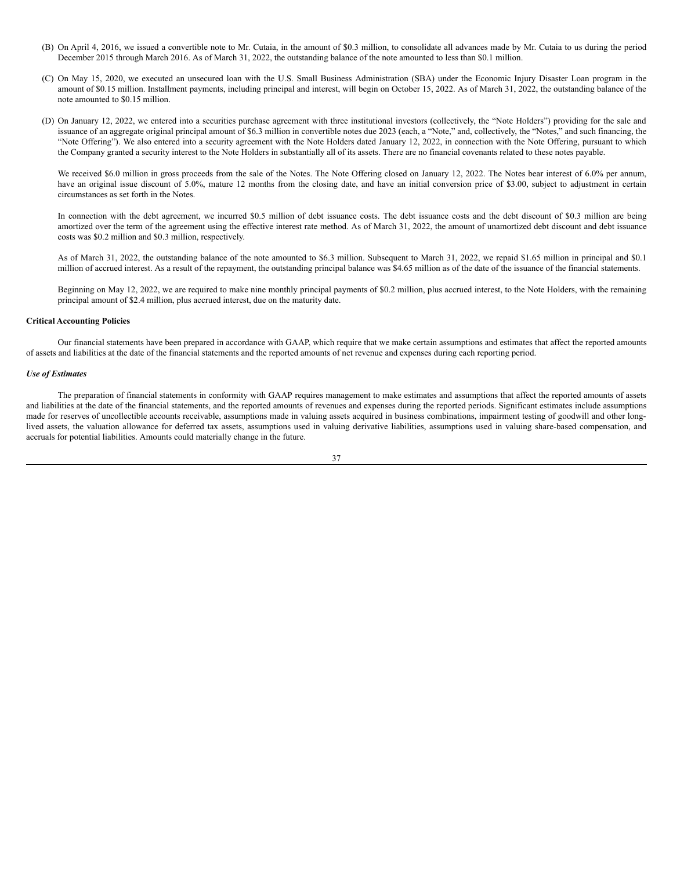- (B) On April 4, 2016, we issued a convertible note to Mr. Cutaia, in the amount of \$0.3 million, to consolidate all advances made by Mr. Cutaia to us during the period December 2015 through March 2016. As of March 31, 2022, the outstanding balance of the note amounted to less than \$0.1 million.
- (C) On May 15, 2020, we executed an unsecured loan with the U.S. Small Business Administration (SBA) under the Economic Injury Disaster Loan program in the amount of \$0.15 million. Installment payments, including principal and interest, will begin on October 15, 2022. As of March 31, 2022, the outstanding balance of the note amounted to \$0.15 million.
- (D) On January 12, 2022, we entered into a securities purchase agreement with three institutional investors (collectively, the "Note Holders") providing for the sale and issuance of an aggregate original principal amount of \$6.3 million in convertible notes due 2023 (each, a "Note," and, collectively, the "Notes," and such financing, the "Note Offering"). We also entered into a security agreement with the Note Holders dated January 12, 2022, in connection with the Note Offering, pursuant to which the Company granted a security interest to the Note Holders in substantially all of its assets. There are no financial covenants related to these notes payable.

We received \$6.0 million in gross proceeds from the sale of the Notes. The Note Offering closed on January 12, 2022. The Notes bear interest of 6.0% per annum, have an original issue discount of 5.0%, mature 12 months from the closing date, and have an initial conversion price of \$3.00, subject to adjustment in certain circumstances as set forth in the Notes.

In connection with the debt agreement, we incurred \$0.5 million of debt issuance costs. The debt issuance costs and the debt discount of \$0.3 million are being amortized over the term of the agreement using the effective interest rate method. As of March 31, 2022, the amount of unamortized debt discount and debt issuance costs was \$0.2 million and \$0.3 million, respectively.

As of March 31, 2022, the outstanding balance of the note amounted to \$6.3 million. Subsequent to March 31, 2022, we repaid \$1.65 million in principal and \$0.1 million of accrued interest. As a result of the repayment, the outstanding principal balance was \$4.65 million as of the date of the issuance of the financial statements.

Beginning on May 12, 2022, we are required to make nine monthly principal payments of \$0.2 million, plus accrued interest, to the Note Holders, with the remaining principal amount of \$2.4 million, plus accrued interest, due on the maturity date.

# **Critical Accounting Policies**

Our financial statements have been prepared in accordance with GAAP, which require that we make certain assumptions and estimates that affect the reported amounts of assets and liabilities at the date of the financial statements and the reported amounts of net revenue and expenses during each reporting period.

# *Use of Estimates*

The preparation of financial statements in conformity with GAAP requires management to make estimates and assumptions that affect the reported amounts of assets and liabilities at the date of the financial statements, and the reported amounts of revenues and expenses during the reported periods. Significant estimates include assumptions made for reserves of uncollectible accounts receivable, assumptions made in valuing assets acquired in business combinations, impairment testing of goodwill and other longlived assets, the valuation allowance for deferred tax assets, assumptions used in valuing derivative liabilities, assumptions used in valuing share-based compensation, and accruals for potential liabilities. Amounts could materially change in the future.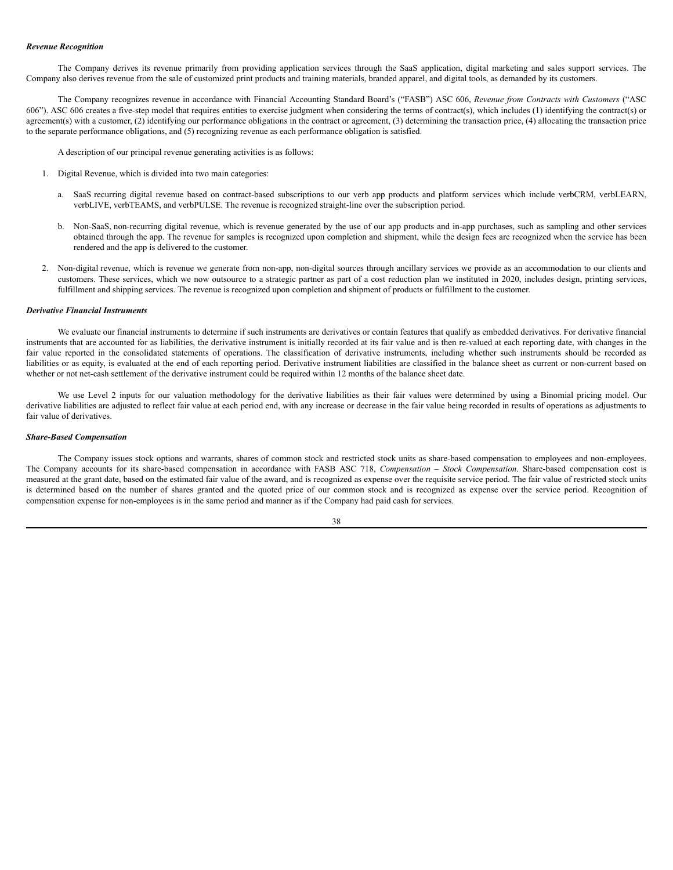### *Revenue Recognition*

The Company derives its revenue primarily from providing application services through the SaaS application, digital marketing and sales support services. The Company also derives revenue from the sale of customized print products and training materials, branded apparel, and digital tools, as demanded by its customers.

The Company recognizes revenue in accordance with Financial Accounting Standard Board's ("FASB") ASC 606, *Revenue from Contracts with Customers* ("ASC 606"). ASC 606 creates a five-step model that requires entities to exercise judgment when considering the terms of contract(s), which includes (1) identifying the contract(s) or agreement(s) with a customer, (2) identifying our performance obligations in the contract or agreement, (3) determining the transaction price, (4) allocating the transaction price to the separate performance obligations, and (5) recognizing revenue as each performance obligation is satisfied.

A description of our principal revenue generating activities is as follows:

- 1. Digital Revenue, which is divided into two main categories:
	- a. SaaS recurring digital revenue based on contract-based subscriptions to our verb app products and platform services which include verbCRM, verbLEARN, verbLIVE, verbTEAMS, and verbPULSE. The revenue is recognized straight-line over the subscription period.
	- b. Non-SaaS, non-recurring digital revenue, which is revenue generated by the use of our app products and in-app purchases, such as sampling and other services obtained through the app. The revenue for samples is recognized upon completion and shipment, while the design fees are recognized when the service has been rendered and the app is delivered to the customer.
- 2. Non-digital revenue, which is revenue we generate from non-app, non-digital sources through ancillary services we provide as an accommodation to our clients and customers. These services, which we now outsource to a strategic partner as part of a cost reduction plan we instituted in 2020, includes design, printing services, fulfillment and shipping services. The revenue is recognized upon completion and shipment of products or fulfillment to the customer.

### *Derivative Financial Instruments*

We evaluate our financial instruments to determine if such instruments are derivatives or contain features that qualify as embedded derivatives. For derivative financial instruments that are accounted for as liabilities, the derivative instrument is initially recorded at its fair value and is then re-valued at each reporting date, with changes in the fair value reported in the consolidated statements of operations. The classification of derivative instruments, including whether such instruments should be recorded as liabilities or as equity, is evaluated at the end of each reporting period. Derivative instrument liabilities are classified in the balance sheet as current or non-current based on whether or not net-cash settlement of the derivative instrument could be required within 12 months of the balance sheet date.

We use Level 2 inputs for our valuation methodology for the derivative liabilities as their fair values were determined by using a Binomial pricing model. Our derivative liabilities are adjusted to reflect fair value at each period end, with any increase or decrease in the fair value being recorded in results of operations as adjustments to fair value of derivatives.

### *Share-Based Compensation*

The Company issues stock options and warrants, shares of common stock and restricted stock units as share-based compensation to employees and non-employees. The Company accounts for its share-based compensation in accordance with FASB ASC 718, *Compensation – Stock Compensation*. Share-based compensation cost is measured at the grant date, based on the estimated fair value of the award, and is recognized as expense over the requisite service period. The fair value of restricted stock units is determined based on the number of shares granted and the quoted price of our common stock and is recognized as expense over the service period. Recognition of compensation expense for non-employees is in the same period and manner as if the Company had paid cash for services.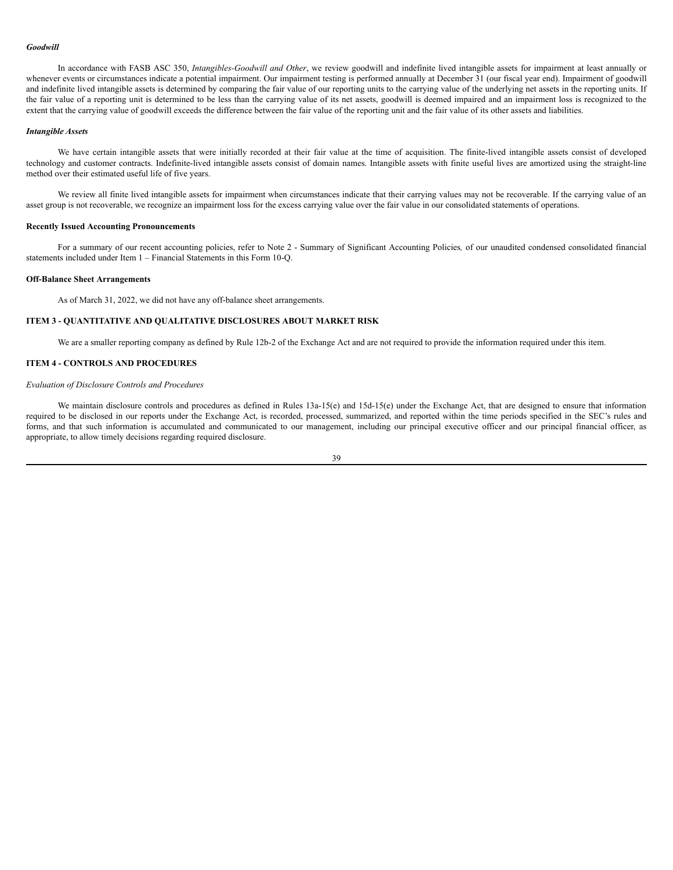# *Goodwill*

In accordance with FASB ASC 350, *Intangibles-Goodwill and Other*, we review goodwill and indefinite lived intangible assets for impairment at least annually or whenever events or circumstances indicate a potential impairment. Our impairment testing is performed annually at December 31 (our fiscal year end). Impairment of goodwill and indefinite lived intangible assets is determined by comparing the fair value of our reporting units to the carrying value of the underlying net assets in the reporting units. If the fair value of a reporting unit is determined to be less than the carrying value of its net assets, goodwill is deemed impaired and an impairment loss is recognized to the extent that the carrying value of goodwill exceeds the difference between the fair value of the reporting unit and the fair value of its other assets and liabilities.

# *Intangible Assets*

We have certain intangible assets that were initially recorded at their fair value at the time of acquisition. The finite-lived intangible assets consist of developed technology and customer contracts. Indefinite-lived intangible assets consist of domain names. Intangible assets with finite useful lives are amortized using the straight-line method over their estimated useful life of five years.

We review all finite lived intangible assets for impairment when circumstances indicate that their carrying values may not be recoverable. If the carrying value of an asset group is not recoverable, we recognize an impairment loss for the excess carrying value over the fair value in our consolidated statements of operations.

### **Recently Issued Accounting Pronouncements**

For a summary of our recent accounting policies, refer to Note 2 - Summary of Significant Accounting Policies*,* of our unaudited condensed consolidated financial statements included under Item 1 – Financial Statements in this Form 10-Q.

# **Off-Balance Sheet Arrangements**

As of March 31, 2022, we did not have any off-balance sheet arrangements.

# <span id="page-38-0"></span>**ITEM 3 - QUANTITATIVE AND QUALITATIVE DISCLOSURES ABOUT MARKET RISK**

We are a smaller reporting company as defined by Rule 12b-2 of the Exchange Act and are not required to provide the information required under this item.

# <span id="page-38-1"></span>**ITEM 4 - CONTROLS AND PROCEDURES**

#### *Evaluation of Disclosure Controls and Procedures*

We maintain disclosure controls and procedures as defined in Rules 13a-15(e) and 15d-15(e) under the Exchange Act, that are designed to ensure that information required to be disclosed in our reports under the Exchange Act, is recorded, processed, summarized, and reported within the time periods specified in the SEC's rules and forms, and that such information is accumulated and communicated to our management, including our principal executive officer and our principal financial officer, as appropriate, to allow timely decisions regarding required disclosure.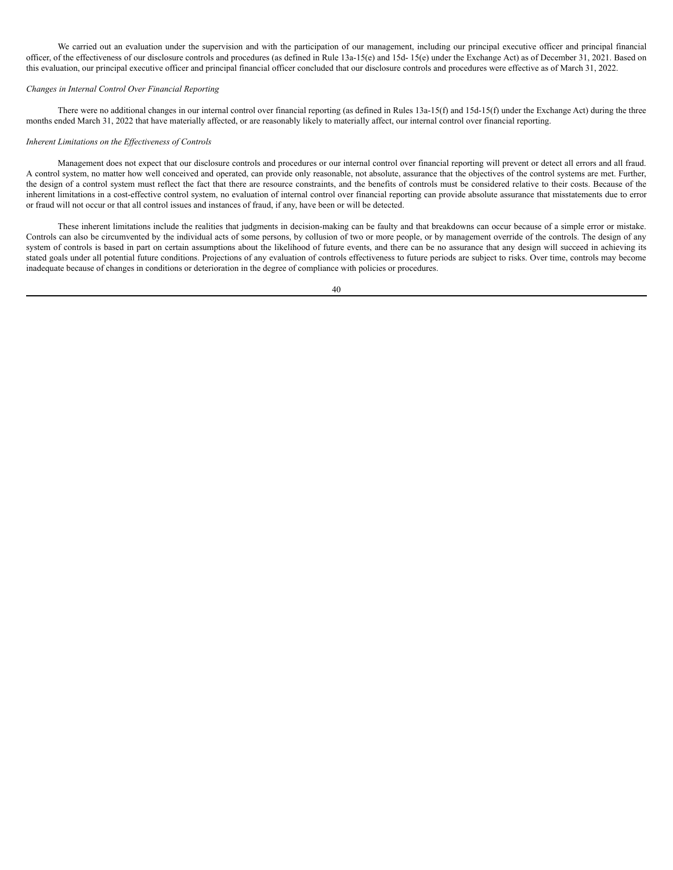We carried out an evaluation under the supervision and with the participation of our management, including our principal executive officer and principal financial officer, of the effectiveness of our disclosure controls and procedures (as defined in Rule 13a-15(e) and 15d- 15(e) under the Exchange Act) as of December 31, 2021. Based on this evaluation, our principal executive officer and principal financial officer concluded that our disclosure controls and procedures were effective as of March 31, 2022.

# *Changes in Internal Control Over Financial Reporting*

There were no additional changes in our internal control over financial reporting (as defined in Rules 13a-15(f) and 15d-15(f) under the Exchange Act) during the three months ended March 31, 2022 that have materially affected, or are reasonably likely to materially affect, our internal control over financial reporting.

#### *Inherent Limitations on the Ef ectiveness of Controls*

Management does not expect that our disclosure controls and procedures or our internal control over financial reporting will prevent or detect all errors and all fraud. A control system, no matter how well conceived and operated, can provide only reasonable, not absolute, assurance that the objectives of the control systems are met. Further, the design of a control system must reflect the fact that there are resource constraints, and the benefits of controls must be considered relative to their costs. Because of the inherent limitations in a cost-effective control system, no evaluation of internal control over financial reporting can provide absolute assurance that misstatements due to error or fraud will not occur or that all control issues and instances of fraud, if any, have been or will be detected.

These inherent limitations include the realities that judgments in decision-making can be faulty and that breakdowns can occur because of a simple error or mistake. Controls can also be circumvented by the individual acts of some persons, by collusion of two or more people, or by management override of the controls. The design of any system of controls is based in part on certain assumptions about the likelihood of future events, and there can be no assurance that any design will succeed in achieving its stated goals under all potential future conditions. Projections of any evaluation of controls effectiveness to future periods are subject to risks. Over time, controls may become inadequate because of changes in conditions or deterioration in the degree of compliance with policies or procedures.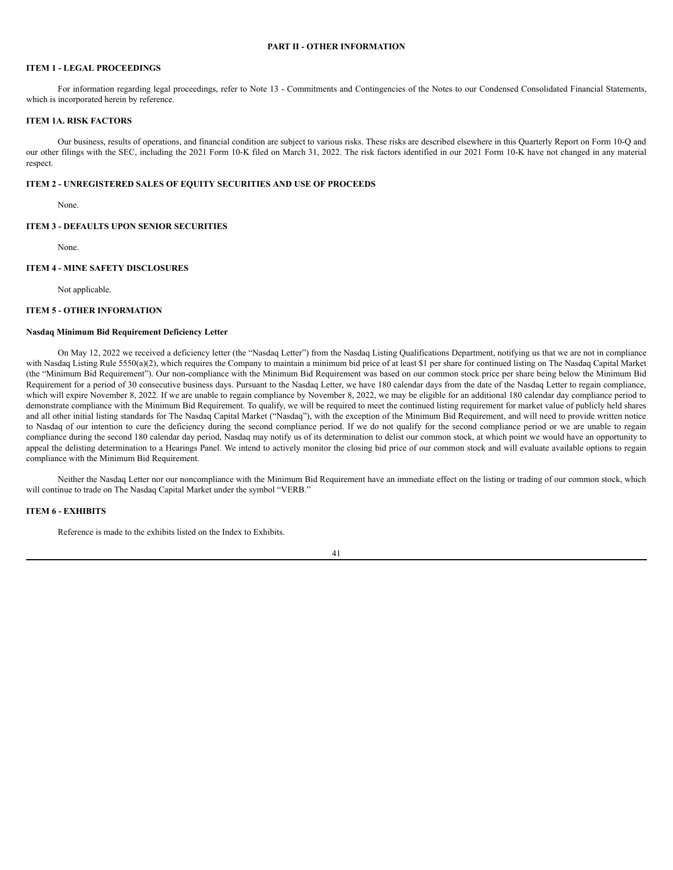# <span id="page-40-1"></span><span id="page-40-0"></span>**ITEM 1 - LEGAL PROCEEDINGS**

For information regarding legal proceedings, refer to Note 13 - Commitments and Contingencies of the Notes to our Condensed Consolidated Financial Statements, which is incorporated herein by reference.

# <span id="page-40-2"></span>**ITEM 1A. RISK FACTORS**

Our business, results of operations, and financial condition are subject to various risks. These risks are described elsewhere in this Quarterly Report on Form 10-Q and our other filings with the SEC, including the 2021 Form 10-K filed on March 31, 2022. The risk factors identified in our 2021 Form 10-K have not changed in any material respect.

# <span id="page-40-3"></span>**ITEM 2 - UNREGISTERED SALES OF EQUITY SECURITIES AND USE OF PROCEEDS**

None.

# <span id="page-40-4"></span>**ITEM 3 - DEFAULTS UPON SENIOR SECURITIES**

None.

# <span id="page-40-5"></span>**ITEM 4 - MINE SAFETY DISCLOSURES**

Not applicable.

# <span id="page-40-6"></span>**ITEM 5 - OTHER INFORMATION**

# **Nasdaq Minimum Bid Requirement Deficiency Letter**

On May 12, 2022 we received a deficiency letter (the "Nasdaq Letter") from the Nasdaq Listing Qualifications Department, notifying us that we are not in compliance with Nasdaq Listing Rule 5550(a)(2), which requires the Company to maintain a minimum bid price of at least \$1 per share for continued listing on The Nasdaq Capital Market (the "Minimum Bid Requirement"). Our non-compliance with the Minimum Bid Requirement was based on our common stock price per share being below the Minimum Bid Requirement for a period of 30 consecutive business days. Pursuant to the Nasdaq Letter, we have 180 calendar days from the date of the Nasdaq Letter to regain compliance, which will expire November 8, 2022. If we are unable to regain compliance by November 8, 2022, we may be eligible for an additional 180 calendar day compliance period to demonstrate compliance with the Minimum Bid Requirement. To qualify, we will be required to meet the continued listing requirement for market value of publicly held shares and all other initial listing standards for The Nasdaq Capital Market ("Nasdaq"), with the exception of the Minimum Bid Requirement, and will need to provide written notice to Nasdaq of our intention to cure the deficiency during the second compliance period. If we do not qualify for the second compliance period or we are unable to regain compliance during the second 180 calendar day period, Nasdaq may notify us of its determination to delist our common stock, at which point we would have an opportunity to appeal the delisting determination to a Hearings Panel. We intend to actively monitor the closing bid price of our common stock and will evaluate available options to regain compliance with the Minimum Bid Requirement.

Neither the Nasdaq Letter nor our noncompliance with the Minimum Bid Requirement have an immediate effect on the listing or trading of our common stock, which will continue to trade on The Nasdaq Capital Market under the symbol "VERB."

# <span id="page-40-7"></span>**ITEM 6 - EXHIBITS**

Reference is made to the exhibits listed on the Index to Exhibits.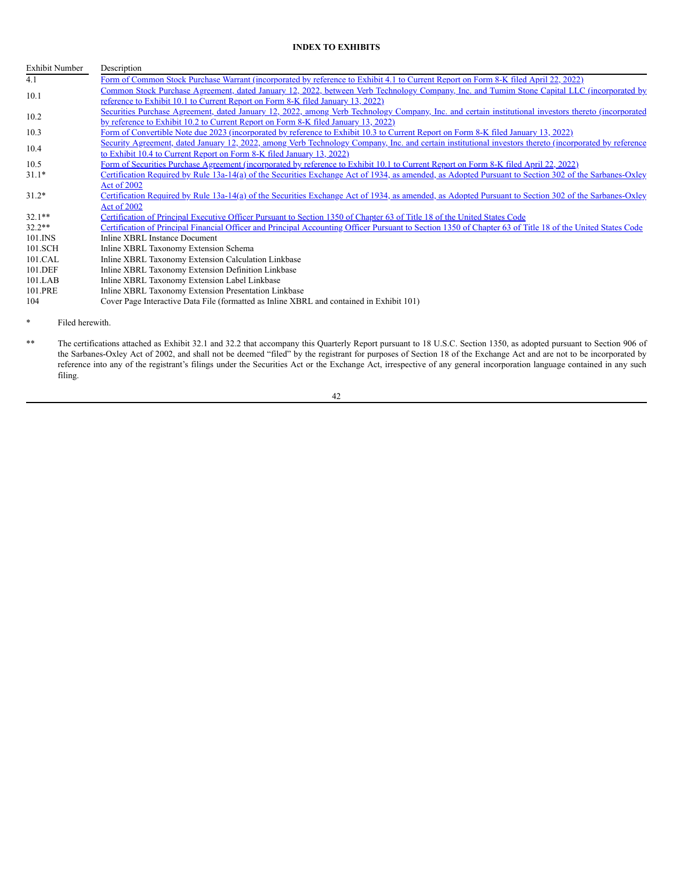# **INDEX TO EXHIBITS**

| <b>Exhibit Number</b> | Description                                                                                                                                                |
|-----------------------|------------------------------------------------------------------------------------------------------------------------------------------------------------|
| 4.1                   | Form of Common Stock Purchase Warrant (incorporated by reference to Exhibit 4.1 to Current Report on Form 8-K filed April 22, 2022)                        |
|                       | Common Stock Purchase Agreement, dated January 12, 2022, between Verb Technology Company, Inc. and Tumim Stone Capital LLC (incorporated by                |
| 10.1                  | reference to Exhibit 10.1 to Current Report on Form 8-K filed January 13, 2022)                                                                            |
| 10.2                  | Securities Purchase Agreement, dated January 12, 2022, among Verb Technology Company, Inc. and certain institutional investors thereto (incorporated       |
|                       | by reference to Exhibit 10.2 to Current Report on Form 8-K filed January 13, 2022)                                                                         |
| 10.3                  | Form of Convertible Note due 2023 (incorporated by reference to Exhibit 10.3 to Current Report on Form 8-K filed January 13, 2022)                         |
| 10.4                  | Security Agreement, dated January 12, 2022, among Verb Technology Company, Inc. and certain institutional investors thereto (incorporated by reference     |
|                       | to Exhibit 10.4 to Current Report on Form 8-K filed January 13, 2022)                                                                                      |
| 10.5                  | Form of Securities Purchase Agreement (incorporated by reference to Exhibit 10.1 to Current Report on Form 8-K filed April 22, 2022)                       |
| $31.1*$               | Certification Required by Rule 13a-14(a) of the Securities Exchange Act of 1934, as amended, as Adopted Pursuant to Section 302 of the Sarbanes-Oxley      |
|                       | Act of 2002                                                                                                                                                |
| $31.2*$               | Certification Required by Rule 13a-14(a) of the Securities Exchange Act of 1934, as amended, as Adopted Pursuant to Section 302 of the Sarbanes-Oxley      |
|                       | Act of 2002                                                                                                                                                |
| $32.1**$              | Certification of Principal Executive Officer Pursuant to Section 1350 of Chapter 63 of Title 18 of the United States Code                                  |
| $32.2**$              | Certification of Principal Financial Officer and Principal Accounting Officer Pursuant to Section 1350 of Chapter 63 of Title 18 of the United States Code |
| $101$ . INS           | Inline XBRL Instance Document                                                                                                                              |
| 101.SCH               | Inline XBRL Taxonomy Extension Schema                                                                                                                      |
| 101.CAL               | Inline XBRL Taxonomy Extension Calculation Linkbase                                                                                                        |
| 101.DEF               | Inline XBRL Taxonomy Extension Definition Linkbase                                                                                                         |
| $101$ .LAB            | Inline XBRL Taxonomy Extension Label Linkbase                                                                                                              |
| 101.PRE               | Inline XBRL Taxonomy Extension Presentation Linkbase                                                                                                       |
| 104                   | Cover Page Interactive Data File (formatted as Inline XBRL and contained in Exhibit 101)                                                                   |

\* Filed herewith.

\*\* The certifications attached as Exhibit 32.1 and 32.2 that accompany this Quarterly Report pursuant to 18 U.S.C. Section 1350, as adopted pursuant to Section 906 of the Sarbanes-Oxley Act of 2002, and shall not be deemed "filed" by the registrant for purposes of Section 18 of the Exchange Act and are not to be incorporated by reference into any of the registrant's filings under the Securities Act or the Exchange Act, irrespective of any general incorporation language contained in any such filing.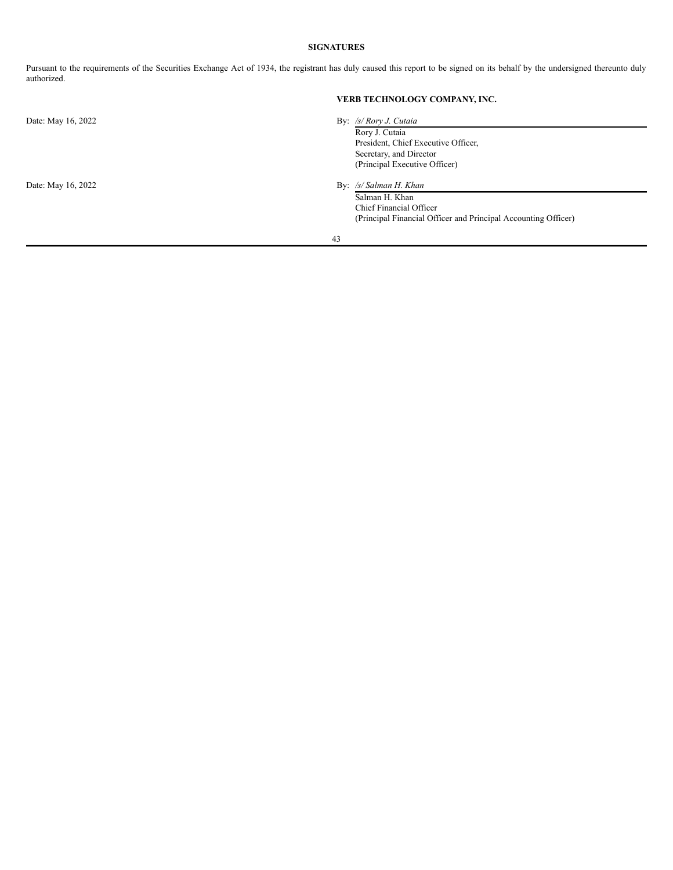# **SIGNATURES**

<span id="page-42-0"></span>Pursuant to the requirements of the Securities Exchange Act of 1934, the registrant has duly caused this report to be signed on its behalf by the undersigned thereunto duly authorized.

|                    | VERB TECHNOLOGY COMPANY, INC.                                                                                                                       |
|--------------------|-----------------------------------------------------------------------------------------------------------------------------------------------------|
| Date: May 16, 2022 | By: $\sqrt{s/Rory J}$ . Cutaia<br>Rory J. Cutaia<br>President, Chief Executive Officer,<br>Secretary, and Director<br>(Principal Executive Officer) |
| Date: May 16, 2022 | By: /s/ Salman H. Khan<br>Salman H. Khan<br>Chief Financial Officer<br>(Principal Financial Officer and Principal Accounting Officer)               |
|                    | 43                                                                                                                                                  |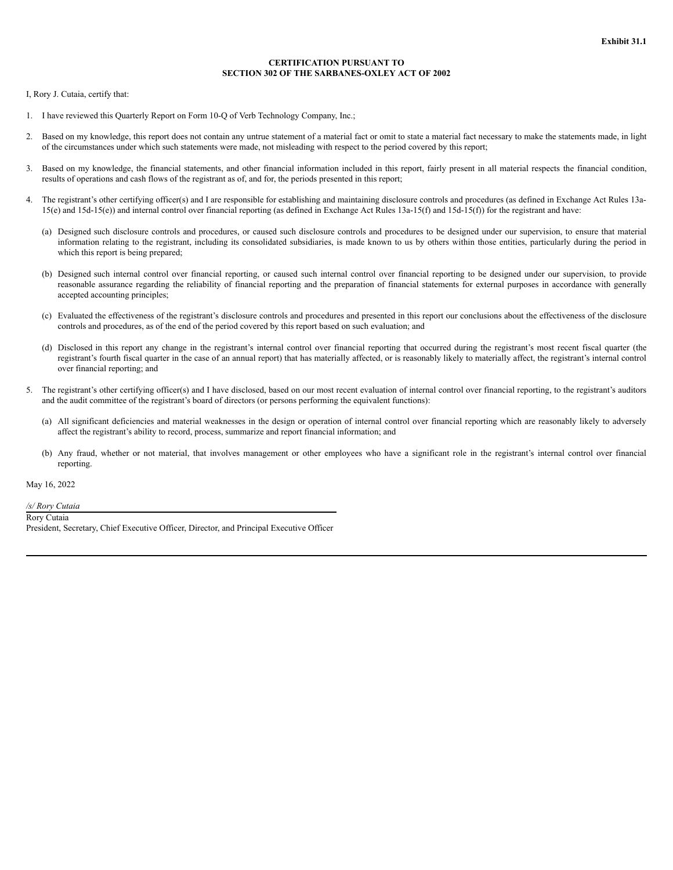# **CERTIFICATION PURSUANT TO SECTION 302 OF THE SARBANES-OXLEY ACT OF 2002**

I, Rory J. Cutaia, certify that:

- 1. I have reviewed this Quarterly Report on Form 10-Q of Verb Technology Company, Inc.;
- Based on my knowledge, this report does not contain any untrue statement of a material fact or omit to state a material fact necessary to make the statements made, in light of the circumstances under which such statements were made, not misleading with respect to the period covered by this report;
- 3. Based on my knowledge, the financial statements, and other financial information included in this report, fairly present in all material respects the financial condition, results of operations and cash flows of the registrant as of, and for, the periods presented in this report;
- The registrant's other certifying officer(s) and I are responsible for establishing and maintaining disclosure controls and procedures (as defined in Exchange Act Rules 13a-15(e) and 15d-15(e)) and internal control over financial reporting (as defined in Exchange Act Rules 13a-15(f) and 15d-15(f)) for the registrant and have:
	- (a) Designed such disclosure controls and procedures, or caused such disclosure controls and procedures to be designed under our supervision, to ensure that material information relating to the registrant, including its consolidated subsidiaries, is made known to us by others within those entities, particularly during the period in which this report is being prepared;
	- (b) Designed such internal control over financial reporting, or caused such internal control over financial reporting to be designed under our supervision, to provide reasonable assurance regarding the reliability of financial reporting and the preparation of financial statements for external purposes in accordance with generally accepted accounting principles;
	- (c) Evaluated the effectiveness of the registrant's disclosure controls and procedures and presented in this report our conclusions about the effectiveness of the disclosure controls and procedures, as of the end of the period covered by this report based on such evaluation; and
	- (d) Disclosed in this report any change in the registrant's internal control over financial reporting that occurred during the registrant's most recent fiscal quarter (the registrant's fourth fiscal quarter in the case of an annual report) that has materially affected, or is reasonably likely to materially affect, the registrant's internal control over financial reporting; and
- 5. The registrant's other certifying officer(s) and I have disclosed, based on our most recent evaluation of internal control over financial reporting, to the registrant's auditors and the audit committee of the registrant's board of directors (or persons performing the equivalent functions):
	- (a) All significant deficiencies and material weaknesses in the design or operation of internal control over financial reporting which are reasonably likely to adversely affect the registrant's ability to record, process, summarize and report financial information; and
	- (b) Any fraud, whether or not material, that involves management or other employees who have a significant role in the registrant's internal control over financial reporting.

May 16, 2022

*/s/ Rory Cutaia* Rory Cutaia

President, Secretary, Chief Executive Officer, Director, and Principal Executive Officer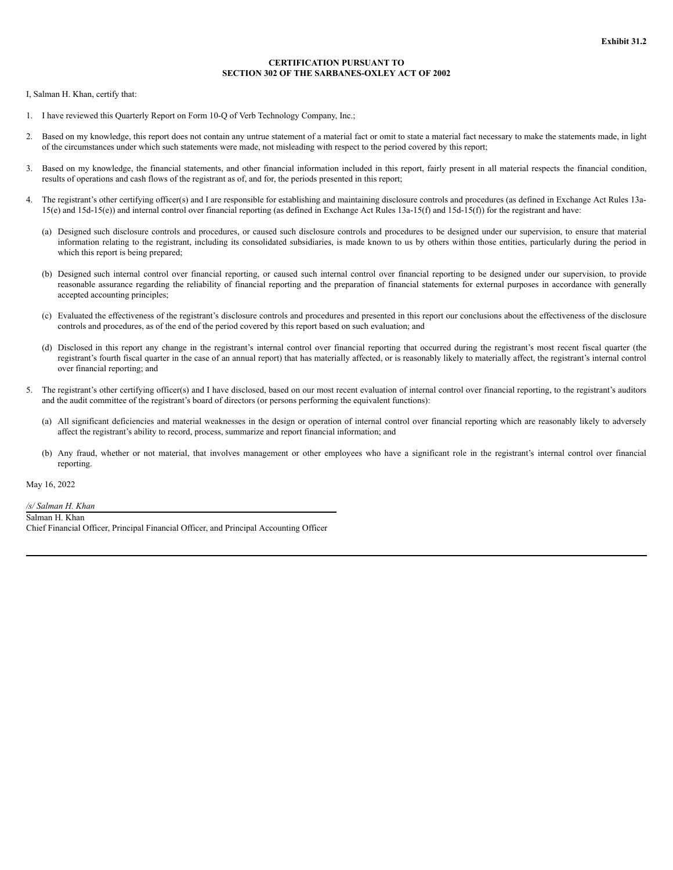# **CERTIFICATION PURSUANT TO SECTION 302 OF THE SARBANES-OXLEY ACT OF 2002**

I, Salman H. Khan, certify that:

- 1. I have reviewed this Quarterly Report on Form 10-Q of Verb Technology Company, Inc.;
- Based on my knowledge, this report does not contain any untrue statement of a material fact or omit to state a material fact necessary to make the statements made, in light of the circumstances under which such statements were made, not misleading with respect to the period covered by this report;
- 3. Based on my knowledge, the financial statements, and other financial information included in this report, fairly present in all material respects the financial condition, results of operations and cash flows of the registrant as of, and for, the periods presented in this report;
- The registrant's other certifying officer(s) and I are responsible for establishing and maintaining disclosure controls and procedures (as defined in Exchange Act Rules 13a-15(e) and 15d-15(e)) and internal control over financial reporting (as defined in Exchange Act Rules 13a-15(f) and 15d-15(f)) for the registrant and have:
	- (a) Designed such disclosure controls and procedures, or caused such disclosure controls and procedures to be designed under our supervision, to ensure that material information relating to the registrant, including its consolidated subsidiaries, is made known to us by others within those entities, particularly during the period in which this report is being prepared;
	- (b) Designed such internal control over financial reporting, or caused such internal control over financial reporting to be designed under our supervision, to provide reasonable assurance regarding the reliability of financial reporting and the preparation of financial statements for external purposes in accordance with generally accepted accounting principles;
	- (c) Evaluated the effectiveness of the registrant's disclosure controls and procedures and presented in this report our conclusions about the effectiveness of the disclosure controls and procedures, as of the end of the period covered by this report based on such evaluation; and
	- (d) Disclosed in this report any change in the registrant's internal control over financial reporting that occurred during the registrant's most recent fiscal quarter (the registrant's fourth fiscal quarter in the case of an annual report) that has materially affected, or is reasonably likely to materially affect, the registrant's internal control over financial reporting; and
- 5. The registrant's other certifying officer(s) and I have disclosed, based on our most recent evaluation of internal control over financial reporting, to the registrant's auditors and the audit committee of the registrant's board of directors (or persons performing the equivalent functions):
	- (a) All significant deficiencies and material weaknesses in the design or operation of internal control over financial reporting which are reasonably likely to adversely affect the registrant's ability to record, process, summarize and report financial information; and
	- (b) Any fraud, whether or not material, that involves management or other employees who have a significant role in the registrant's internal control over financial reporting.

May 16, 2022

*/s/ Salman H. Khan* Salman H. Khan Chief Financial Officer, Principal Financial Officer, and Principal Accounting Officer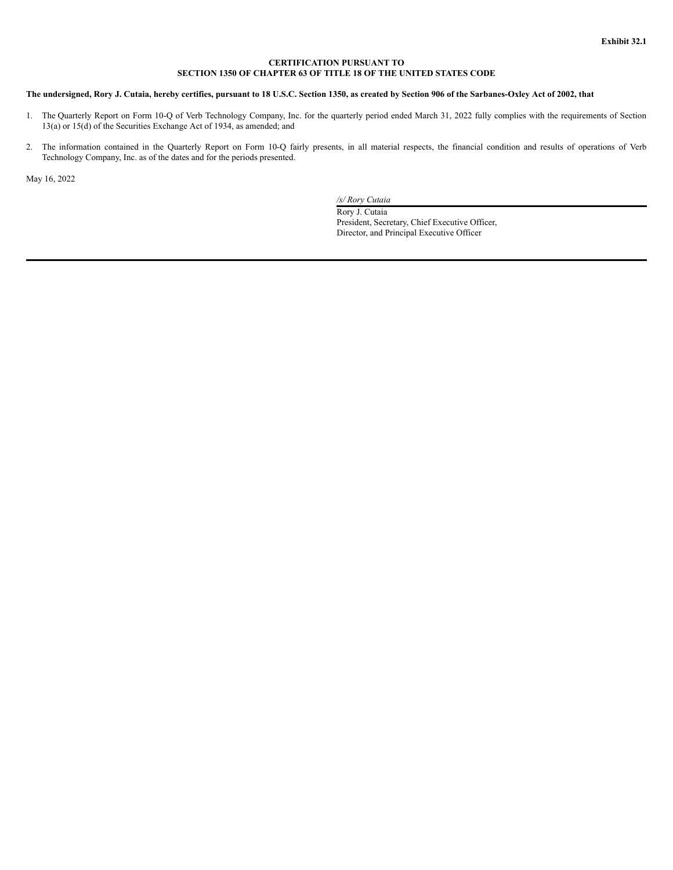# **CERTIFICATION PURSUANT TO SECTION 1350 OF CHAPTER 63 OF TITLE 18 OF THE UNITED STATES CODE**

# The undersigned, Rory J. Cutaia, hereby certifies, pursuant to 18 U.S.C. Section 1350, as created by Section 906 of the Sarbanes-Oxley Act of 2002, that

- 1. The Quarterly Report on Form 10-Q of Verb Technology Company, Inc. for the quarterly period ended March 31, 2022 fully complies with the requirements of Section 13(a) or 15(d) of the Securities Exchange Act of 1934, as amended; and
- 2. The information contained in the Quarterly Report on Form 10-Q fairly presents, in all material respects, the financial condition and results of operations of Verb Technology Company, Inc. as of the dates and for the periods presented.

May 16, 2022

*/s/ Rory Cutaia*

Rory J. Cutaia President, Secretary, Chief Executive Officer, Director, and Principal Executive Officer